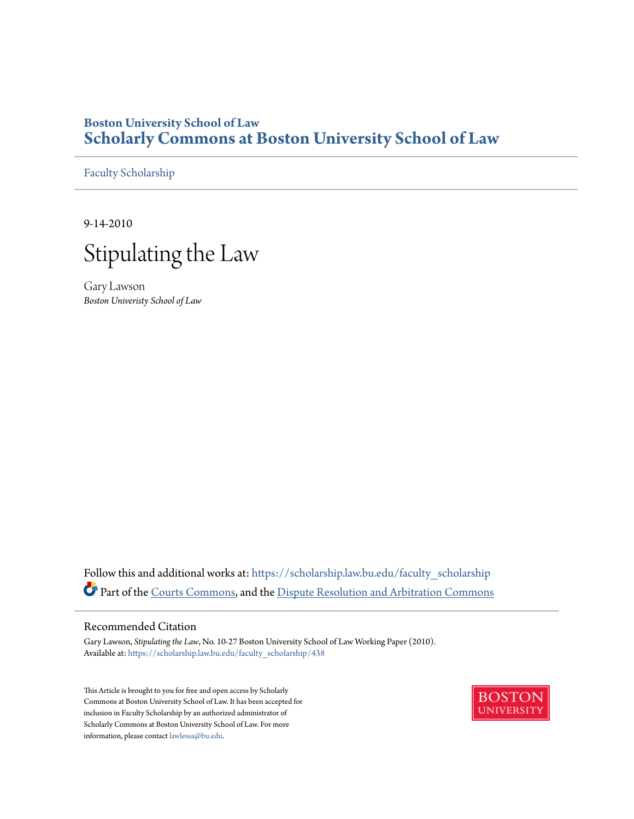# **Boston University School of Law [Scholarly Commons at Boston University School of Law](https://scholarship.law.bu.edu?utm_source=scholarship.law.bu.edu%2Ffaculty_scholarship%2F438&utm_medium=PDF&utm_campaign=PDFCoverPages)**

[Faculty Scholarship](https://scholarship.law.bu.edu/faculty_scholarship?utm_source=scholarship.law.bu.edu%2Ffaculty_scholarship%2F438&utm_medium=PDF&utm_campaign=PDFCoverPages)

9-14-2010



Gary Lawson *Boston Univeristy School of Law*

Follow this and additional works at: [https://scholarship.law.bu.edu/faculty\\_scholarship](https://scholarship.law.bu.edu/faculty_scholarship?utm_source=scholarship.law.bu.edu%2Ffaculty_scholarship%2F438&utm_medium=PDF&utm_campaign=PDFCoverPages) Part of the [Courts Commons](http://network.bepress.com/hgg/discipline/839?utm_source=scholarship.law.bu.edu%2Ffaculty_scholarship%2F438&utm_medium=PDF&utm_campaign=PDFCoverPages), and the [Dispute Resolution and Arbitration Commons](http://network.bepress.com/hgg/discipline/890?utm_source=scholarship.law.bu.edu%2Ffaculty_scholarship%2F438&utm_medium=PDF&utm_campaign=PDFCoverPages)

# Recommended Citation

Gary Lawson, *Stipulating the Law*, No. 10-27 Boston University School of Law Working Paper (2010). Available at: [https://scholarship.law.bu.edu/faculty\\_scholarship/438](https://scholarship.law.bu.edu/faculty_scholarship/438?utm_source=scholarship.law.bu.edu%2Ffaculty_scholarship%2F438&utm_medium=PDF&utm_campaign=PDFCoverPages)

This Article is brought to you for free and open access by Scholarly Commons at Boston University School of Law. It has been accepted for inclusion in Faculty Scholarship by an authorized administrator of Scholarly Commons at Boston University School of Law. For more information, please contact [lawlessa@bu.edu.](mailto:lawlessa@bu.edu)

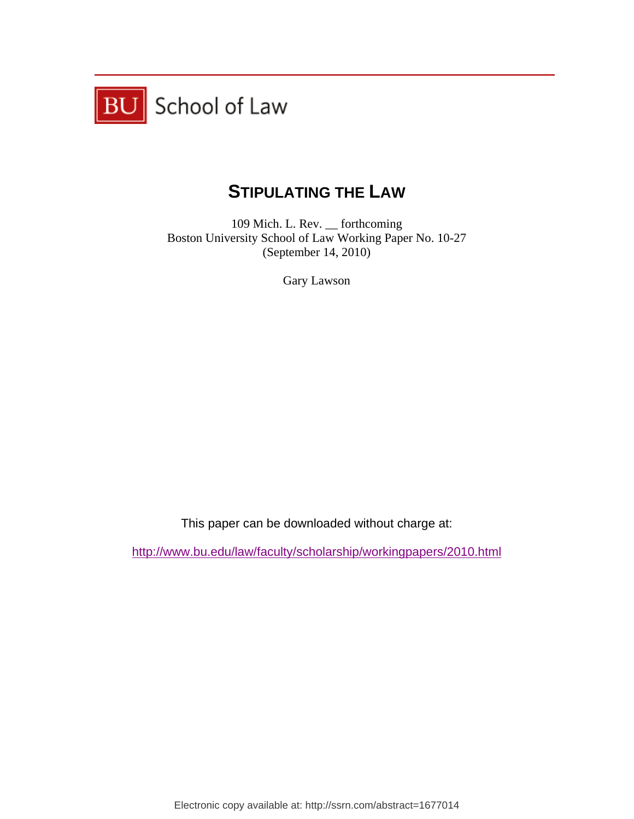

# **STIPULATING THE LAW**

109 Mich. L. Rev. \_\_ forthcoming Boston University School of Law Working Paper No. 10-27 (September 14, 2010)

Gary Lawson

This paper can be downloaded without charge at:

http://www.bu.edu/law/faculty/scholarship/workingpapers/2010.html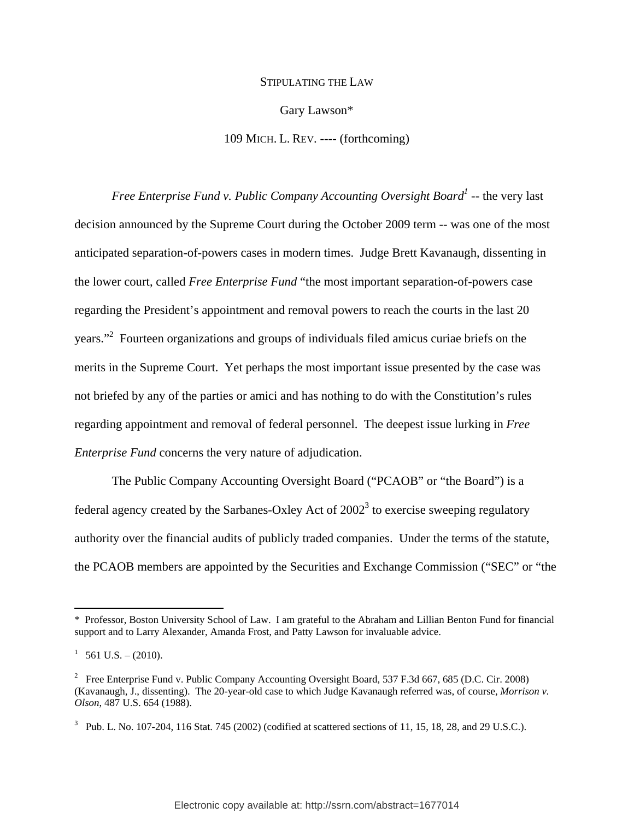#### STIPULATING THE LAW

Gary Lawson\*

109 MICH. L. REV. ---- (forthcoming)

*Free Enterprise Fund v. Public Company Accounting Oversight Board<sup>1</sup>* -- the very last decision announced by the Supreme Court during the October 2009 term -- was one of the most anticipated separation-of-powers cases in modern times. Judge Brett Kavanaugh, dissenting in the lower court, called *Free Enterprise Fund* "the most important separation-of-powers case regarding the President's appointment and removal powers to reach the courts in the last 20 years."<sup>2</sup> Fourteen organizations and groups of individuals filed amicus curiae briefs on the merits in the Supreme Court. Yet perhaps the most important issue presented by the case was not briefed by any of the parties or amici and has nothing to do with the Constitution's rules regarding appointment and removal of federal personnel. The deepest issue lurking in *Free Enterprise Fund* concerns the very nature of adjudication.

The Public Company Accounting Oversight Board ("PCAOB" or "the Board") is a federal agency created by the Sarbanes-Oxley Act of  $2002<sup>3</sup>$  to exercise sweeping regulatory authority over the financial audits of publicly traded companies. Under the terms of the statute, the PCAOB members are appointed by the Securities and Exchange Commission ("SEC" or "the

<sup>\*</sup> Professor, Boston University School of Law. I am grateful to the Abraham and Lillian Benton Fund for financial support and to Larry Alexander, Amanda Frost, and Patty Lawson for invaluable advice.

 $1\quad 561 \text{ U.S.} - (2010).$ 

<sup>&</sup>lt;sup>2</sup> Free Enterprise Fund v. Public Company Accounting Oversight Board, 537 F.3d 667, 685 (D.C. Cir. 2008) (Kavanaugh, J., dissenting). The 20-year-old case to which Judge Kavanaugh referred was, of course, *Morrison v. Olson*, 487 U.S. 654 (1988).

<sup>&</sup>lt;sup>3</sup> Pub. L. No. 107-204, 116 Stat. 745 (2002) (codified at scattered sections of 11, 15, 18, 28, and 29 U.S.C.).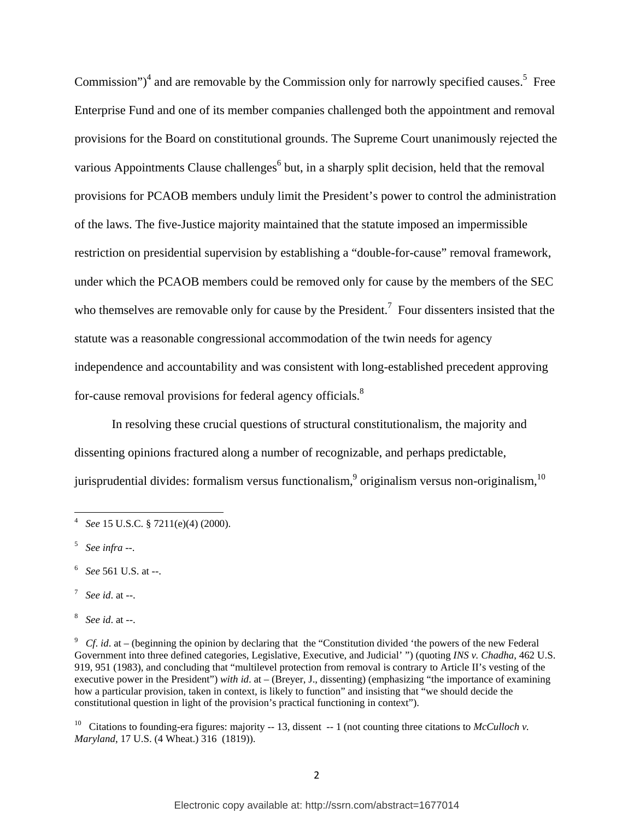Commission")<sup>4</sup> and are removable by the Commission only for narrowly specified causes.<sup>5</sup> Free Enterprise Fund and one of its member companies challenged both the appointment and removal provisions for the Board on constitutional grounds. The Supreme Court unanimously rejected the various Appointments Clause challenges<sup>6</sup> but, in a sharply split decision, held that the removal provisions for PCAOB members unduly limit the President's power to control the administration of the laws. The five-Justice majority maintained that the statute imposed an impermissible restriction on presidential supervision by establishing a "double-for-cause" removal framework, under which the PCAOB members could be removed only for cause by the members of the SEC who themselves are removable only for cause by the President.<sup>7</sup> Four dissenters insisted that the statute was a reasonable congressional accommodation of the twin needs for agency independence and accountability and was consistent with long-established precedent approving for-cause removal provisions for federal agency officials.<sup>8</sup>

In resolving these crucial questions of structural constitutionalism, the majority and dissenting opinions fractured along a number of recognizable, and perhaps predictable, jurisprudential divides: formalism versus functionalism,  $\frac{9}{10}$  originalism versus non-originalism,  $\frac{10}{10}$ 

- 6 *See* 561 U.S. at --.
- 7 *See id*. at --.
- 8 *See id*. at --.

<sup>10</sup> Citations to founding-era figures: majority -- 13, dissent -- 1 (not counting three citations to *McCulloch v*. *Maryland*, 17 U.S. (4 Wheat.) 316 (1819)).

 4 *See* 15 U.S.C. § 7211(e)(4) (2000).

<sup>5</sup> *See infra* --.

 $^9$  *Cf. id.* at – (beginning the opinion by declaring that the "Constitution divided 'the powers of the new Federal Government into three defined categories, Legislative, Executive, and Judicial' ") (quoting *INS v. Chadha*, 462 U.S. 919, 951 (1983), and concluding that "multilevel protection from removal is contrary to Article II's vesting of the executive power in the President") *with id*. at – (Breyer, J., dissenting) (emphasizing "the importance of examining how a particular provision, taken in context, is likely to function" and insisting that "we should decide the constitutional question in light of the provision's practical functioning in context").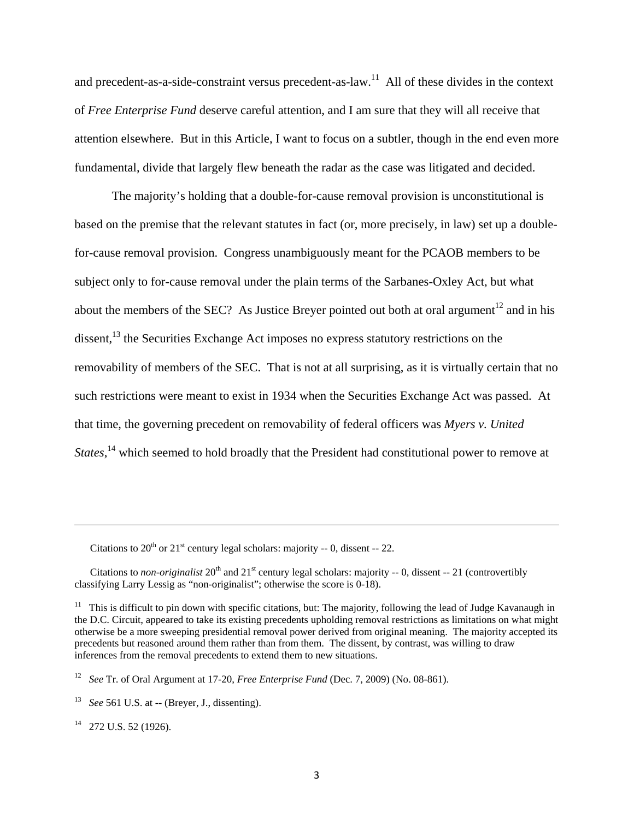and precedent-as-a-side-constraint versus precedent-as-law.11 All of these divides in the context of *Free Enterprise Fund* deserve careful attention, and I am sure that they will all receive that attention elsewhere. But in this Article, I want to focus on a subtler, though in the end even more fundamental, divide that largely flew beneath the radar as the case was litigated and decided.

The majority's holding that a double-for-cause removal provision is unconstitutional is based on the premise that the relevant statutes in fact (or, more precisely, in law) set up a doublefor-cause removal provision. Congress unambiguously meant for the PCAOB members to be subject only to for-cause removal under the plain terms of the Sarbanes-Oxley Act, but what about the members of the SEC? As Justice Breyer pointed out both at oral argument<sup>12</sup> and in his dissent, $13$  the Securities Exchange Act imposes no express statutory restrictions on the removability of members of the SEC. That is not at all surprising, as it is virtually certain that no such restrictions were meant to exist in 1934 when the Securities Exchange Act was passed. At that time, the governing precedent on removability of federal officers was *Myers v. United States*,<sup>14</sup> which seemed to hold broadly that the President had constitutional power to remove at

Citations to  $20^{th}$  or  $21^{st}$  century legal scholars: majority -- 0, dissent -- 22.

Citations to *non-originalist* 20<sup>th</sup> and 21<sup>st</sup> century legal scholars: majority -- 0, dissent -- 21 (controvertibly classifying Larry Lessig as "non-originalist"; otherwise the score is 0-18).

<u> 1989 - Johann Stein, marwolaethau a gweledydd a ganlad y ganlad y ganlad y ganlad y ganlad y ganlad y ganlad</u>

<sup>14</sup> 272 U.S. 52 (1926).

<sup>&</sup>lt;sup>11</sup> This is difficult to pin down with specific citations, but: The majority, following the lead of Judge Kavanaugh in the D.C. Circuit, appeared to take its existing precedents upholding removal restrictions as limitations on what might otherwise be a more sweeping presidential removal power derived from original meaning. The majority accepted its precedents but reasoned around them rather than from them. The dissent, by contrast, was willing to draw inferences from the removal precedents to extend them to new situations.

<sup>12</sup> *See* Tr. of Oral Argument at 17-20, *Free Enterprise Fund* (Dec. 7, 2009) (No. 08-861).

<sup>13</sup> *See* 561 U.S. at -- (Breyer, J., dissenting).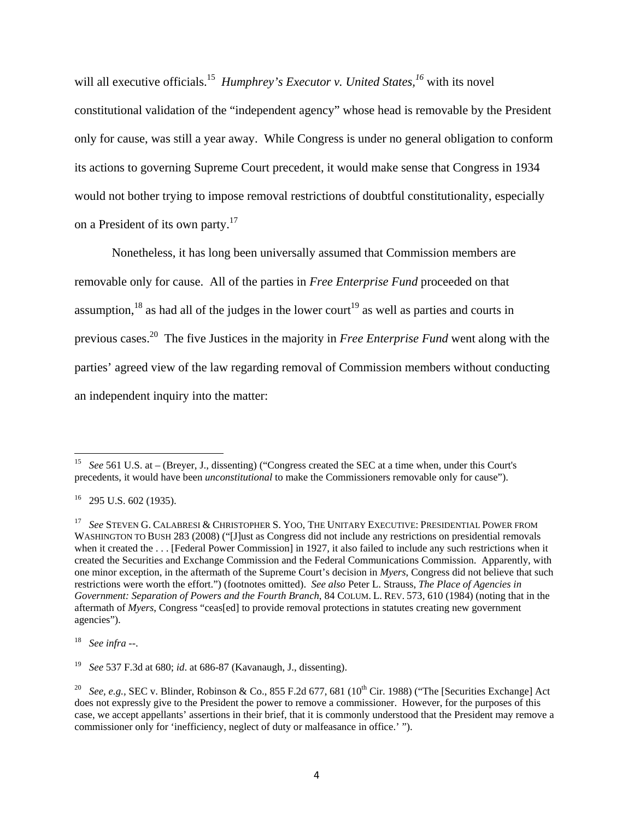will all executive officials.<sup>15</sup> *Humphrey's Executor v. United States*,<sup>16</sup> with its novel constitutional validation of the "independent agency" whose head is removable by the President only for cause, was still a year away. While Congress is under no general obligation to conform its actions to governing Supreme Court precedent, it would make sense that Congress in 1934 would not bother trying to impose removal restrictions of doubtful constitutionality, especially on a President of its own party.17

Nonetheless, it has long been universally assumed that Commission members are removable only for cause. All of the parties in *Free Enterprise Fund* proceeded on that assumption,<sup>18</sup> as had all of the judges in the lower court<sup>19</sup> as well as parties and courts in previous cases.20 The five Justices in the majority in *Free Enterprise Fund* went along with the parties' agreed view of the law regarding removal of Commission members without conducting an independent inquiry into the matter:

<sup>&</sup>lt;sup>15</sup> *See* 561 U.S. at – (Breyer, J., dissenting) ("Congress created the SEC at a time when, under this Court's precedents, it would have been *unconstitutional* to make the Commissioners removable only for cause").

<sup>16 295</sup> U.S. 602 (1935).

<sup>17</sup> *See* STEVEN G. CALABRESI & CHRISTOPHER S. YOO, THE UNITARY EXECUTIVE: PRESIDENTIAL POWER FROM WASHINGTON TO BUSH 283 (2008) ("[J]ust as Congress did not include any restrictions on presidential removals when it created the . . . [Federal Power Commission] in 1927, it also failed to include any such restrictions when it created the Securities and Exchange Commission and the Federal Communications Commission. Apparently, with one minor exception, in the aftermath of the Supreme Court's decision in *Myers*, Congress did not believe that such restrictions were worth the effort.") (footnotes omitted). *See also* Peter L. Strauss, *The Place of Agencies in Government: Separation of Powers and the Fourth Branch*, 84 COLUM. L. REV. 573, 610 (1984) (noting that in the aftermath of *Myers*, Congress "ceas[ed] to provide removal protections in statutes creating new government agencies").

<sup>18</sup> *See infra* --.

<sup>19</sup> *See* 537 F.3d at 680; *id*. at 686-87 (Kavanaugh, J., dissenting).

<sup>&</sup>lt;sup>20</sup> *See, e.g.,* SEC v. Blinder, Robinson & Co., 855 F.2d 677, 681 (10<sup>th</sup> Cir. 1988) ("The [Securities Exchange] Act does not expressly give to the President the power to remove a commissioner. However, for the purposes of this case, we accept appellants' assertions in their brief, that it is commonly understood that the President may remove a commissioner only for 'inefficiency, neglect of duty or malfeasance in office.' ").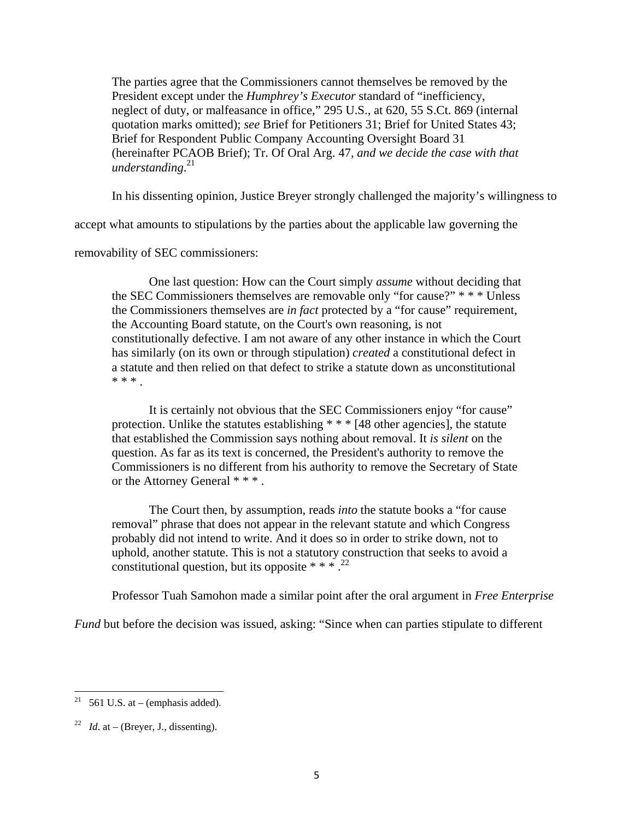The parties agree that the Commissioners cannot themselves be removed by the President except under the *Humphrey's Executor* standard of "inefficiency, neglect of duty, or malfeasance in office," 295 U.S., at 620, 55 S.Ct. 869 (internal quotation marks omitted); *see* Brief for Petitioners 31; Brief for United States 43; Brief for Respondent Public Company Accounting Oversight Board 31 (hereinafter PCAOB Brief); Tr. Of Oral Arg. 47, *and we decide the case with that understanding*. 21

In his dissenting opinion, Justice Breyer strongly challenged the majority's willingness to

accept what amounts to stipulations by the parties about the applicable law governing the

removability of SEC commissioners:

One last question: How can the Court simply *assume* without deciding that the SEC Commissioners themselves are removable only "for cause?" \* \* \* Unless the Commissioners themselves are *in fact* protected by a "for cause" requirement, the Accounting Board statute, on the Court's own reasoning, is not constitutionally defective. I am not aware of any other instance in which the Court has similarly (on its own or through stipulation) *created* a constitutional defect in a statute and then relied on that defect to strike a statute down as unconstitutional \* \* \* .

It is certainly not obvious that the SEC Commissioners enjoy "for cause" protection. Unlike the statutes establishing \* \* \* [48 other agencies]*,* the statute that established the Commission says nothing about removal. It *is silent* on the question. As far as its text is concerned, the President's authority to remove the Commissioners is no different from his authority to remove the Secretary of State or the Attorney General \* \* \* .

The Court then, by assumption, reads *into* the statute books a "for cause removal" phrase that does not appear in the relevant statute and which Congress probably did not intend to write. And it does so in order to strike down, not to uphold, another statute. This is not a statutory construction that seeks to avoid a constitutional question, but its opposite  $***$ .<sup>22</sup>

Professor Tuah Samohon made a similar point after the oral argument in *Free Enterprise* 

*Fund* but before the decision was issued, asking: "Since when can parties stipulate to different

 <sup>21</sup> 561 U.S. at – (emphasis added).

<sup>&</sup>lt;sup>22</sup> *Id.* at – (Breyer, J., dissenting).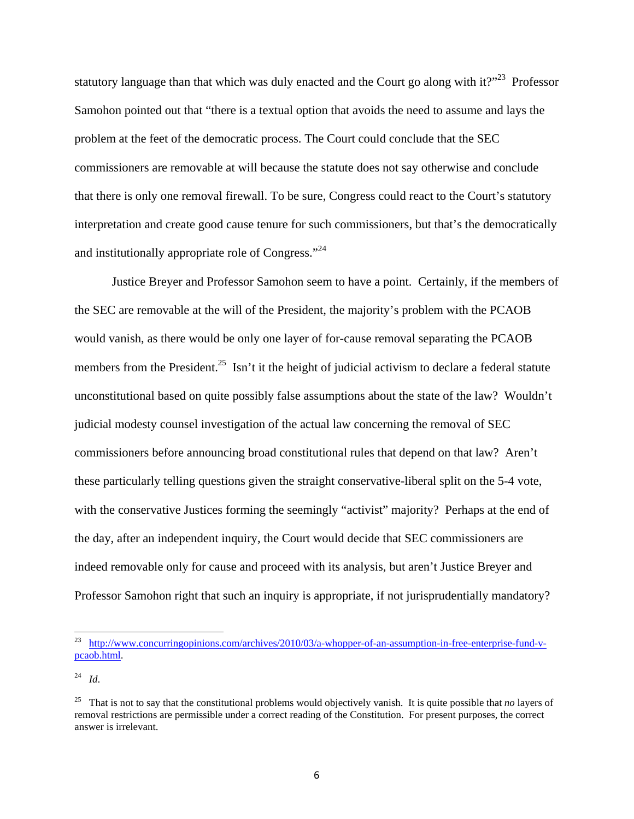statutory language than that which was duly enacted and the Court go along with it?"<sup>23</sup> Professor Samohon pointed out that "there is a textual option that avoids the need to assume and lays the problem at the feet of the democratic process. The Court could conclude that the SEC commissioners are removable at will because the statute does not say otherwise and conclude that there is only one removal firewall. To be sure, Congress could react to the Court's statutory interpretation and create good cause tenure for such commissioners, but that's the democratically and institutionally appropriate role of Congress."<sup>24</sup>

Justice Breyer and Professor Samohon seem to have a point. Certainly, if the members of the SEC are removable at the will of the President, the majority's problem with the PCAOB would vanish, as there would be only one layer of for-cause removal separating the PCAOB members from the President.<sup>25</sup> Isn't it the height of judicial activism to declare a federal statute unconstitutional based on quite possibly false assumptions about the state of the law? Wouldn't judicial modesty counsel investigation of the actual law concerning the removal of SEC commissioners before announcing broad constitutional rules that depend on that law? Aren't these particularly telling questions given the straight conservative-liberal split on the 5-4 vote, with the conservative Justices forming the seemingly "activist" majority? Perhaps at the end of the day, after an independent inquiry, the Court would decide that SEC commissioners are indeed removable only for cause and proceed with its analysis, but aren't Justice Breyer and Professor Samohon right that such an inquiry is appropriate, if not jurisprudentially mandatory?

<sup>&</sup>lt;sup>23</sup> http://www.concurringopinions.com/archives/2010/03/a-whopper-of-an-assumption-in-free-enterprise-fund-vpcaob.html.

<sup>24</sup> *Id*.

<sup>25</sup> That is not to say that the constitutional problems would objectively vanish. It is quite possible that *no* layers of removal restrictions are permissible under a correct reading of the Constitution. For present purposes, the correct answer is irrelevant.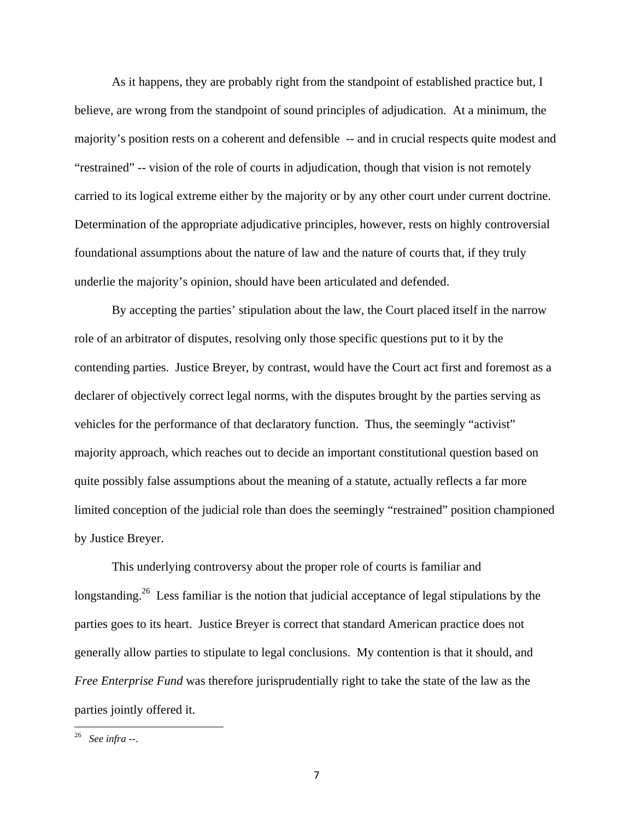As it happens, they are probably right from the standpoint of established practice but, I believe, are wrong from the standpoint of sound principles of adjudication. At a minimum, the majority's position rests on a coherent and defensible -- and in crucial respects quite modest and "restrained" -- vision of the role of courts in adjudication, though that vision is not remotely carried to its logical extreme either by the majority or by any other court under current doctrine. Determination of the appropriate adjudicative principles, however, rests on highly controversial foundational assumptions about the nature of law and the nature of courts that, if they truly underlie the majority's opinion, should have been articulated and defended.

By accepting the parties' stipulation about the law, the Court placed itself in the narrow role of an arbitrator of disputes, resolving only those specific questions put to it by the contending parties. Justice Breyer, by contrast, would have the Court act first and foremost as a declarer of objectively correct legal norms, with the disputes brought by the parties serving as vehicles for the performance of that declaratory function. Thus, the seemingly "activist" majority approach, which reaches out to decide an important constitutional question based on quite possibly false assumptions about the meaning of a statute, actually reflects a far more limited conception of the judicial role than does the seemingly "restrained" position championed by Justice Breyer.

This underlying controversy about the proper role of courts is familiar and longstanding.<sup>26</sup> Less familiar is the notion that judicial acceptance of legal stipulations by the parties goes to its heart. Justice Breyer is correct that standard American practice does not generally allow parties to stipulate to legal conclusions. My contention is that it should, and *Free Enterprise Fund* was therefore jurisprudentially right to take the state of the law as the parties jointly offered it.

<sup>26</sup> *See infra* --.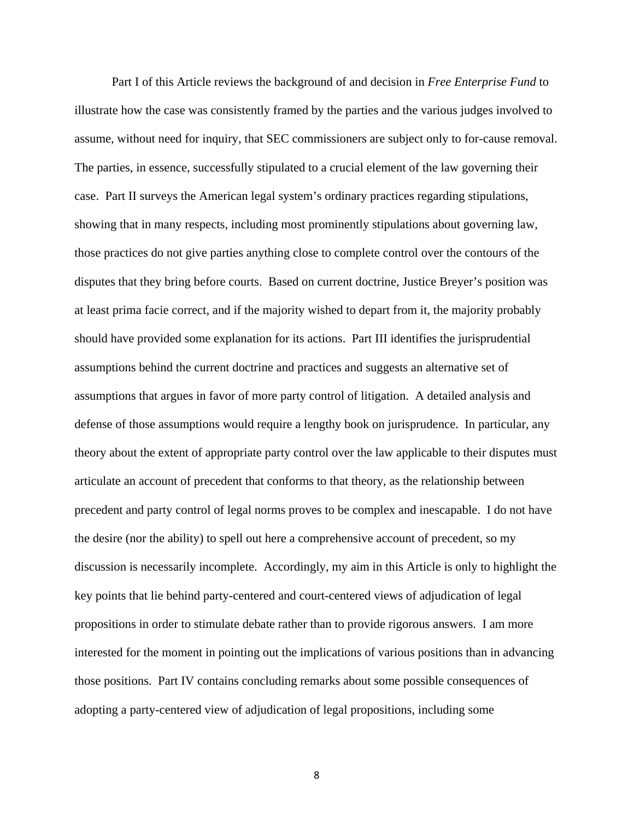Part I of this Article reviews the background of and decision in *Free Enterprise Fund* to illustrate how the case was consistently framed by the parties and the various judges involved to assume, without need for inquiry, that SEC commissioners are subject only to for-cause removal. The parties, in essence, successfully stipulated to a crucial element of the law governing their case. Part II surveys the American legal system's ordinary practices regarding stipulations, showing that in many respects, including most prominently stipulations about governing law, those practices do not give parties anything close to complete control over the contours of the disputes that they bring before courts. Based on current doctrine, Justice Breyer's position was at least prima facie correct, and if the majority wished to depart from it, the majority probably should have provided some explanation for its actions. Part III identifies the jurisprudential assumptions behind the current doctrine and practices and suggests an alternative set of assumptions that argues in favor of more party control of litigation. A detailed analysis and defense of those assumptions would require a lengthy book on jurisprudence. In particular, any theory about the extent of appropriate party control over the law applicable to their disputes must articulate an account of precedent that conforms to that theory, as the relationship between precedent and party control of legal norms proves to be complex and inescapable. I do not have the desire (nor the ability) to spell out here a comprehensive account of precedent, so my discussion is necessarily incomplete. Accordingly, my aim in this Article is only to highlight the key points that lie behind party-centered and court-centered views of adjudication of legal propositions in order to stimulate debate rather than to provide rigorous answers. I am more interested for the moment in pointing out the implications of various positions than in advancing those positions. Part IV contains concluding remarks about some possible consequences of adopting a party-centered view of adjudication of legal propositions, including some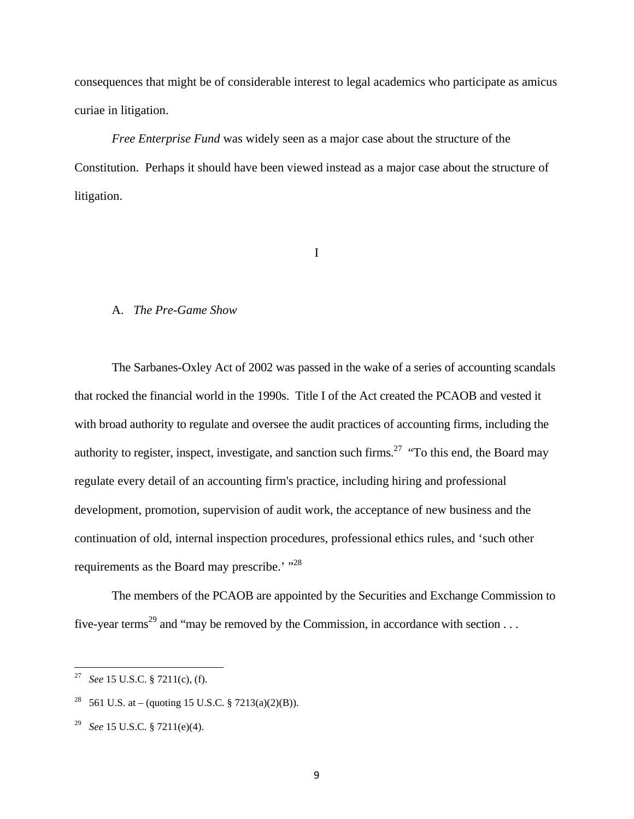consequences that might be of considerable interest to legal academics who participate as amicus curiae in litigation.

*Free Enterprise Fund* was widely seen as a major case about the structure of the Constitution. Perhaps it should have been viewed instead as a major case about the structure of litigation.

I

# A. *The Pre-Game Show*

The Sarbanes-Oxley Act of 2002 was passed in the wake of a series of accounting scandals that rocked the financial world in the 1990s. Title I of the Act created the PCAOB and vested it with broad authority to regulate and oversee the audit practices of accounting firms, including the authority to register, inspect, investigate, and sanction such firms.<sup>27</sup> "To this end, the Board may regulate every detail of an accounting firm's practice, including hiring and professional development, promotion, supervision of audit work, the acceptance of new business and the continuation of old, internal inspection procedures, professional ethics rules, and 'such other requirements as the Board may prescribe.' "<sup>28</sup>

The members of the PCAOB are appointed by the Securities and Exchange Commission to five-year terms<sup>29</sup> and "may be removed by the Commission, in accordance with section . . .

<sup>27</sup> *See* 15 U.S.C. § 7211(c), (f).

<sup>561</sup> U.S. at – (quoting 15 U.S.C. § 7213(a)(2)(B)).

<sup>29</sup> *See* 15 U.S.C. § 7211(e)(4).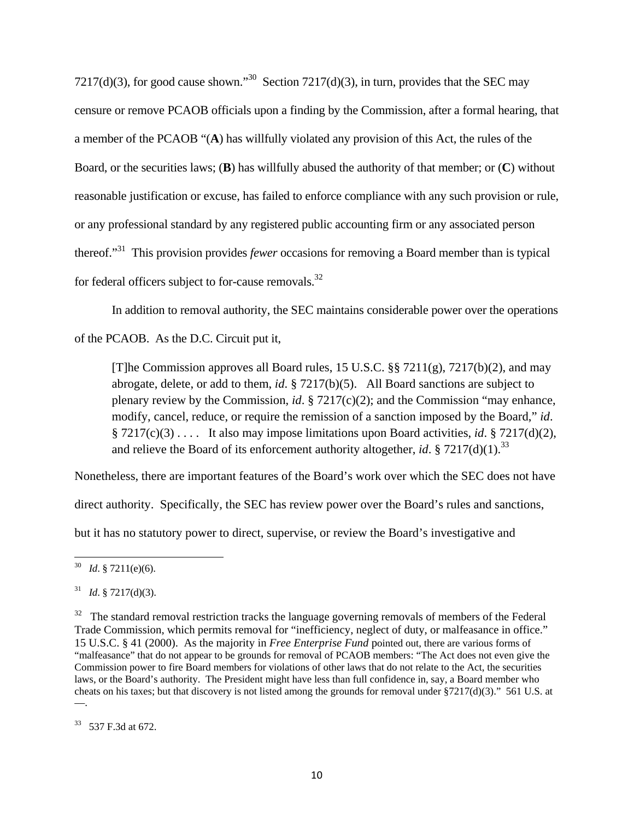7217(d)(3), for good cause shown."<sup>30</sup> Section 7217(d)(3), in turn, provides that the SEC may censure or remove PCAOB officials upon a finding by the Commission, after a formal hearing, that a member of the PCAOB "(**A**) has willfully violated any provision of this Act, the rules of the Board, or the securities laws; (**B**) has willfully abused the authority of that member; or (**C**) without reasonable justification or excuse, has failed to enforce compliance with any such provision or rule, or any professional standard by any registered public accounting firm or any associated person thereof."31 This provision provides *fewer* occasions for removing a Board member than is typical for federal officers subject to for-cause removals. $32$ 

In addition to removal authority, the SEC maintains considerable power over the operations

of the PCAOB. As the D.C. Circuit put it,

[T]he Commission approves all Board rules, 15 U.S.C. §§ 7211(g), 7217(b)(2), and may abrogate, delete, or add to them, *id*. § 7217(b)(5). All Board sanctions are subject to plenary review by the Commission, *id*. § 7217(c)(2); and the Commission "may enhance, modify, cancel, reduce, or require the remission of a sanction imposed by the Board," *id*. § 7217(c)(3) . . . . It also may impose limitations upon Board activities, *id*. § 7217(d)(2), and relieve the Board of its enforcement authority altogether, *id.* § 7217(d)(1).<sup>33</sup>

Nonetheless, there are important features of the Board's work over which the SEC does not have

direct authority. Specifically, the SEC has review power over the Board's rules and sanctions,

but it has no statutory power to direct, supervise, or review the Board's investigative and

<sup>30</sup> *Id*. § 7211(e)(6).

 $^{31}$  *Id.* § 7217(d)(3).

<sup>&</sup>lt;sup>32</sup> The standard removal restriction tracks the language governing removals of members of the Federal Trade Commission, which permits removal for "inefficiency, neglect of duty, or malfeasance in office." 15 U.S.C. § 41 (2000). As the majority in *Free Enterprise Fund* pointed out, there are various forms of "malfeasance" that do not appear to be grounds for removal of PCAOB members: "The Act does not even give the Commission power to fire Board members for violations of other laws that do not relate to the Act, the securities laws, or the Board's authority. The President might have less than full confidence in, say, a Board member who cheats on his taxes; but that discovery is not listed among the grounds for removal under  $\S7217(d)(3)$ ." 561 U.S. at ––.

<sup>33 537</sup> F.3d at 672.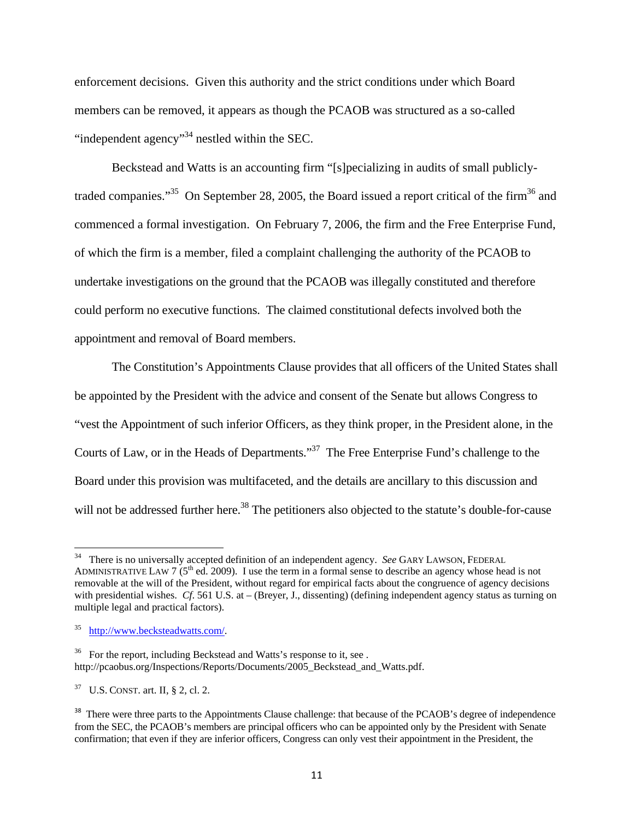enforcement decisions. Given this authority and the strict conditions under which Board members can be removed, it appears as though the PCAOB was structured as a so-called "independent agency"34 nestled within the SEC.

 Beckstead and Watts is an accounting firm "[s]pecializing in audits of small publiclytraded companies."<sup>35</sup> On September 28, 2005, the Board issued a report critical of the firm<sup>36</sup> and commenced a formal investigation. On February 7, 2006, the firm and the Free Enterprise Fund, of which the firm is a member, filed a complaint challenging the authority of the PCAOB to undertake investigations on the ground that the PCAOB was illegally constituted and therefore could perform no executive functions. The claimed constitutional defects involved both the appointment and removal of Board members.

 The Constitution's Appointments Clause provides that all officers of the United States shall be appointed by the President with the advice and consent of the Senate but allows Congress to "vest the Appointment of such inferior Officers, as they think proper, in the President alone, in the Courts of Law, or in the Heads of Departments."37 The Free Enterprise Fund's challenge to the Board under this provision was multifaceted, and the details are ancillary to this discussion and will not be addressed further here.<sup>38</sup> The petitioners also objected to the statute's double-for-cause

<sup>&</sup>lt;sup>34</sup> There is no universally accepted definition of an independent agency. *See* GARY LAWSON, FEDERAL ADMINISTRATIVE LAW 7 ( $5<sup>th</sup>$  ed. 2009). I use the term in a formal sense to describe an agency whose head is not removable at the will of the President, without regard for empirical facts about the congruence of agency decisions with presidential wishes. *Cf.* 561 U.S. at – (Breyer, J., dissenting) (defining independent agency status as turning on multiple legal and practical factors).

<sup>35</sup> http://www.becksteadwatts.com/.

<sup>&</sup>lt;sup>36</sup> For the report, including Beckstead and Watts's response to it, see . http://pcaobus.org/Inspections/Reports/Documents/2005\_Beckstead\_and\_Watts.pdf.

 $37 \text{ U.S.}$  CONST. art. II, § 2, cl. 2.

<sup>&</sup>lt;sup>38</sup> There were three parts to the Appointments Clause challenge: that because of the PCAOB's degree of independence from the SEC, the PCAOB's members are principal officers who can be appointed only by the President with Senate confirmation; that even if they are inferior officers, Congress can only vest their appointment in the President, the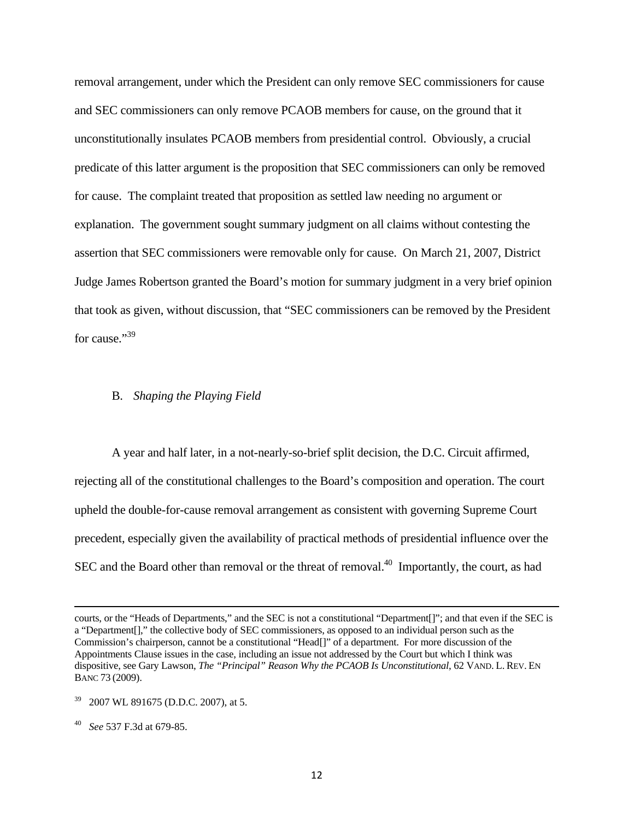removal arrangement, under which the President can only remove SEC commissioners for cause and SEC commissioners can only remove PCAOB members for cause, on the ground that it unconstitutionally insulates PCAOB members from presidential control. Obviously, a crucial predicate of this latter argument is the proposition that SEC commissioners can only be removed for cause. The complaint treated that proposition as settled law needing no argument or explanation. The government sought summary judgment on all claims without contesting the assertion that SEC commissioners were removable only for cause. On March 21, 2007, District Judge James Robertson granted the Board's motion for summary judgment in a very brief opinion that took as given, without discussion, that "SEC commissioners can be removed by the President for cause."<sup>39</sup>

#### B. *Shaping the Playing Field*

 A year and half later, in a not-nearly-so-brief split decision, the D.C. Circuit affirmed, rejecting all of the constitutional challenges to the Board's composition and operation. The court upheld the double-for-cause removal arrangement as consistent with governing Supreme Court precedent, especially given the availability of practical methods of presidential influence over the SEC and the Board other than removal or the threat of removal.<sup>40</sup> Importantly, the court, as had

<u> 1989 - Johann Stoff, amerikansk politiker (d. 1989)</u>

courts, or the "Heads of Departments," and the SEC is not a constitutional "Department[]"; and that even if the SEC is a "Department[]," the collective body of SEC commissioners, as opposed to an individual person such as the Commission's chairperson, cannot be a constitutional "Head[]" of a department. For more discussion of the Appointments Clause issues in the case, including an issue not addressed by the Court but which I think was dispositive, see Gary Lawson, *The "Principal" Reason Why the PCAOB Is Unconstitutional*, 62 VAND. L. REV. EN BANC 73 (2009).

<sup>39 2007</sup> WL 891675 (D.D.C. 2007), at 5.

<sup>40</sup> *See* 537 F.3d at 679-85.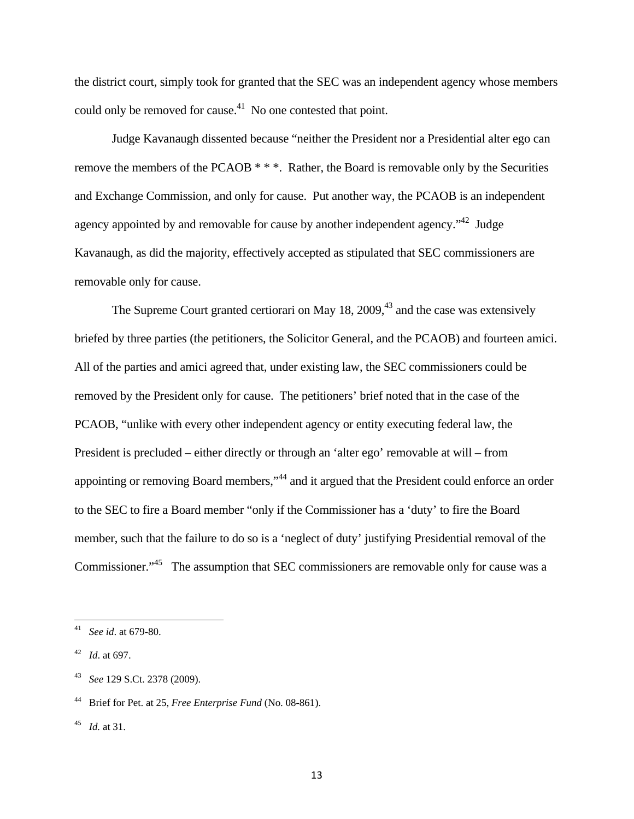the district court, simply took for granted that the SEC was an independent agency whose members could only be removed for cause.<sup>41</sup> No one contested that point.

 Judge Kavanaugh dissented because "neither the President nor a Presidential alter ego can remove the members of the PCAOB \* \* \*. Rather, the Board is removable only by the Securities and Exchange Commission, and only for cause. Put another way, the PCAOB is an independent agency appointed by and removable for cause by another independent agency.<sup>"42</sup> Judge Kavanaugh, as did the majority, effectively accepted as stipulated that SEC commissioners are removable only for cause.

The Supreme Court granted certiorari on May  $18, 2009, 43$  and the case was extensively briefed by three parties (the petitioners, the Solicitor General, and the PCAOB) and fourteen amici. All of the parties and amici agreed that, under existing law, the SEC commissioners could be removed by the President only for cause. The petitioners' brief noted that in the case of the PCAOB, "unlike with every other independent agency or entity executing federal law, the President is precluded – either directly or through an 'alter ego' removable at will – from appointing or removing Board members,"44 and it argued that the President could enforce an order to the SEC to fire a Board member "only if the Commissioner has a 'duty' to fire the Board member, such that the failure to do so is a 'neglect of duty' justifying Presidential removal of the Commissioner."45 The assumption that SEC commissioners are removable only for cause was a

<sup>41</sup> *See id*. at 679-80.

<sup>42</sup> *Id*. at 697.

<sup>43</sup> *See* 129 S.Ct. 2378 (2009).

<sup>44</sup> Brief for Pet. at 25, *Free Enterprise Fund* (No. 08-861).

<sup>45</sup> *Id.* at 31.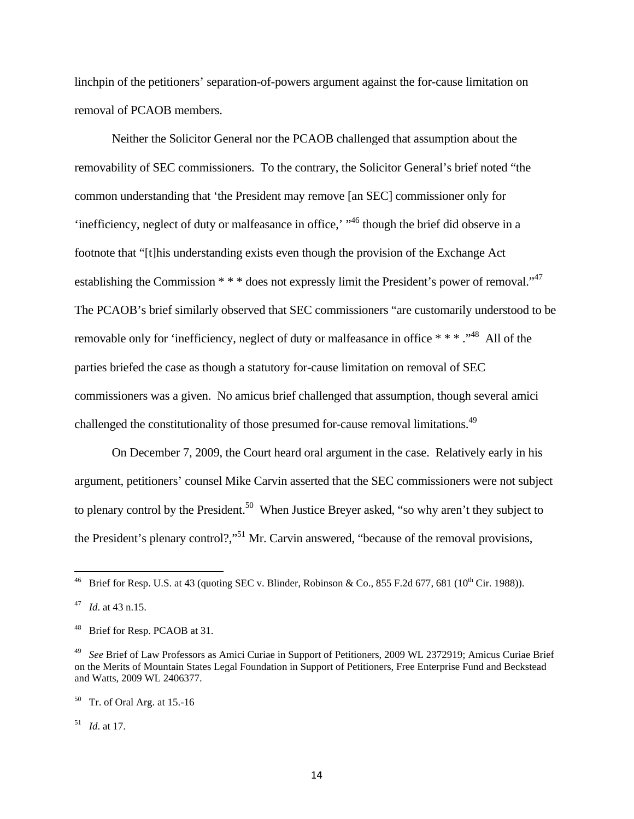linchpin of the petitioners' separation-of-powers argument against the for-cause limitation on removal of PCAOB members.

Neither the Solicitor General nor the PCAOB challenged that assumption about the removability of SEC commissioners. To the contrary, the Solicitor General's brief noted "the common understanding that 'the President may remove [an SEC] commissioner only for 'inefficiency, neglect of duty or malfeasance in office,' "46 though the brief did observe in a footnote that "[t]his understanding exists even though the provision of the Exchange Act establishing the Commission \* \* \* does not expressly limit the President's power of removal."<sup>47</sup> The PCAOB's brief similarly observed that SEC commissioners "are customarily understood to be removable only for 'inefficiency, neglect of duty or malfeasance in office \* \* \* ."48 All of the parties briefed the case as though a statutory for-cause limitation on removal of SEC commissioners was a given. No amicus brief challenged that assumption, though several amici challenged the constitutionality of those presumed for-cause removal limitations.<sup>49</sup>

On December 7, 2009, the Court heard oral argument in the case. Relatively early in his argument, petitioners' counsel Mike Carvin asserted that the SEC commissioners were not subject to plenary control by the President.<sup>50</sup> When Justice Breyer asked, "so why aren't they subject to the President's plenary control?,"<sup>51</sup> Mr. Carvin answered, "because of the removal provisions,

51 *Id*. at 17.

<sup>&</sup>lt;sup>46</sup> Brief for Resp. U.S. at 43 (quoting SEC v. Blinder, Robinson & Co., 855 F.2d 677, 681 ( $10^{th}$  Cir. 1988)).

*Id.* at 43 n.15.

Brief for Resp. PCAOB at 31.

<sup>49</sup> *See* Brief of Law Professors as Amici Curiae in Support of Petitioners, 2009 WL 2372919; Amicus Curiae Brief on the Merits of Mountain States Legal Foundation in Support of Petitioners, Free Enterprise Fund and Beckstead and Watts, 2009 WL 2406377.

 $50$  Tr. of Oral Arg. at 15.-16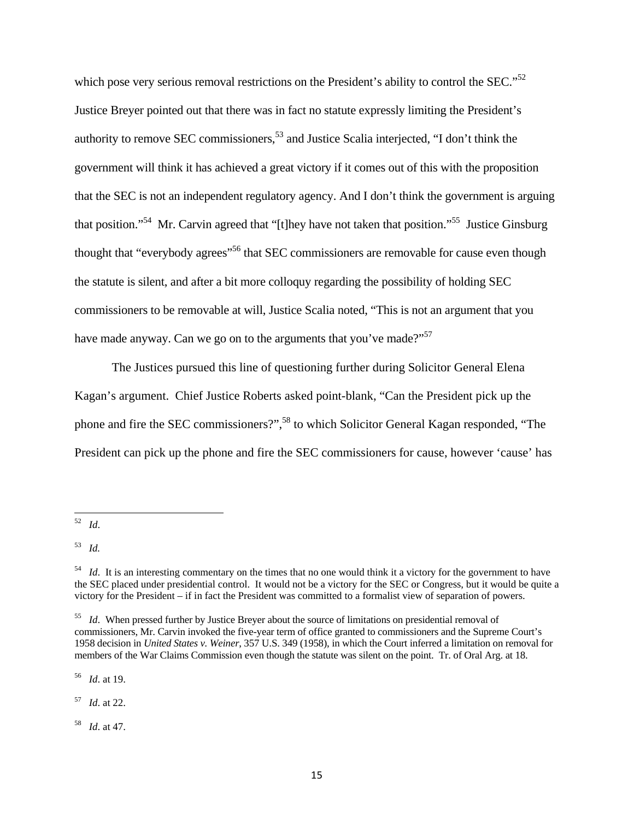which pose very serious removal restrictions on the President's ability to control the SEC."<sup>52</sup> Justice Breyer pointed out that there was in fact no statute expressly limiting the President's authority to remove SEC commissioners,<sup>53</sup> and Justice Scalia interjected, "I don't think the government will think it has achieved a great victory if it comes out of this with the proposition that the SEC is not an independent regulatory agency. And I don't think the government is arguing that position."54 Mr. Carvin agreed that "[t]hey have not taken that position."55 Justice Ginsburg thought that "everybody agrees"<sup>56</sup> that SEC commissioners are removable for cause even though the statute is silent, and after a bit more colloquy regarding the possibility of holding SEC commissioners to be removable at will, Justice Scalia noted, "This is not an argument that you have made anyway. Can we go on to the arguments that you've made?"<sup>57</sup>

The Justices pursued this line of questioning further during Solicitor General Elena Kagan's argument. Chief Justice Roberts asked point-blank, "Can the President pick up the phone and fire the SEC commissioners?",<sup>58</sup> to which Solicitor General Kagan responded, "The President can pick up the phone and fire the SEC commissioners for cause, however 'cause' has

56 *Id*. at 19.

57 *Id*. at 22.

58 *Id*. at 47.

 52 *Id*.

<sup>53</sup> *Id.* 

<sup>&</sup>lt;sup>54</sup> *Id.* It is an interesting commentary on the times that no one would think it a victory for the government to have the SEC placed under presidential control. It would not be a victory for the SEC or Congress, but it would be quite a victory for the President – if in fact the President was committed to a formalist view of separation of powers.

<sup>&</sup>lt;sup>55</sup> *Id*. When pressed further by Justice Breyer about the source of limitations on presidential removal of commissioners, Mr. Carvin invoked the five-year term of office granted to commissioners and the Supreme Court's 1958 decision in *United States v. Weiner*, 357 U.S. 349 (1958), in which the Court inferred a limitation on removal for members of the War Claims Commission even though the statute was silent on the point. Tr. of Oral Arg. at 18.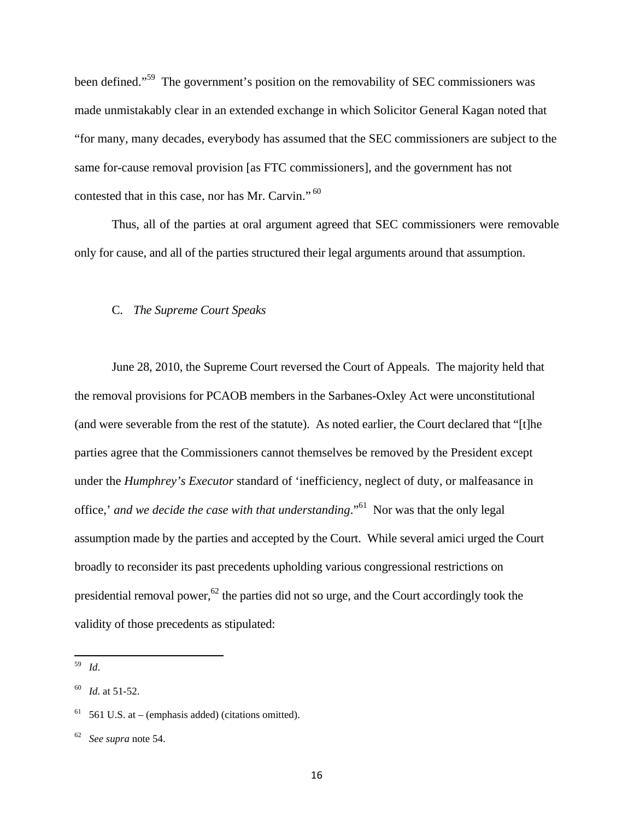been defined."<sup>59</sup> The government's position on the removability of SEC commissioners was made unmistakably clear in an extended exchange in which Solicitor General Kagan noted that "for many, many decades, everybody has assumed that the SEC commissioners are subject to the same for-cause removal provision [as FTC commissioners], and the government has not contested that in this case, nor has Mr. Carvin."<sup>60</sup>

Thus, all of the parties at oral argument agreed that SEC commissioners were removable only for cause, and all of the parties structured their legal arguments around that assumption.

#### C. *The Supreme Court Speaks*

June 28, 2010, the Supreme Court reversed the Court of Appeals. The majority held that the removal provisions for PCAOB members in the Sarbanes-Oxley Act were unconstitutional (and were severable from the rest of the statute). As noted earlier, the Court declared that "[t]he parties agree that the Commissioners cannot themselves be removed by the President except under the *Humphrey's Executor* standard of 'inefficiency, neglect of duty, or malfeasance in office,' *and we decide the case with that understanding*."61 Nor was that the only legal assumption made by the parties and accepted by the Court. While several amici urged the Court broadly to reconsider its past precedents upholding various congressional restrictions on presidential removal power,<sup>62</sup> the parties did not so urge, and the Court accordingly took the validity of those precedents as stipulated:

<sup>59</sup> *Id*.

*Id.* at 51-52.

<sup>61 561</sup> U.S. at – (emphasis added) (citations omitted).

<sup>62</sup> *See supra* note 54.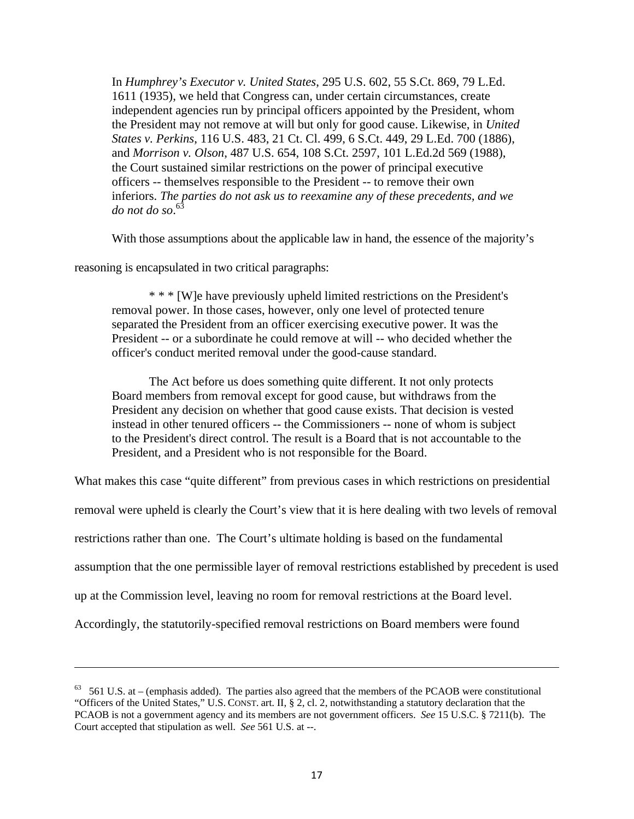In *Humphrey's Executor v. United States*, 295 U.S. 602, 55 S.Ct. 869, 79 L.Ed. 1611 (1935), we held that Congress can, under certain circumstances, create independent agencies run by principal officers appointed by the President, whom the President may not remove at will but only for good cause. Likewise, in *United States v. Perkins*, 116 U.S. 483, 21 Ct. Cl. 499, 6 S.Ct. 449, 29 L.Ed. 700 (1886), and *Morrison v. Olson*, 487 U.S. 654, 108 S.Ct. 2597, 101 L.Ed.2d 569 (1988), the Court sustained similar restrictions on the power of principal executive officers -- themselves responsible to the President -- to remove their own inferiors. *The parties do not ask us to reexamine any of these precedents, and we do not do so*. 63

With those assumptions about the applicable law in hand, the essence of the majority's

reasoning is encapsulated in two critical paragraphs:

\* \* \* [W]e have previously upheld limited restrictions on the President's removal power. In those cases, however, only one level of protected tenure separated the President from an officer exercising executive power. It was the President -- or a subordinate he could remove at will -- who decided whether the officer's conduct merited removal under the good-cause standard.

The Act before us does something quite different. It not only protects Board members from removal except for good cause, but withdraws from the President any decision on whether that good cause exists. That decision is vested instead in other tenured officers -- the Commissioners -- none of whom is subject to the President's direct control. The result is a Board that is not accountable to the President, and a President who is not responsible for the Board.

What makes this case "quite different" from previous cases in which restrictions on presidential

removal were upheld is clearly the Court's view that it is here dealing with two levels of removal

restrictions rather than one. The Court's ultimate holding is based on the fundamental

assumption that the one permissible layer of removal restrictions established by precedent is used

up at the Commission level, leaving no room for removal restrictions at the Board level.

Accordingly, the statutorily-specified removal restrictions on Board members were found

<u> 1989 - Johann Stein, marwolaethau a gweledydd a ganlad y ganlad y ganlad y ganlad y ganlad y ganlad y ganlad</u>

 $63$  561 U.S. at – (emphasis added). The parties also agreed that the members of the PCAOB were constitutional "Officers of the United States," U.S. CONST. art. II, § 2, cl. 2, notwithstanding a statutory declaration that the PCAOB is not a government agency and its members are not government officers. *See* 15 U.S.C. § 7211(b). The Court accepted that stipulation as well. *See* 561 U.S. at --.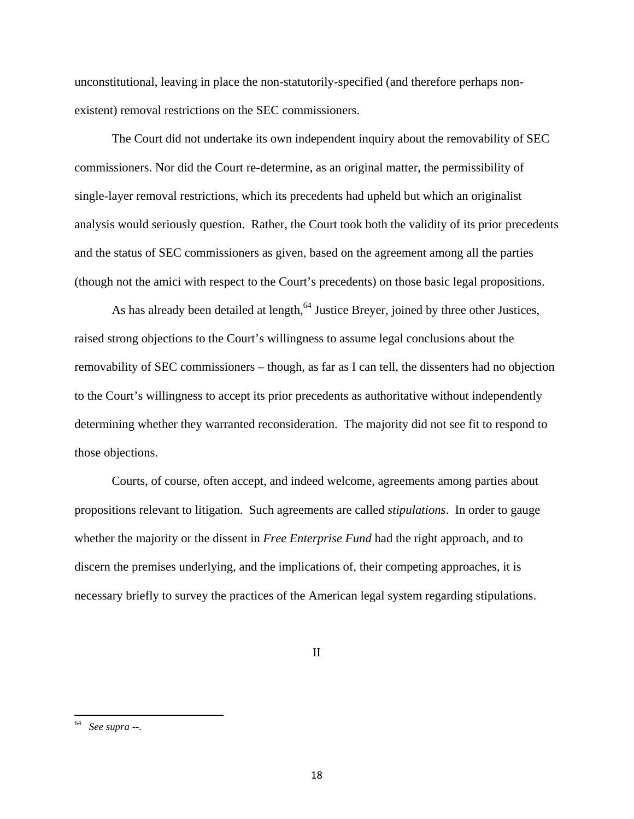unconstitutional, leaving in place the non-statutorily-specified (and therefore perhaps nonexistent) removal restrictions on the SEC commissioners.

 The Court did not undertake its own independent inquiry about the removability of SEC commissioners. Nor did the Court re-determine, as an original matter, the permissibility of single-layer removal restrictions, which its precedents had upheld but which an originalist analysis would seriously question. Rather, the Court took both the validity of its prior precedents and the status of SEC commissioners as given, based on the agreement among all the parties (though not the amici with respect to the Court's precedents) on those basic legal propositions.

As has already been detailed at length,<sup>64</sup> Justice Breyer, joined by three other Justices, raised strong objections to the Court's willingness to assume legal conclusions about the removability of SEC commissioners – though, as far as I can tell, the dissenters had no objection to the Court's willingness to accept its prior precedents as authoritative without independently determining whether they warranted reconsideration. The majority did not see fit to respond to those objections.

 Courts, of course, often accept, and indeed welcome, agreements among parties about propositions relevant to litigation. Such agreements are called *stipulations*. In order to gauge whether the majority or the dissent in *Free Enterprise Fund* had the right approach, and to discern the premises underlying, and the implications of, their competing approaches, it is necessary briefly to survey the practices of the American legal system regarding stipulations.

II

<sup>64</sup> *See supra* --.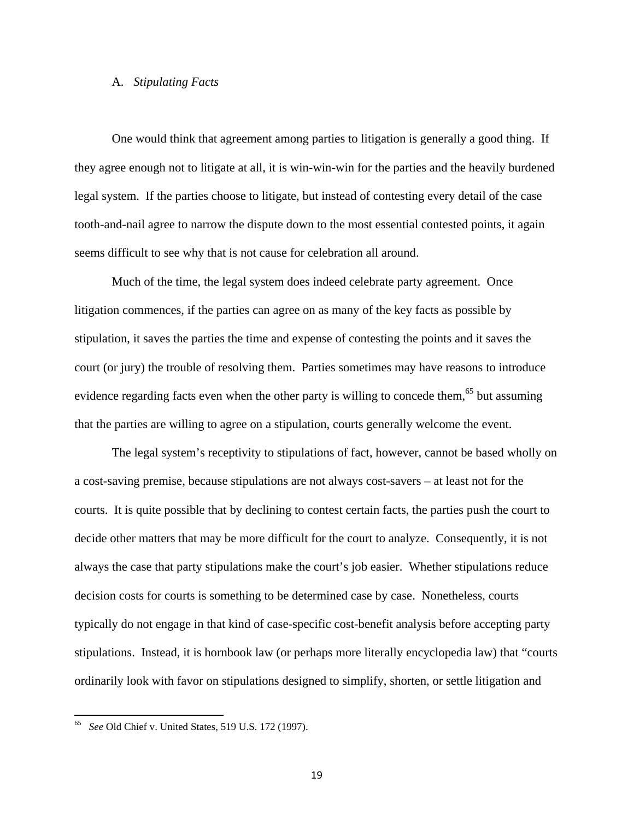# A. *Stipulating Facts*

One would think that agreement among parties to litigation is generally a good thing. If they agree enough not to litigate at all, it is win-win-win for the parties and the heavily burdened legal system. If the parties choose to litigate, but instead of contesting every detail of the case tooth-and-nail agree to narrow the dispute down to the most essential contested points, it again seems difficult to see why that is not cause for celebration all around.

 Much of the time, the legal system does indeed celebrate party agreement. Once litigation commences, if the parties can agree on as many of the key facts as possible by stipulation, it saves the parties the time and expense of contesting the points and it saves the court (or jury) the trouble of resolving them. Parties sometimes may have reasons to introduce evidence regarding facts even when the other party is willing to concede them, $65$  but assuming that the parties are willing to agree on a stipulation, courts generally welcome the event.

The legal system's receptivity to stipulations of fact, however, cannot be based wholly on a cost-saving premise, because stipulations are not always cost-savers – at least not for the courts. It is quite possible that by declining to contest certain facts, the parties push the court to decide other matters that may be more difficult for the court to analyze. Consequently, it is not always the case that party stipulations make the court's job easier. Whether stipulations reduce decision costs for courts is something to be determined case by case. Nonetheless, courts typically do not engage in that kind of case-specific cost-benefit analysis before accepting party stipulations. Instead, it is hornbook law (or perhaps more literally encyclopedia law) that "courts ordinarily look with favor on stipulations designed to simplify, shorten, or settle litigation and

<sup>65</sup> *See* Old Chief v. United States, 519 U.S. 172 (1997).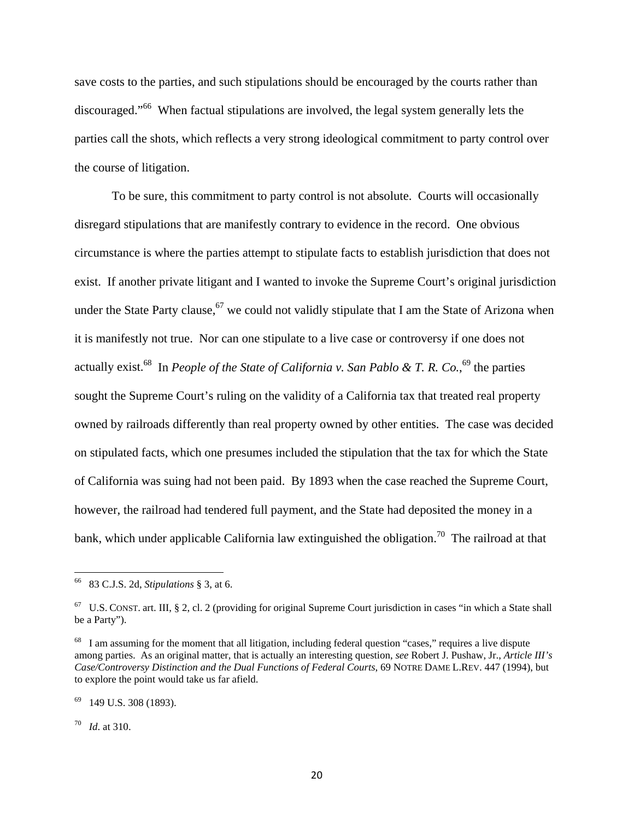save costs to the parties, and such stipulations should be encouraged by the courts rather than discouraged."<sup>66</sup> When factual stipulations are involved, the legal system generally lets the parties call the shots, which reflects a very strong ideological commitment to party control over the course of litigation.

To be sure, this commitment to party control is not absolute. Courts will occasionally disregard stipulations that are manifestly contrary to evidence in the record. One obvious circumstance is where the parties attempt to stipulate facts to establish jurisdiction that does not exist. If another private litigant and I wanted to invoke the Supreme Court's original jurisdiction under the State Party clause,<sup>67</sup> we could not validly stipulate that I am the State of Arizona when it is manifestly not true. Nor can one stipulate to a live case or controversy if one does not actually exist.<sup>68</sup> In *People of the State of California v. San Pablo & T. R. Co.*,<sup>69</sup> the parties sought the Supreme Court's ruling on the validity of a California tax that treated real property owned by railroads differently than real property owned by other entities. The case was decided on stipulated facts, which one presumes included the stipulation that the tax for which the State of California was suing had not been paid. By 1893 when the case reached the Supreme Court, however, the railroad had tendered full payment, and the State had deposited the money in a bank, which under applicable California law extinguished the obligation.<sup>70</sup> The railroad at that

70 *Id*. at 310.

 66 83 C.J.S. 2d, *Stipulations* § 3, at 6.

 $67$  U.S. CONST. art. III, § 2, cl. 2 (providing for original Supreme Court jurisdiction in cases "in which a State shall be a Party").

<sup>&</sup>lt;sup>68</sup> I am assuming for the moment that all litigation, including federal question "cases," requires a live dispute among parties. As an original matter, that is actually an interesting question, *see* Robert J. Pushaw, Jr., *Article III's Case/Controversy Distinction and the Dual Functions of Federal Courts*, 69 NOTRE DAME L.REV. 447 (1994), but to explore the point would take us far afield.

<sup>69 149</sup> U.S. 308 (1893).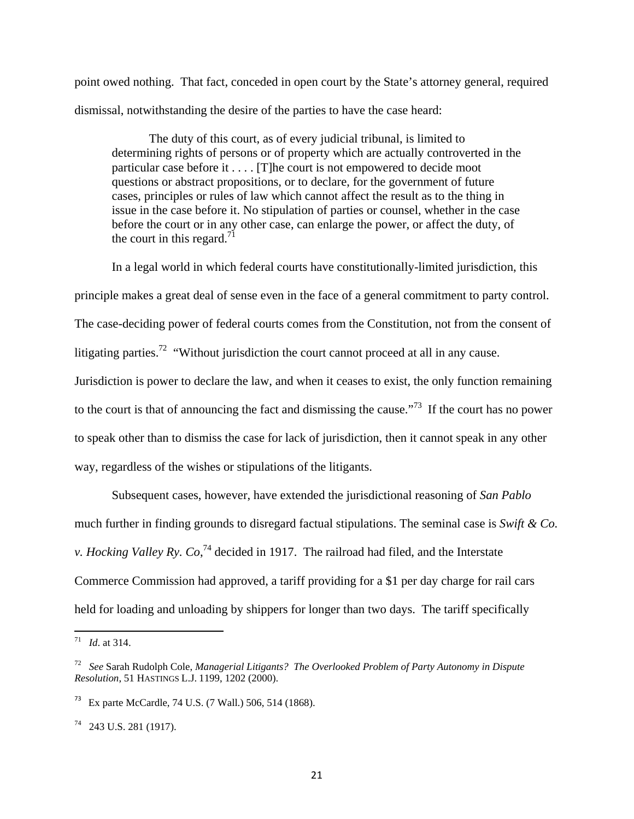point owed nothing. That fact, conceded in open court by the State's attorney general, required dismissal, notwithstanding the desire of the parties to have the case heard:

The duty of this court, as of every judicial tribunal, is limited to determining rights of persons or of property which are actually controverted in the particular case before it . . . . [T]he court is not empowered to decide moot questions or abstract propositions, or to declare, for the government of future cases, principles or rules of law which cannot affect the result as to the thing in issue in the case before it. No stipulation of parties or counsel, whether in the case before the court or in any other case, can enlarge the power, or affect the duty, of the court in this regard.<sup>71</sup>

In a legal world in which federal courts have constitutionally-limited jurisdiction, this

principle makes a great deal of sense even in the face of a general commitment to party control.

The case-deciding power of federal courts comes from the Constitution, not from the consent of

litigating parties.<sup>72</sup> "Without jurisdiction the court cannot proceed at all in any cause.

Jurisdiction is power to declare the law, and when it ceases to exist, the only function remaining to the court is that of announcing the fact and dismissing the cause."<sup>73</sup> If the court has no power to speak other than to dismiss the case for lack of jurisdiction, then it cannot speak in any other

way, regardless of the wishes or stipulations of the litigants.

Subsequent cases, however, have extended the jurisdictional reasoning of *San Pablo* much further in finding grounds to disregard factual stipulations. The seminal case is *Swift & Co. v. Hocking Valley Ry. Co*, 74 decided in 1917. The railroad had filed, and the Interstate Commerce Commission had approved, a tariff providing for a \$1 per day charge for rail cars held for loading and unloading by shippers for longer than two days. The tariff specifically

<sup>71</sup> *Id*. at 314.

<sup>72</sup> *See* Sarah Rudolph Cole, *Managerial Litigants? The Overlooked Problem of Party Autonomy in Dispute Resolution*, 51 HASTINGS L.J. 1199, 1202 (2000).

<sup>73</sup> Ex parte McCardle, 74 U.S. (7 Wall.) 506, 514 (1868).

<sup>74 243</sup> U.S. 281 (1917).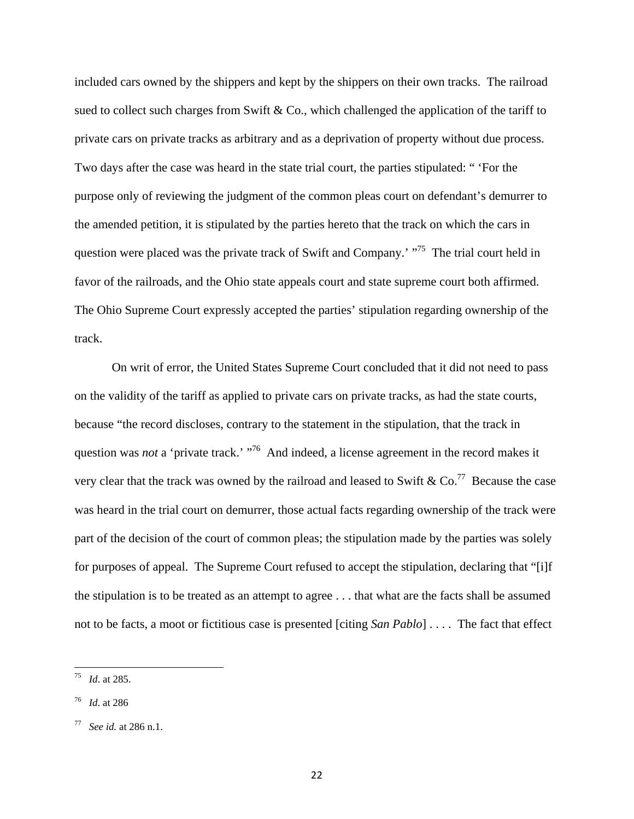included cars owned by the shippers and kept by the shippers on their own tracks. The railroad sued to collect such charges from Swift  $\&$  Co., which challenged the application of the tariff to private cars on private tracks as arbitrary and as a deprivation of property without due process. Two days after the case was heard in the state trial court, the parties stipulated: " 'For the purpose only of reviewing the judgment of the common pleas court on defendant's demurrer to the amended petition, it is stipulated by the parties hereto that the track on which the cars in question were placed was the private track of Swift and Company.' "<sup>75</sup> The trial court held in favor of the railroads, and the Ohio state appeals court and state supreme court both affirmed. The Ohio Supreme Court expressly accepted the parties' stipulation regarding ownership of the track.

On writ of error, the United States Supreme Court concluded that it did not need to pass on the validity of the tariff as applied to private cars on private tracks, as had the state courts, because "the record discloses, contrary to the statement in the stipulation, that the track in question was *not* a 'private track.' "<sup>76</sup> And indeed, a license agreement in the record makes it very clear that the track was owned by the railroad and leased to Swift &  $Co^{77}$  Because the case was heard in the trial court on demurrer, those actual facts regarding ownership of the track were part of the decision of the court of common pleas; the stipulation made by the parties was solely for purposes of appeal. The Supreme Court refused to accept the stipulation, declaring that "[i]f the stipulation is to be treated as an attempt to agree . . . that what are the facts shall be assumed not to be facts, a moot or fictitious case is presented [citing *San Pablo*] . . . . The fact that effect

<sup>75</sup> *Id*. at 285.

<sup>76</sup> *Id*. at 286

<sup>77</sup> *See id.* at 286 n.1.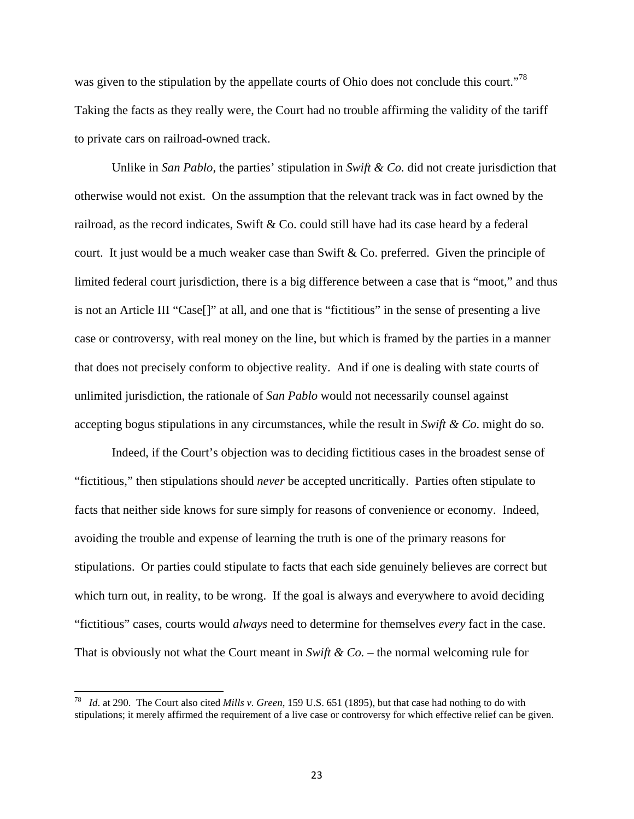was given to the stipulation by the appellate courts of Ohio does not conclude this court."<sup>78</sup> Taking the facts as they really were, the Court had no trouble affirming the validity of the tariff to private cars on railroad-owned track.

 Unlike in *San Pablo*, the parties' stipulation in *Swift & Co.* did not create jurisdiction that otherwise would not exist. On the assumption that the relevant track was in fact owned by the railroad, as the record indicates, Swift & Co. could still have had its case heard by a federal court. It just would be a much weaker case than Swift & Co. preferred. Given the principle of limited federal court jurisdiction, there is a big difference between a case that is "moot," and thus is not an Article III "Case[]" at all, and one that is "fictitious" in the sense of presenting a live case or controversy, with real money on the line, but which is framed by the parties in a manner that does not precisely conform to objective reality. And if one is dealing with state courts of unlimited jurisdiction, the rationale of *San Pablo* would not necessarily counsel against accepting bogus stipulations in any circumstances, while the result in *Swift & Co*. might do so.

Indeed, if the Court's objection was to deciding fictitious cases in the broadest sense of "fictitious," then stipulations should *never* be accepted uncritically. Parties often stipulate to facts that neither side knows for sure simply for reasons of convenience or economy. Indeed, avoiding the trouble and expense of learning the truth is one of the primary reasons for stipulations. Or parties could stipulate to facts that each side genuinely believes are correct but which turn out, in reality, to be wrong. If the goal is always and everywhere to avoid deciding "fictitious" cases, courts would *always* need to determine for themselves *every* fact in the case. That is obviously not what the Court meant in *Swift & Co.* – the normal welcoming rule for

<sup>78</sup> *Id*. at 290. The Court also cited *Mills v. Green*, 159 U.S. 651 (1895), but that case had nothing to do with stipulations; it merely affirmed the requirement of a live case or controversy for which effective relief can be given.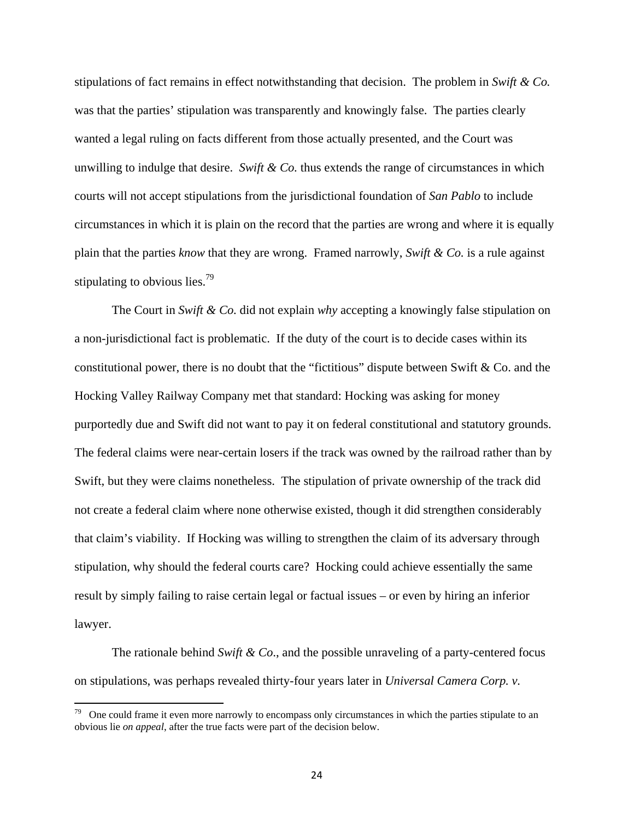stipulations of fact remains in effect notwithstanding that decision. The problem in *Swift & Co.*  was that the parties' stipulation was transparently and knowingly false. The parties clearly wanted a legal ruling on facts different from those actually presented, and the Court was unwilling to indulge that desire. *Swift & Co.* thus extends the range of circumstances in which courts will not accept stipulations from the jurisdictional foundation of *San Pablo* to include circumstances in which it is plain on the record that the parties are wrong and where it is equally plain that the parties *know* that they are wrong. Framed narrowly, *Swift & Co.* is a rule against stipulating to obvious lies.<sup>79</sup>

The Court in *Swift & Co.* did not explain *why* accepting a knowingly false stipulation on a non-jurisdictional fact is problematic. If the duty of the court is to decide cases within its constitutional power, there is no doubt that the "fictitious" dispute between Swift & Co. and the Hocking Valley Railway Company met that standard: Hocking was asking for money purportedly due and Swift did not want to pay it on federal constitutional and statutory grounds. The federal claims were near-certain losers if the track was owned by the railroad rather than by Swift, but they were claims nonetheless. The stipulation of private ownership of the track did not create a federal claim where none otherwise existed, though it did strengthen considerably that claim's viability. If Hocking was willing to strengthen the claim of its adversary through stipulation, why should the federal courts care? Hocking could achieve essentially the same result by simply failing to raise certain legal or factual issues – or even by hiring an inferior lawyer.

The rationale behind *Swift & Co*., and the possible unraveling of a party-centered focus on stipulations, was perhaps revealed thirty-four years later in *Universal Camera Corp. v.* 

 $79$  One could frame it even more narrowly to encompass only circumstances in which the parties stipulate to an obvious lie *on appeal*, after the true facts were part of the decision below.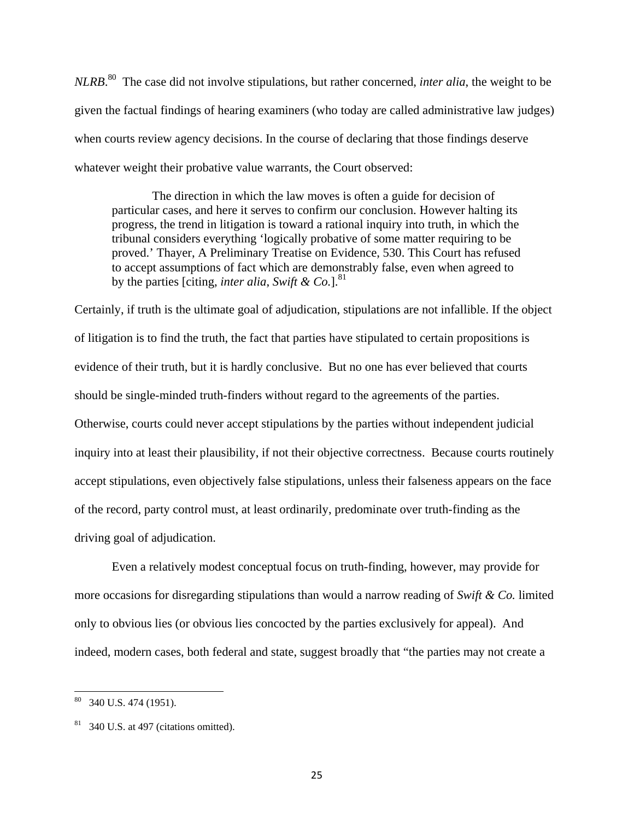*NLRB*. 80 The case did not involve stipulations, but rather concerned, *inter alia*, the weight to be given the factual findings of hearing examiners (who today are called administrative law judges) when courts review agency decisions. In the course of declaring that those findings deserve whatever weight their probative value warrants, the Court observed:

 The direction in which the law moves is often a guide for decision of particular cases, and here it serves to confirm our conclusion. However halting its progress, the trend in litigation is toward a rational inquiry into truth, in which the tribunal considers everything 'logically probative of some matter requiring to be proved.' Thayer, A Preliminary Treatise on Evidence, 530. This Court has refused to accept assumptions of fact which are demonstrably false, even when agreed to by the parties [citing, *inter alia*, *Swift & Co.*].<sup>81</sup>

Certainly, if truth is the ultimate goal of adjudication, stipulations are not infallible. If the object of litigation is to find the truth, the fact that parties have stipulated to certain propositions is evidence of their truth, but it is hardly conclusive. But no one has ever believed that courts should be single-minded truth-finders without regard to the agreements of the parties. Otherwise, courts could never accept stipulations by the parties without independent judicial inquiry into at least their plausibility, if not their objective correctness. Because courts routinely accept stipulations, even objectively false stipulations, unless their falseness appears on the face of the record, party control must, at least ordinarily, predominate over truth-finding as the driving goal of adjudication.

Even a relatively modest conceptual focus on truth-finding, however, may provide for more occasions for disregarding stipulations than would a narrow reading of *Swift & Co.* limited only to obvious lies (or obvious lies concocted by the parties exclusively for appeal). And indeed, modern cases, both federal and state, suggest broadly that "the parties may not create a

 $80$  340 U.S. 474 (1951).

 $81$  340 U.S. at 497 (citations omitted).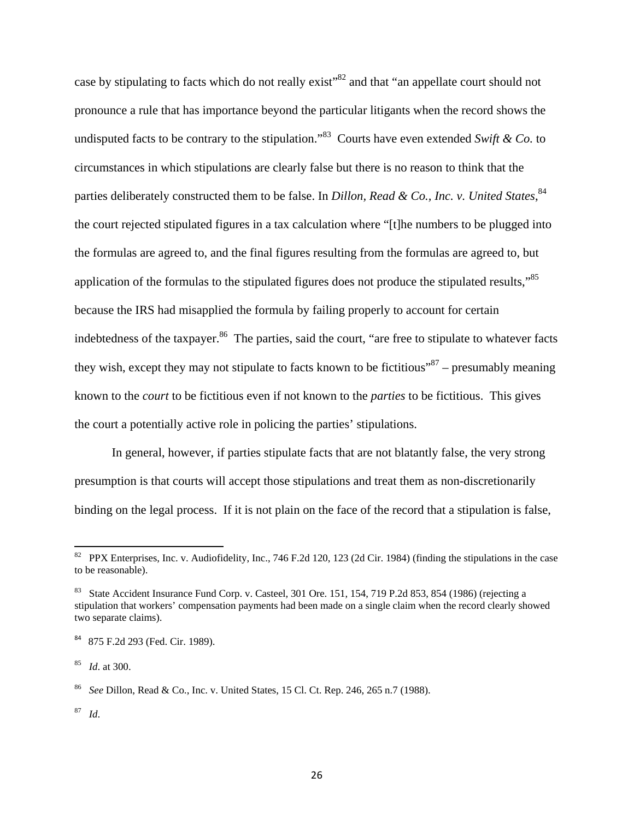case by stipulating to facts which do not really exist"<sup>82</sup> and that "an appellate court should not pronounce a rule that has importance beyond the particular litigants when the record shows the undisputed facts to be contrary to the stipulation."83 Courts have even extended *Swift & Co.* to circumstances in which stipulations are clearly false but there is no reason to think that the parties deliberately constructed them to be false. In *Dillon, Read & Co., Inc. v. United States*, <sup>84</sup> the court rejected stipulated figures in a tax calculation where "[t]he numbers to be plugged into the formulas are agreed to, and the final figures resulting from the formulas are agreed to, but application of the formulas to the stipulated figures does not produce the stipulated results,"<sup>85</sup> because the IRS had misapplied the formula by failing properly to account for certain indebtedness of the taxpayer.<sup>86</sup> The parties, said the court, "are free to stipulate to whatever facts they wish, except they may not stipulate to facts known to be fictitious<sup> $37$ </sup> – presumably meaning known to the *court* to be fictitious even if not known to the *parties* to be fictitious. This gives the court a potentially active role in policing the parties' stipulations.

In general, however, if parties stipulate facts that are not blatantly false, the very strong presumption is that courts will accept those stipulations and treat them as non-discretionarily binding on the legal process. If it is not plain on the face of the record that a stipulation is false,

87 *Id*.

 $82$  PPX Enterprises, Inc. v. Audiofidelity, Inc., 746 F.2d 120, 123 (2d Cir. 1984) (finding the stipulations in the case to be reasonable).

<sup>83</sup> State Accident Insurance Fund Corp. v. Casteel*,* 301 Ore. 151, 154, 719 P.2d 853, 854 (1986) (rejecting a stipulation that workers' compensation payments had been made on a single claim when the record clearly showed two separate claims).

<sup>&</sup>lt;sup>84</sup> 875 F.2d 293 (Fed. Cir. 1989).

<sup>85</sup> *Id*. at 300.

<sup>86</sup> *See* Dillon, Read & Co., Inc. v. United States, 15 Cl. Ct. Rep. 246, 265 n.7 (1988).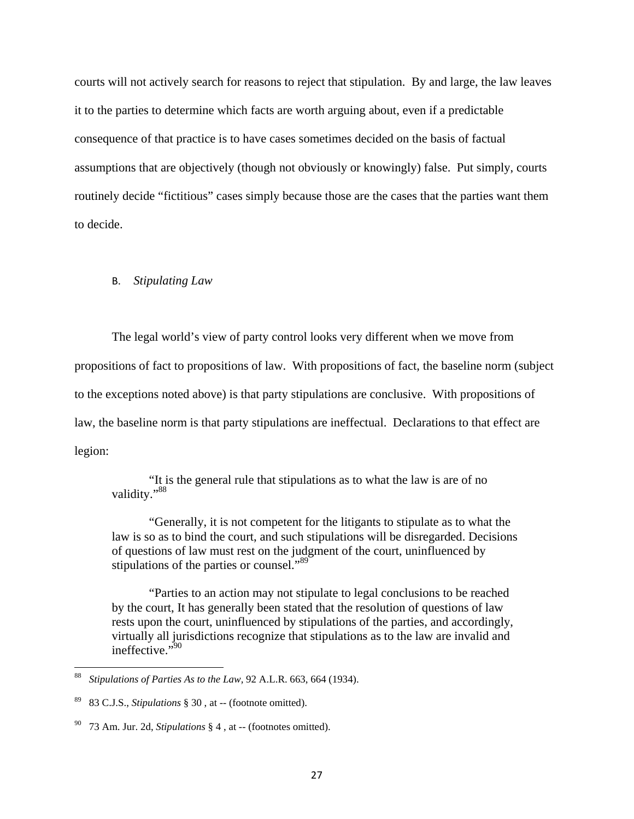courts will not actively search for reasons to reject that stipulation. By and large, the law leaves it to the parties to determine which facts are worth arguing about, even if a predictable consequence of that practice is to have cases sometimes decided on the basis of factual assumptions that are objectively (though not obviously or knowingly) false. Put simply, courts routinely decide "fictitious" cases simply because those are the cases that the parties want them to decide.

# B. *Stipulating Law*

The legal world's view of party control looks very different when we move from

propositions of fact to propositions of law. With propositions of fact, the baseline norm (subject

to the exceptions noted above) is that party stipulations are conclusive. With propositions of

law, the baseline norm is that party stipulations are ineffectual. Declarations to that effect are

legion:

"It is the general rule that stipulations as to what the law is are of no validity."<sup>88</sup>

"Generally, it is not competent for the litigants to stipulate as to what the law is so as to bind the court, and such stipulations will be disregarded. Decisions of questions of law must rest on the judgment of the court, uninfluenced by stipulations of the parties or counsel."<sup>89</sup>

"Parties to an action may not stipulate to legal conclusions to be reached by the court, It has generally been stated that the resolution of questions of law rests upon the court, uninfluenced by stipulations of the parties, and accordingly, virtually all jurisdictions recognize that stipulations as to the law are invalid and ineffective."90

<sup>88</sup> *Stipulations of Parties As to the Law,* 92 A.L.R. 663, 664 (1934).

<sup>89 83</sup> C.J.S., *Stipulations* § 30 , at -- (footnote omitted).

<sup>90 73</sup> Am. Jur. 2d, *Stipulations* § 4 , at -- (footnotes omitted).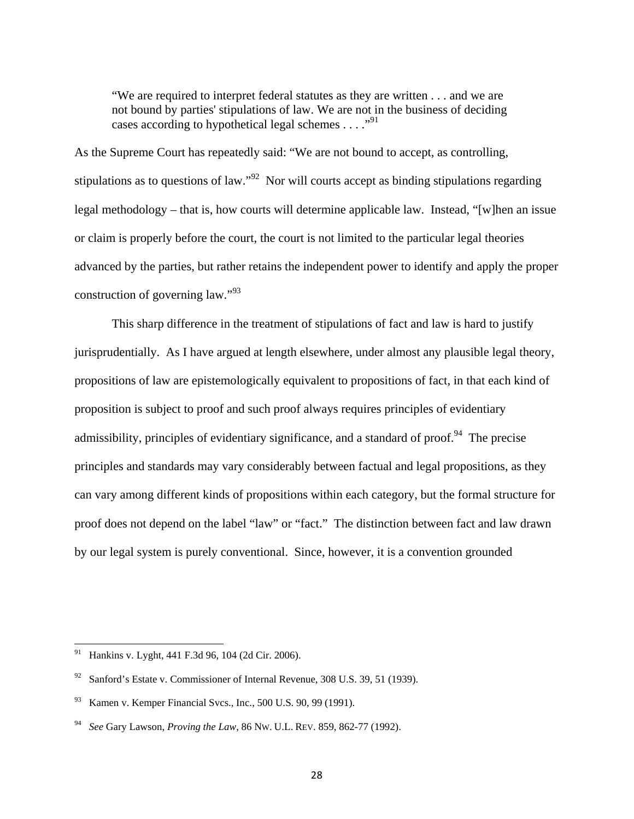"We are required to interpret federal statutes as they are written . . . and we are not bound by parties' stipulations of law. We are not in the business of deciding cases according to hypothetical legal schemes  $\dots$ ."<sup>91</sup>

As the Supreme Court has repeatedly said: "We are not bound to accept, as controlling, stipulations as to questions of law."<sup>92</sup> Nor will courts accept as binding stipulations regarding legal methodology – that is, how courts will determine applicable law. Instead, "[w]hen an issue or claim is properly before the court, the court is not limited to the particular legal theories advanced by the parties, but rather retains the independent power to identify and apply the proper construction of governing law."<sup>93</sup>

 This sharp difference in the treatment of stipulations of fact and law is hard to justify jurisprudentially. As I have argued at length elsewhere, under almost any plausible legal theory, propositions of law are epistemologically equivalent to propositions of fact, in that each kind of proposition is subject to proof and such proof always requires principles of evidentiary admissibility, principles of evidentiary significance, and a standard of proof.<sup>94</sup> The precise principles and standards may vary considerably between factual and legal propositions, as they can vary among different kinds of propositions within each category, but the formal structure for proof does not depend on the label "law" or "fact." The distinction between fact and law drawn by our legal system is purely conventional. Since, however, it is a convention grounded

Hankins v. Lyght, 441 F.3d 96, 104 (2d Cir. 2006).

Sanford's Estate v. Commissioner of Internal Revenue, 308 U.S. 39, 51 (1939).

<sup>93</sup> Kamen v. Kemper Financial Svcs., Inc., 500 U.S. 90, 99 (1991).

<sup>94</sup> *See* Gary Lawson, *Proving the Law*, 86 NW. U.L. REV. 859, 862-77 (1992).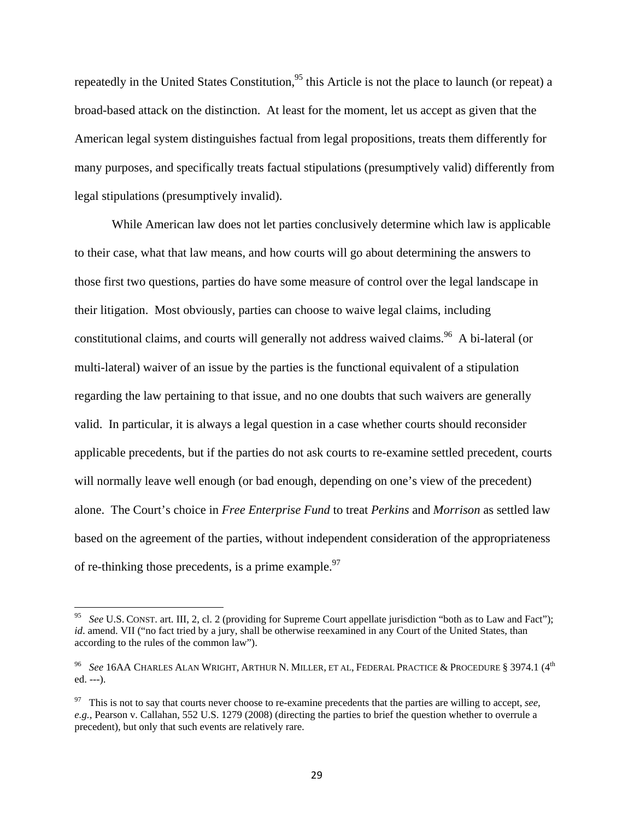repeatedly in the United States Constitution,  $95$  this Article is not the place to launch (or repeat) a broad-based attack on the distinction. At least for the moment, let us accept as given that the American legal system distinguishes factual from legal propositions, treats them differently for many purposes, and specifically treats factual stipulations (presumptively valid) differently from legal stipulations (presumptively invalid).

While American law does not let parties conclusively determine which law is applicable to their case, what that law means, and how courts will go about determining the answers to those first two questions, parties do have some measure of control over the legal landscape in their litigation. Most obviously, parties can choose to waive legal claims, including constitutional claims, and courts will generally not address waived claims.<sup>96</sup> A bi-lateral (or multi-lateral) waiver of an issue by the parties is the functional equivalent of a stipulation regarding the law pertaining to that issue, and no one doubts that such waivers are generally valid. In particular, it is always a legal question in a case whether courts should reconsider applicable precedents, but if the parties do not ask courts to re-examine settled precedent, courts will normally leave well enough (or bad enough, depending on one's view of the precedent) alone. The Court's choice in *Free Enterprise Fund* to treat *Perkins* and *Morrison* as settled law based on the agreement of the parties, without independent consideration of the appropriateness of re-thinking those precedents, is a prime example.  $97$ 

<sup>95</sup> *See* U.S. CONST. art. III, 2, cl. 2 (providing for Supreme Court appellate jurisdiction "both as to Law and Fact"); *id.* amend. VII ("no fact tried by a jury, shall be otherwise reexamined in any Court of the United States, than according to the rules of the common law").

<sup>96</sup> *See* 16AA CHARLES ALAN WRIGHT, ARTHUR N. MILLER, ET AL, FEDERAL PRACTICE & PROCEDURE § 3974.1 (4th ed. ---).

<sup>97</sup> This is not to say that courts never choose to re-examine precedents that the parties are willing to accept, *see, e.g.,* Pearson v. Callahan, 552 U.S. 1279 (2008) (directing the parties to brief the question whether to overrule a precedent), but only that such events are relatively rare.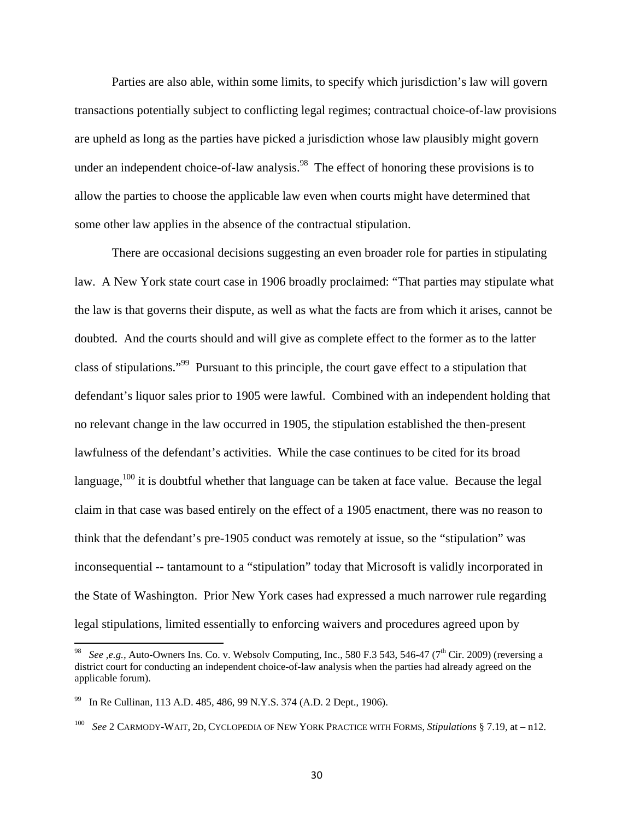Parties are also able, within some limits, to specify which jurisdiction's law will govern transactions potentially subject to conflicting legal regimes; contractual choice-of-law provisions are upheld as long as the parties have picked a jurisdiction whose law plausibly might govern under an independent choice-of-law analysis.<sup>98</sup> The effect of honoring these provisions is to allow the parties to choose the applicable law even when courts might have determined that some other law applies in the absence of the contractual stipulation.

There are occasional decisions suggesting an even broader role for parties in stipulating law. A New York state court case in 1906 broadly proclaimed: "That parties may stipulate what the law is that governs their dispute, as well as what the facts are from which it arises, cannot be doubted. And the courts should and will give as complete effect to the former as to the latter class of stipulations."99 Pursuant to this principle, the court gave effect to a stipulation that defendant's liquor sales prior to 1905 were lawful. Combined with an independent holding that no relevant change in the law occurred in 1905, the stipulation established the then-present lawfulness of the defendant's activities. While the case continues to be cited for its broad language, $100$  it is doubtful whether that language can be taken at face value. Because the legal claim in that case was based entirely on the effect of a 1905 enactment, there was no reason to think that the defendant's pre-1905 conduct was remotely at issue, so the "stipulation" was inconsequential -- tantamount to a "stipulation" today that Microsoft is validly incorporated in the State of Washington. Prior New York cases had expressed a much narrower rule regarding legal stipulations, limited essentially to enforcing waivers and procedures agreed upon by

<sup>&</sup>lt;sup>98</sup> *See ,e.g., Auto-Owners Ins. Co. v. Websolv Computing, Inc., 580 F.3 543, 546-47 (7<sup>th</sup> Cir. 2009) (reversing a* district court for conducting an independent choice-of-law analysis when the parties had already agreed on the applicable forum).

<sup>99</sup> In Re Cullinan, 113 A.D. 485, 486, 99 N.Y.S. 374 (A.D. 2 Dept., 1906).

<sup>100</sup> *See* 2 CARMODY-WAIT, 2D, CYCLOPEDIA OF NEW YORK PRACTICE WITH FORMS, *Stipulations* § 7.19, at – n12.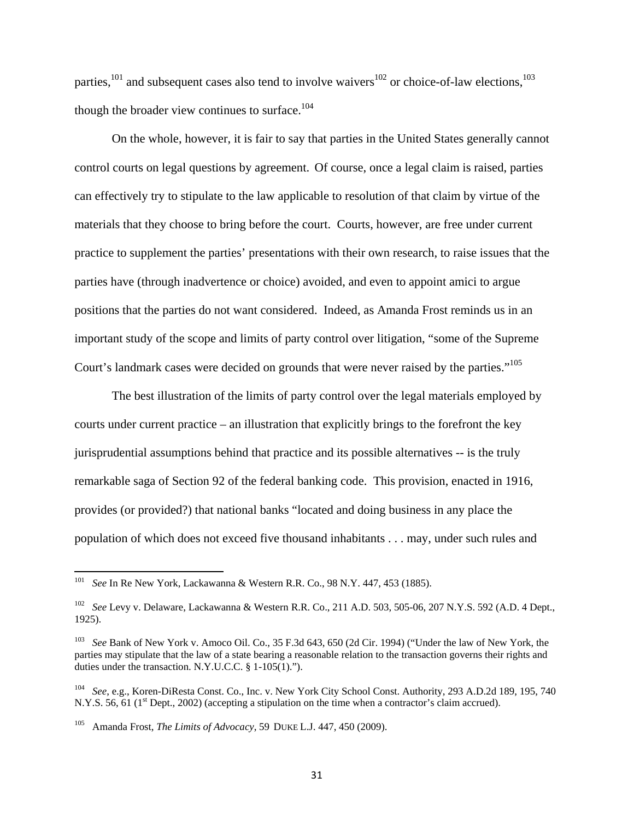parties,<sup>101</sup> and subsequent cases also tend to involve waivers<sup>102</sup> or choice-of-law elections,<sup>103</sup> though the broader view continues to surface.<sup>104</sup>

On the whole, however, it is fair to say that parties in the United States generally cannot control courts on legal questions by agreement. Of course, once a legal claim is raised, parties can effectively try to stipulate to the law applicable to resolution of that claim by virtue of the materials that they choose to bring before the court. Courts, however, are free under current practice to supplement the parties' presentations with their own research, to raise issues that the parties have (through inadvertence or choice) avoided, and even to appoint amici to argue positions that the parties do not want considered. Indeed, as Amanda Frost reminds us in an important study of the scope and limits of party control over litigation, "some of the Supreme Court's landmark cases were decided on grounds that were never raised by the parties."105

The best illustration of the limits of party control over the legal materials employed by courts under current practice – an illustration that explicitly brings to the forefront the key jurisprudential assumptions behind that practice and its possible alternatives -- is the truly remarkable saga of Section 92 of the federal banking code. This provision, enacted in 1916, provides (or provided?) that national banks "located and doing business in any place the population of which does not exceed five thousand inhabitants . . . may, under such rules and

<sup>101</sup> *See* In Re New York, Lackawanna & Western R.R. Co., 98 N.Y. 447, 453 (1885).

<sup>102</sup> *See* Levy v. Delaware, Lackawanna & Western R.R. Co., 211 A.D. 503, 505-06, 207 N.Y.S. 592 (A.D. 4 Dept., 1925).

<sup>103</sup> *See* Bank of New York v. Amoco Oil. Co., 35 F.3d 643, 650 (2d Cir. 1994) ("Under the law of New York, the parties may stipulate that the law of a state bearing a reasonable relation to the transaction governs their rights and duties under the transaction. N.Y.U.C.C. § 1-105(1).").

<sup>104</sup> *See*, e.g., Koren-DiResta Const. Co., Inc. v. New York City School Const. Authority, 293 A.D.2d 189, 195, 740 N.Y.S. 56, 61 (1<sup>st</sup> Dept., 2002) (accepting a stipulation on the time when a contractor's claim accrued).

<sup>105</sup> Amanda Frost, *The Limits of Advocacy*, 59 DUKE L.J. 447, 450 (2009).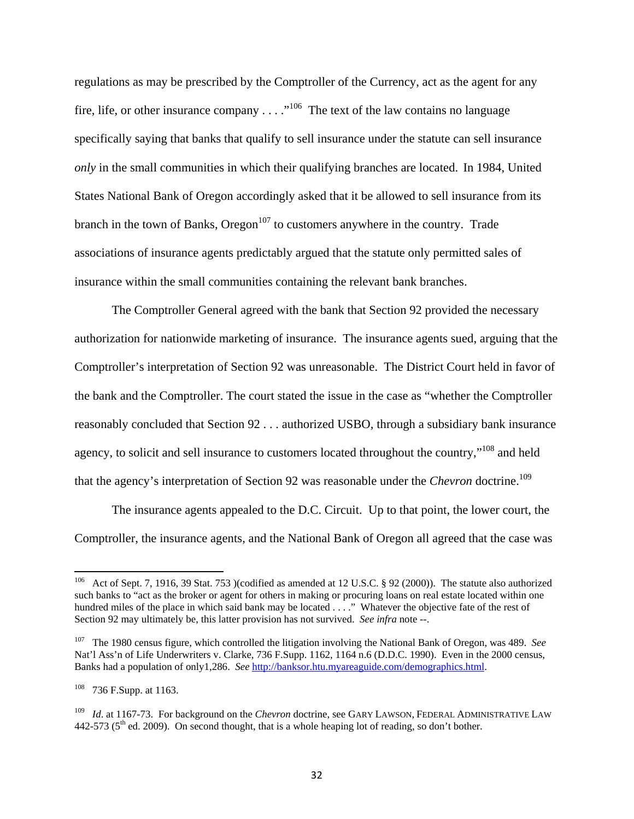regulations as may be prescribed by the Comptroller of the Currency, act as the agent for any fire, life, or other insurance company  $\dots$  ..."<sup>106</sup> The text of the law contains no language specifically saying that banks that qualify to sell insurance under the statute can sell insurance *only* in the small communities in which their qualifying branches are located. In 1984, United States National Bank of Oregon accordingly asked that it be allowed to sell insurance from its branch in the town of Banks, Oregon<sup>107</sup> to customers anywhere in the country. Trade associations of insurance agents predictably argued that the statute only permitted sales of insurance within the small communities containing the relevant bank branches.

The Comptroller General agreed with the bank that Section 92 provided the necessary authorization for nationwide marketing of insurance. The insurance agents sued, arguing that the Comptroller's interpretation of Section 92 was unreasonable. The District Court held in favor of the bank and the Comptroller. The court stated the issue in the case as "whether the Comptroller reasonably concluded that Section 92 . . . authorized USBO, through a subsidiary bank insurance agency, to solicit and sell insurance to customers located throughout the country,"108 and held that the agency's interpretation of Section 92 was reasonable under the *Chevron* doctrine.<sup>109</sup>

The insurance agents appealed to the D.C. Circuit. Up to that point, the lower court, the Comptroller, the insurance agents, and the National Bank of Oregon all agreed that the case was

<sup>&</sup>lt;sup>106</sup> Act of Sept. 7, 1916, 39 Stat. 753 )(codified as amended at 12 U.S.C. § 92 (2000)). The statute also authorized such banks to "act as the broker or agent for others in making or procuring loans on real estate located within one hundred miles of the place in which said bank may be located . . . ." Whatever the objective fate of the rest of Section 92 may ultimately be, this latter provision has not survived. *See infra* note --.

<sup>107</sup> The 1980 census figure, which controlled the litigation involving the National Bank of Oregon, was 489. *See* Nat'l Ass'n of Life Underwriters v. Clarke, 736 F.Supp. 1162, 1164 n.6 (D.D.C. 1990). Even in the 2000 census, Banks had a population of only1,286. *See* http://banksor.htu.myareaguide.com/demographics.html.

<sup>&</sup>lt;sup>108</sup> 736 F.Supp. at 1163.

<sup>109</sup> *Id*. at 1167-73. For background on the *Chevron* doctrine, see GARY LAWSON, FEDERAL ADMINISTRATIVE LAW 442-573 ( $5<sup>th</sup>$  ed. 2009). On second thought, that is a whole heaping lot of reading, so don't bother.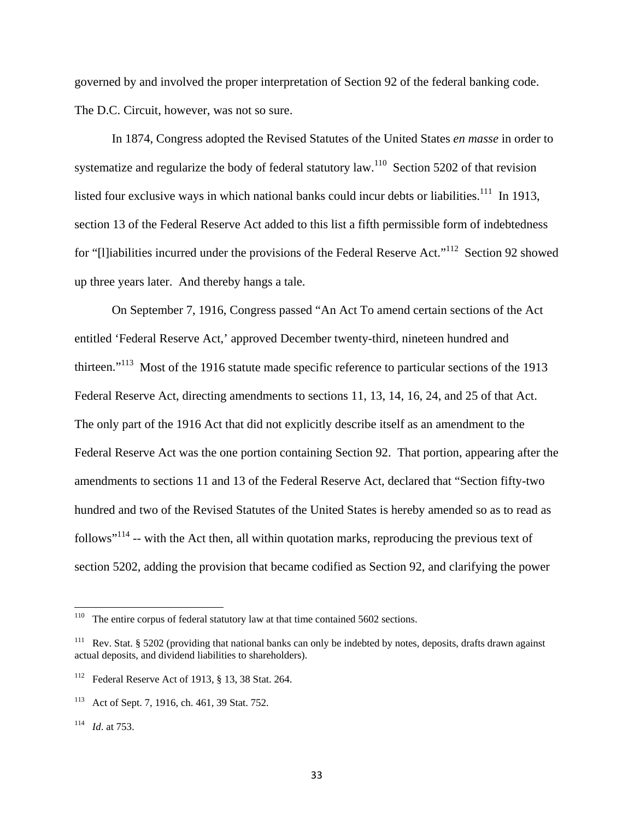governed by and involved the proper interpretation of Section 92 of the federal banking code. The D.C. Circuit, however, was not so sure.

In 1874, Congress adopted the Revised Statutes of the United States *en masse* in order to systematize and regularize the body of federal statutory law.<sup>110</sup> Section 5202 of that revision listed four exclusive ways in which national banks could incur debts or liabilities.<sup>111</sup> In 1913, section 13 of the Federal Reserve Act added to this list a fifth permissible form of indebtedness for "[l]iabilities incurred under the provisions of the Federal Reserve Act."<sup>112</sup> Section 92 showed up three years later. And thereby hangs a tale.

 On September 7, 1916, Congress passed "An Act To amend certain sections of the Act entitled 'Federal Reserve Act,' approved December twenty-third, nineteen hundred and thirteen."113 Most of the 1916 statute made specific reference to particular sections of the 1913 Federal Reserve Act, directing amendments to sections 11, 13, 14, 16, 24, and 25 of that Act. The only part of the 1916 Act that did not explicitly describe itself as an amendment to the Federal Reserve Act was the one portion containing Section 92. That portion, appearing after the amendments to sections 11 and 13 of the Federal Reserve Act, declared that "Section fifty-two hundred and two of the Revised Statutes of the United States is hereby amended so as to read as follows"<sup>114</sup> -- with the Act then, all within quotation marks, reproducing the previous text of section 5202, adding the provision that became codified as Section 92, and clarifying the power

<sup>&</sup>lt;sup>110</sup> The entire corpus of federal statutory law at that time contained 5602 sections.

<sup>&</sup>lt;sup>111</sup> Rev. Stat. § 5202 (providing that national banks can only be indebted by notes, deposits, drafts drawn against actual deposits, and dividend liabilities to shareholders).

<sup>112</sup> Federal Reserve Act of 1913, § 13, 38 Stat. 264.

<sup>113</sup> Act of Sept. 7, 1916, ch. 461, 39 Stat. 752.

<sup>114</sup> *Id*. at 753.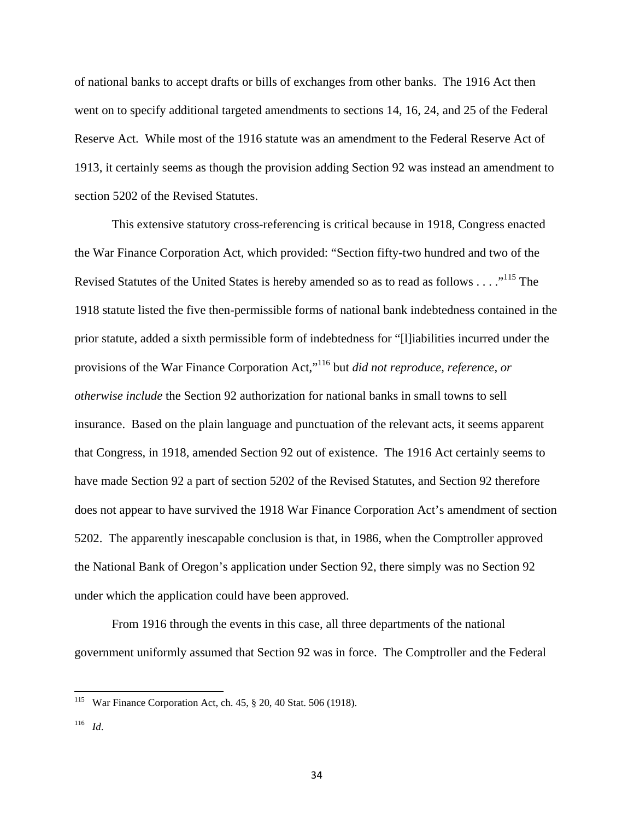of national banks to accept drafts or bills of exchanges from other banks. The 1916 Act then went on to specify additional targeted amendments to sections 14, 16, 24, and 25 of the Federal Reserve Act. While most of the 1916 statute was an amendment to the Federal Reserve Act of 1913, it certainly seems as though the provision adding Section 92 was instead an amendment to section 5202 of the Revised Statutes.

 This extensive statutory cross-referencing is critical because in 1918, Congress enacted the War Finance Corporation Act, which provided: "Section fifty-two hundred and two of the Revised Statutes of the United States is hereby amended so as to read as follows . . . ."<sup>115</sup> The 1918 statute listed the five then-permissible forms of national bank indebtedness contained in the prior statute, added a sixth permissible form of indebtedness for "[l]iabilities incurred under the provisions of the War Finance Corporation Act,"116 but *did not reproduce, reference, or otherwise include* the Section 92 authorization for national banks in small towns to sell insurance. Based on the plain language and punctuation of the relevant acts, it seems apparent that Congress, in 1918, amended Section 92 out of existence. The 1916 Act certainly seems to have made Section 92 a part of section 5202 of the Revised Statutes, and Section 92 therefore does not appear to have survived the 1918 War Finance Corporation Act's amendment of section 5202. The apparently inescapable conclusion is that, in 1986, when the Comptroller approved the National Bank of Oregon's application under Section 92, there simply was no Section 92 under which the application could have been approved.

From 1916 through the events in this case, all three departments of the national government uniformly assumed that Section 92 was in force. The Comptroller and the Federal

War Finance Corporation Act, ch. 45, § 20, 40 Stat. 506 (1918).

<sup>116</sup> *Id*.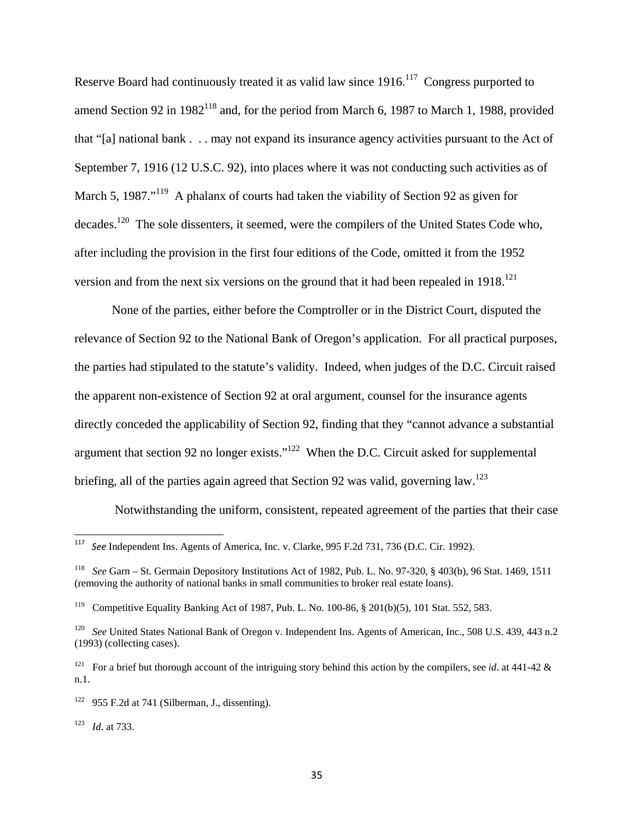Reserve Board had continuously treated it as valid law since 1916.<sup>117</sup> Congress purported to amend Section 92 in  $1982^{118}$  and, for the period from March 6, 1987 to March 1, 1988, provided that "[a] national bank . . . may not expand its insurance agency activities pursuant to the Act of September 7, 1916 (12 U.S.C. 92), into places where it was not conducting such activities as of March 5, 1987."<sup>119</sup> A phalanx of courts had taken the viability of Section 92 as given for decades.<sup>120</sup> The sole dissenters, it seemed, were the compilers of the United States Code who, after including the provision in the first four editions of the Code, omitted it from the 1952 version and from the next six versions on the ground that it had been repealed in  $1918$ <sup>121</sup>

None of the parties, either before the Comptroller or in the District Court, disputed the relevance of Section 92 to the National Bank of Oregon's application. For all practical purposes, the parties had stipulated to the statute's validity. Indeed, when judges of the D.C. Circuit raised the apparent non-existence of Section 92 at oral argument, counsel for the insurance agents directly conceded the applicability of Section 92, finding that they "cannot advance a substantial argument that section 92 no longer exists."<sup>122</sup> When the D.C. Circuit asked for supplemental briefing, all of the parties again agreed that Section 92 was valid, governing law.<sup>123</sup>

Notwithstanding the uniform, consistent, repeated agreement of the parties that their case

<sup>117</sup> *See* Independent Ins. Agents of America, Inc. v. Clarke, 995 F.2d 731, 736 (D.C. Cir. 1992).

<sup>118</sup> *See* Garn – St. Germain Depository Institutions Act of 1982, Pub. L. No. 97-320, § 403(b), 96 Stat. 1469, 1511 (removing the authority of national banks in small communities to broker real estate loans).

<sup>119</sup> Competitive Equality Banking Act of 1987, Pub. L. No. 100-86, § 201(b)(5), 101 Stat. 552, 583.

<sup>&</sup>lt;sup>120</sup> *See* United States National Bank of Oregon v. Independent Ins. Agents of American, Inc., 508 U.S. 439, 443 n.2 (1993) (collecting cases).

<sup>&</sup>lt;sup>121</sup> For a brief but thorough account of the intriguing story behind this action by the compilers, see *id*. at 441-42  $\&$ n.1.

 $122$  955 F.2d at 741 (Silberman, J., dissenting).

<sup>123</sup> *Id*. at 733.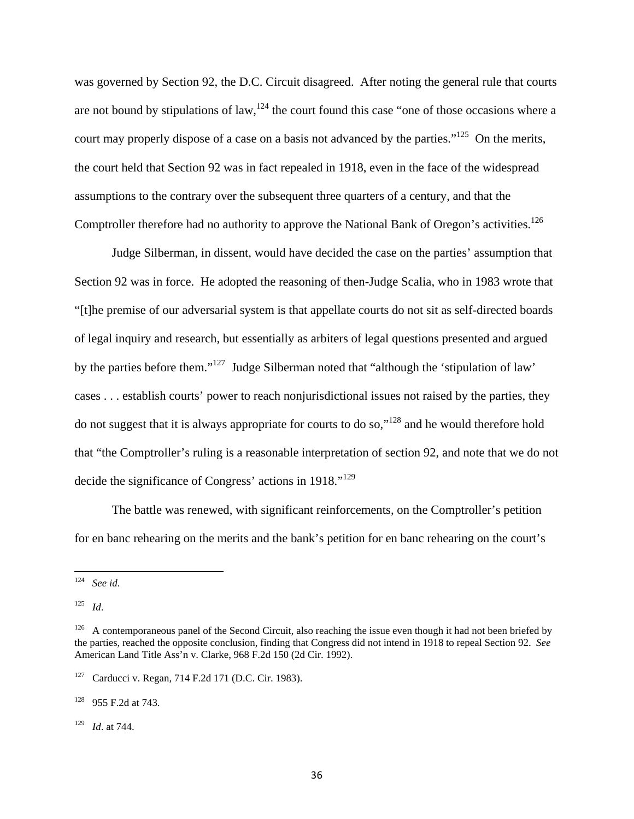was governed by Section 92, the D.C. Circuit disagreed. After noting the general rule that courts are not bound by stipulations of law,<sup>124</sup> the court found this case "one of those occasions where a court may properly dispose of a case on a basis not advanced by the parties."<sup>125</sup> On the merits, the court held that Section 92 was in fact repealed in 1918, even in the face of the widespread assumptions to the contrary over the subsequent three quarters of a century, and that the Comptroller therefore had no authority to approve the National Bank of Oregon's activities.<sup>126</sup>

Judge Silberman, in dissent, would have decided the case on the parties' assumption that Section 92 was in force. He adopted the reasoning of then-Judge Scalia, who in 1983 wrote that "[t]he premise of our adversarial system is that appellate courts do not sit as self-directed boards of legal inquiry and research, but essentially as arbiters of legal questions presented and argued by the parties before them."127 Judge Silberman noted that "although the 'stipulation of law' cases . . . establish courts' power to reach nonjurisdictional issues not raised by the parties, they do not suggest that it is always appropriate for courts to do so,"128 and he would therefore hold that "the Comptroller's ruling is a reasonable interpretation of section 92, and note that we do not decide the significance of Congress' actions in 1918."<sup>129</sup>

The battle was renewed, with significant reinforcements, on the Comptroller's petition for en banc rehearing on the merits and the bank's petition for en banc rehearing on the court's

129 *Id*. at 744.

<sup>124</sup> *See id*.

<sup>125</sup> *Id*.

<sup>&</sup>lt;sup>126</sup> A contemporaneous panel of the Second Circuit, also reaching the issue even though it had not been briefed by the parties, reached the opposite conclusion, finding that Congress did not intend in 1918 to repeal Section 92. *See* American Land Title Ass'n v. Clarke, 968 F.2d 150 (2d Cir. 1992).

<sup>127</sup> Carducci v. Regan, 714 F.2d 171 (D.C. Cir. 1983).

<sup>128 955</sup> F.2d at 743.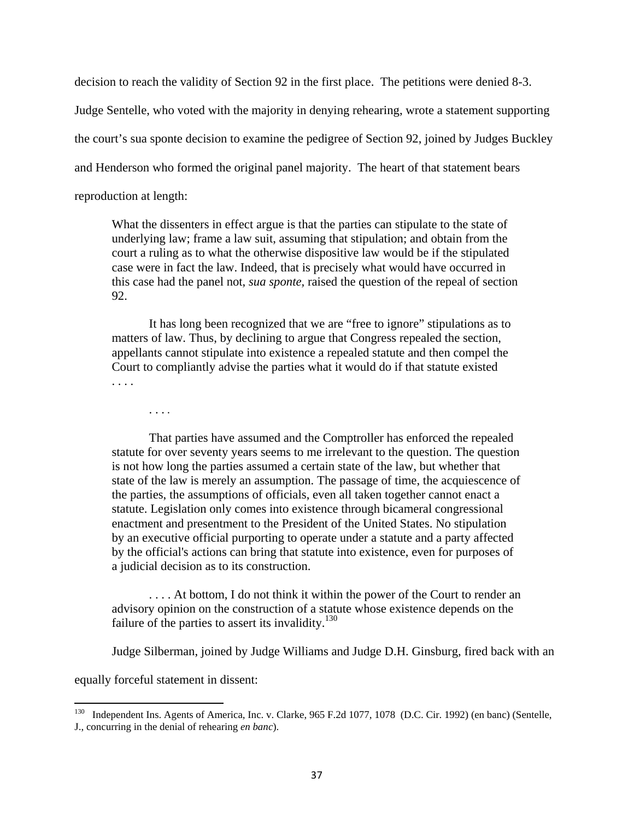decision to reach the validity of Section 92 in the first place. The petitions were denied 8-3.

Judge Sentelle, who voted with the majority in denying rehearing, wrote a statement supporting

the court's sua sponte decision to examine the pedigree of Section 92, joined by Judges Buckley

and Henderson who formed the original panel majority. The heart of that statement bears

reproduction at length:

What the dissenters in effect argue is that the parties can stipulate to the state of underlying law; frame a law suit, assuming that stipulation; and obtain from the court a ruling as to what the otherwise dispositive law would be if the stipulated case were in fact the law. Indeed, that is precisely what would have occurred in this case had the panel not, *sua sponte,* raised the question of the repeal of section 92.

It has long been recognized that we are "free to ignore" stipulations as to matters of law. Thus, by declining to argue that Congress repealed the section, appellants cannot stipulate into existence a repealed statute and then compel the Court to compliantly advise the parties what it would do if that statute existed . . . .

. . . .

That parties have assumed and the Comptroller has enforced the repealed statute for over seventy years seems to me irrelevant to the question. The question is not how long the parties assumed a certain state of the law, but whether that state of the law is merely an assumption. The passage of time, the acquiescence of the parties, the assumptions of officials, even all taken together cannot enact a statute. Legislation only comes into existence through bicameral congressional enactment and presentment to the President of the United States. No stipulation by an executive official purporting to operate under a statute and a party affected by the official's actions can bring that statute into existence, even for purposes of a judicial decision as to its construction.

. . . . At bottom, I do not think it within the power of the Court to render an advisory opinion on the construction of a statute whose existence depends on the failure of the parties to assert its invalidity. $130$ 

Judge Silberman, joined by Judge Williams and Judge D.H. Ginsburg, fired back with an

equally forceful statement in dissent:

<sup>&</sup>lt;sup>130</sup> Independent Ins. Agents of America, Inc. v. Clarke, 965 F.2d 1077, 1078 (D.C. Cir. 1992) (en banc) (Sentelle, J., concurring in the denial of rehearing *en banc*).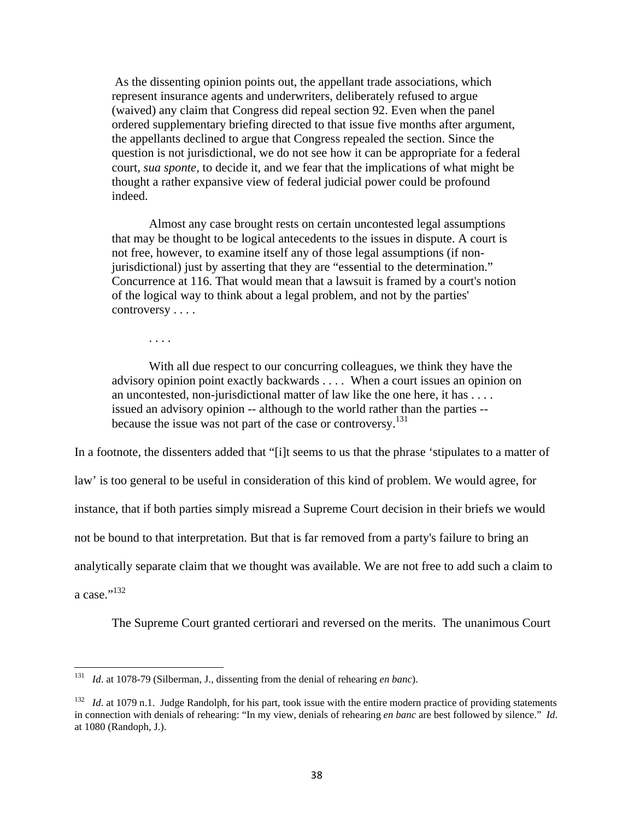As the dissenting opinion points out, the appellant trade associations, which represent insurance agents and underwriters, deliberately refused to argue (waived) any claim that Congress did repeal section 92. Even when the panel ordered supplementary briefing directed to that issue five months after argument, the appellants declined to argue that Congress repealed the section. Since the question is not jurisdictional, we do not see how it can be appropriate for a federal court, *sua sponte,* to decide it, and we fear that the implications of what might be thought a rather expansive view of federal judicial power could be profound indeed.

Almost any case brought rests on certain uncontested legal assumptions that may be thought to be logical antecedents to the issues in dispute. A court is not free, however, to examine itself any of those legal assumptions (if nonjurisdictional) just by asserting that they are "essential to the determination." Concurrence at 116. That would mean that a lawsuit is framed by a court's notion of the logical way to think about a legal problem, and not by the parties' controversy . . . .

. . . .

With all due respect to our concurring colleagues, we think they have the advisory opinion point exactly backwards . . . . When a court issues an opinion on an uncontested, non-jurisdictional matter of law like the one here, it has . . . . issued an advisory opinion -- although to the world rather than the parties - because the issue was not part of the case or controversy.<sup>131</sup>

In a footnote, the dissenters added that "[i]t seems to us that the phrase 'stipulates to a matter of

law' is too general to be useful in consideration of this kind of problem. We would agree, for

instance, that if both parties simply misread a Supreme Court decision in their briefs we would

not be bound to that interpretation. But that is far removed from a party's failure to bring an

analytically separate claim that we thought was available. We are not free to add such a claim to

a case." $^{132}$ 

The Supreme Court granted certiorari and reversed on the merits. The unanimous Court

<sup>131</sup> *Id*. at 1078-79 (Silberman, J., dissenting from the denial of rehearing *en banc*).

<sup>&</sup>lt;sup>132</sup> *Id.* at 1079 n.1. Judge Randolph, for his part, took issue with the entire modern practice of providing statements in connection with denials of rehearing: "In my view, denials of rehearing *en banc* are best followed by silence." *Id*. at 1080 (Randoph, J.).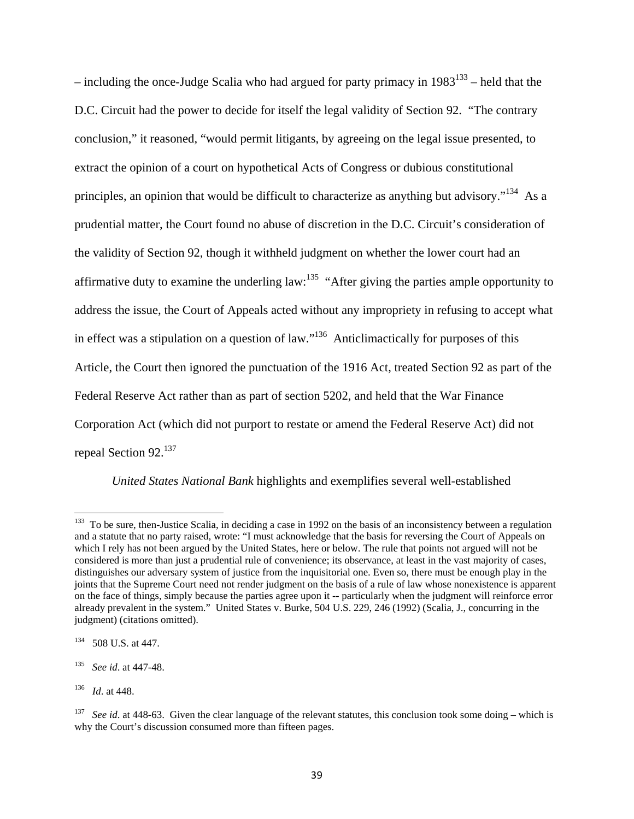– including the once-Judge Scalia who had argued for party primacy in  $1983^{133}$  – held that the D.C. Circuit had the power to decide for itself the legal validity of Section 92. "The contrary conclusion," it reasoned, "would permit litigants, by agreeing on the legal issue presented, to extract the opinion of a court on hypothetical Acts of Congress or dubious constitutional principles, an opinion that would be difficult to characterize as anything but advisory.<sup>"134</sup> As a prudential matter, the Court found no abuse of discretion in the D.C. Circuit's consideration of the validity of Section 92, though it withheld judgment on whether the lower court had an affirmative duty to examine the underling law:  $135$  "After giving the parties ample opportunity to address the issue, the Court of Appeals acted without any impropriety in refusing to accept what in effect was a stipulation on a question of law."<sup>136</sup> Anticlimactically for purposes of this Article, the Court then ignored the punctuation of the 1916 Act, treated Section 92 as part of the Federal Reserve Act rather than as part of section 5202, and held that the War Finance Corporation Act (which did not purport to restate or amend the Federal Reserve Act) did not repeal Section 92.<sup>137</sup>

*United States National Bank* highlights and exemplifies several well-established

 $133$  To be sure, then-Justice Scalia, in deciding a case in 1992 on the basis of an inconsistency between a regulation and a statute that no party raised, wrote: "I must acknowledge that the basis for reversing the Court of Appeals on which I rely has not been argued by the United States, here or below. The rule that points not argued will not be considered is more than just a prudential rule of convenience; its observance, at least in the vast majority of cases, distinguishes our adversary system of justice from the inquisitorial one. Even so, there must be enough play in the joints that the Supreme Court need not render judgment on the basis of a rule of law whose nonexistence is apparent on the face of things, simply because the parties agree upon it -- particularly when the judgment will reinforce error already prevalent in the system." United States v. Burke, 504 U.S. 229, 246 (1992) (Scalia, J., concurring in the judgment) (citations omitted).

<sup>134 508</sup> U.S. at 447.

<sup>135</sup> *See id*. at 447-48.

<sup>136</sup> *Id*. at 448.

See id. at 448-63. Given the clear language of the relevant statutes, this conclusion took some doing – which is why the Court's discussion consumed more than fifteen pages.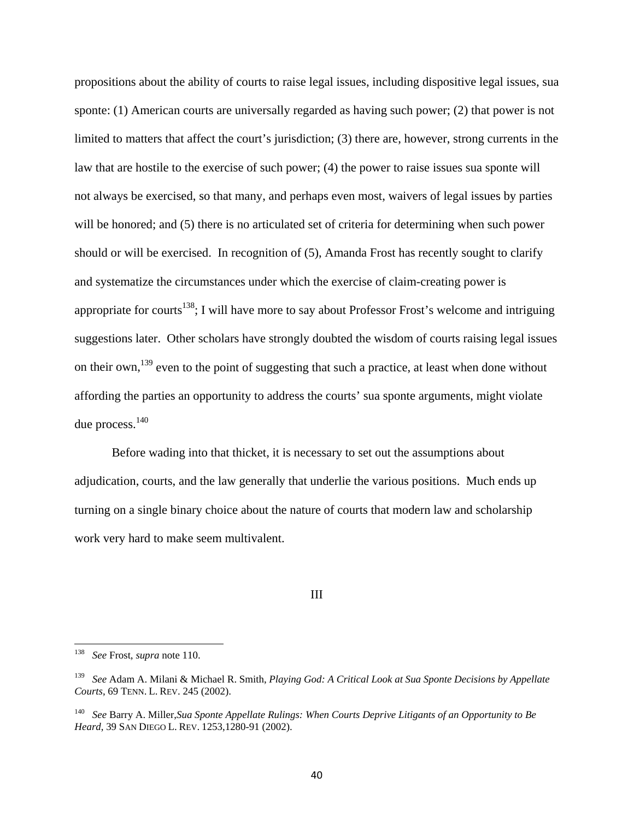propositions about the ability of courts to raise legal issues, including dispositive legal issues, sua sponte: (1) American courts are universally regarded as having such power; (2) that power is not limited to matters that affect the court's jurisdiction; (3) there are, however, strong currents in the law that are hostile to the exercise of such power; (4) the power to raise issues sua sponte will not always be exercised, so that many, and perhaps even most, waivers of legal issues by parties will be honored; and (5) there is no articulated set of criteria for determining when such power should or will be exercised. In recognition of (5), Amanda Frost has recently sought to clarify and systematize the circumstances under which the exercise of claim-creating power is appropriate for courts<sup>138</sup>; I will have more to say about Professor Frost's welcome and intriguing suggestions later. Other scholars have strongly doubted the wisdom of courts raising legal issues on their own,<sup>139</sup> even to the point of suggesting that such a practice, at least when done without affording the parties an opportunity to address the courts' sua sponte arguments, might violate due process.140

Before wading into that thicket, it is necessary to set out the assumptions about adjudication, courts, and the law generally that underlie the various positions. Much ends up turning on a single binary choice about the nature of courts that modern law and scholarship work very hard to make seem multivalent.

### III

<sup>138</sup> *See* Frost, *supra* note 110.

<sup>139</sup> *See* Adam A. Milani & Michael R. Smith, *Playing God: A Critical Look at Sua Sponte Decisions by Appellate Courts*, 69 TENN. L. REV. 245 (2002).

<sup>140</sup> *See* Barry A. Miller,*Sua Sponte Appellate Rulings: When Courts Deprive Litigants of an Opportunity to Be Heard*, 39 SAN DIEGO L. REV. 1253,1280-91 (2002).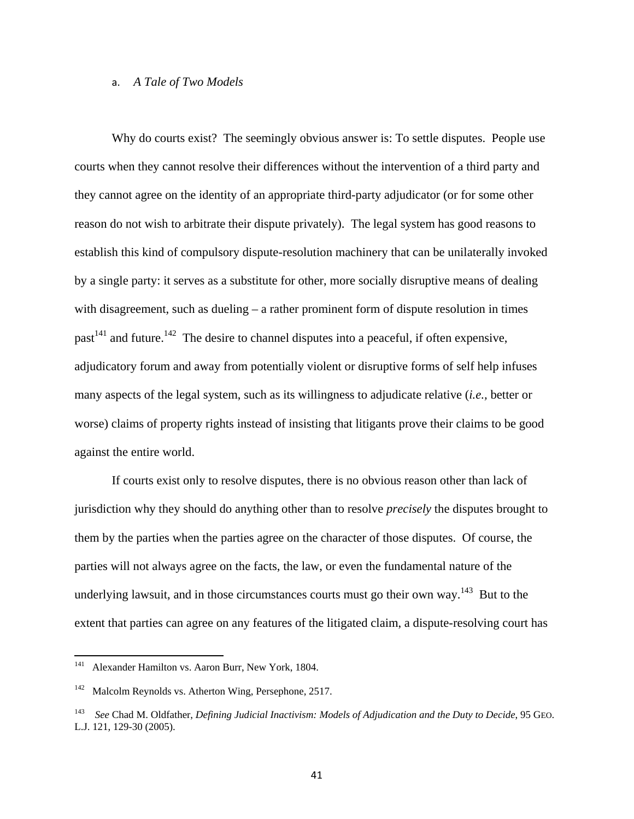# a. *A Tale of Two Models*

Why do courts exist? The seemingly obvious answer is: To settle disputes. People use courts when they cannot resolve their differences without the intervention of a third party and they cannot agree on the identity of an appropriate third-party adjudicator (or for some other reason do not wish to arbitrate their dispute privately). The legal system has good reasons to establish this kind of compulsory dispute-resolution machinery that can be unilaterally invoked by a single party: it serves as a substitute for other, more socially disruptive means of dealing with disagreement, such as dueling – a rather prominent form of dispute resolution in times past<sup>141</sup> and future.<sup>142</sup> The desire to channel disputes into a peaceful, if often expensive, adjudicatory forum and away from potentially violent or disruptive forms of self help infuses many aspects of the legal system, such as its willingness to adjudicate relative (*i.e.,* better or worse) claims of property rights instead of insisting that litigants prove their claims to be good against the entire world.

If courts exist only to resolve disputes, there is no obvious reason other than lack of jurisdiction why they should do anything other than to resolve *precisely* the disputes brought to them by the parties when the parties agree on the character of those disputes. Of course, the parties will not always agree on the facts, the law, or even the fundamental nature of the underlying lawsuit, and in those circumstances courts must go their own way.<sup>143</sup> But to the extent that parties can agree on any features of the litigated claim, a dispute-resolving court has

<sup>141</sup> Alexander Hamilton vs. Aaron Burr, New York, 1804.

<sup>142</sup> Malcolm Reynolds vs. Atherton Wing, Persephone, 2517.

<sup>143</sup> *See* Chad M. Oldfather, *Defining Judicial Inactivism: Models of Adjudication and the Duty to Decide*, 95 GEO. L.J. 121, 129-30 (2005).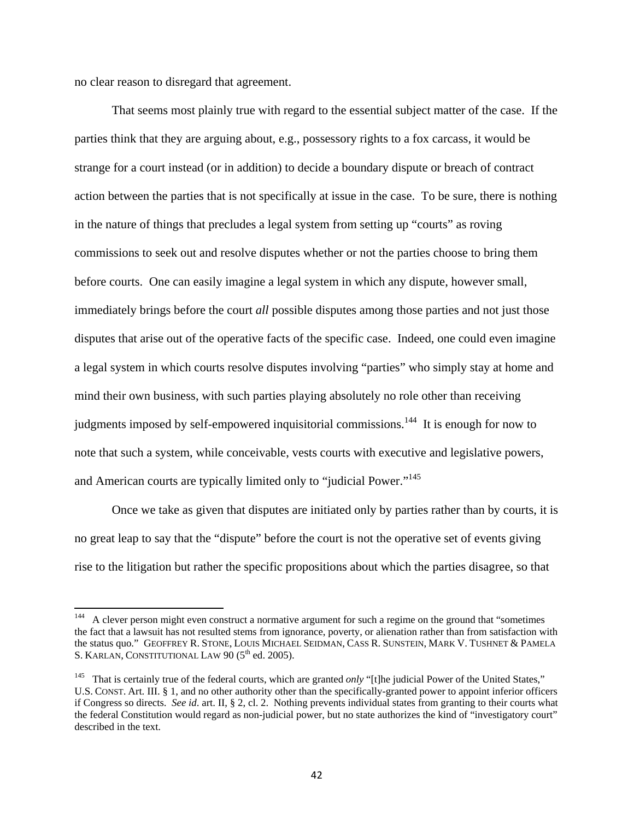no clear reason to disregard that agreement.

That seems most plainly true with regard to the essential subject matter of the case. If the parties think that they are arguing about, e.g., possessory rights to a fox carcass, it would be strange for a court instead (or in addition) to decide a boundary dispute or breach of contract action between the parties that is not specifically at issue in the case. To be sure, there is nothing in the nature of things that precludes a legal system from setting up "courts" as roving commissions to seek out and resolve disputes whether or not the parties choose to bring them before courts. One can easily imagine a legal system in which any dispute, however small, immediately brings before the court *all* possible disputes among those parties and not just those disputes that arise out of the operative facts of the specific case. Indeed, one could even imagine a legal system in which courts resolve disputes involving "parties" who simply stay at home and mind their own business, with such parties playing absolutely no role other than receiving judgments imposed by self-empowered inquisitorial commissions.<sup>144</sup> It is enough for now to note that such a system, while conceivable, vests courts with executive and legislative powers, and American courts are typically limited only to "judicial Power."<sup>145</sup>

Once we take as given that disputes are initiated only by parties rather than by courts, it is no great leap to say that the "dispute" before the court is not the operative set of events giving rise to the litigation but rather the specific propositions about which the parties disagree, so that

<sup>144</sup> A clever person might even construct a normative argument for such a regime on the ground that "sometimes the fact that a lawsuit has not resulted stems from ignorance, poverty, or alienation rather than from satisfaction with the status quo." GEOFFREY R. STONE, LOUIS MICHAEL SEIDMAN, CASS R. SUNSTEIN, MARK V. TUSHNET & PAMELA S. KARLAN, CONSTITUTIONAL LAW 90 (5<sup>th</sup> ed. 2005).

<sup>&</sup>lt;sup>145</sup> That is certainly true of the federal courts, which are granted *only* "[t]he judicial Power of the United States," U.S. CONST. Art. III. § 1, and no other authority other than the specifically-granted power to appoint inferior officers if Congress so directs. *See id*. art. II, § 2, cl. 2. Nothing prevents individual states from granting to their courts what the federal Constitution would regard as non-judicial power, but no state authorizes the kind of "investigatory court" described in the text.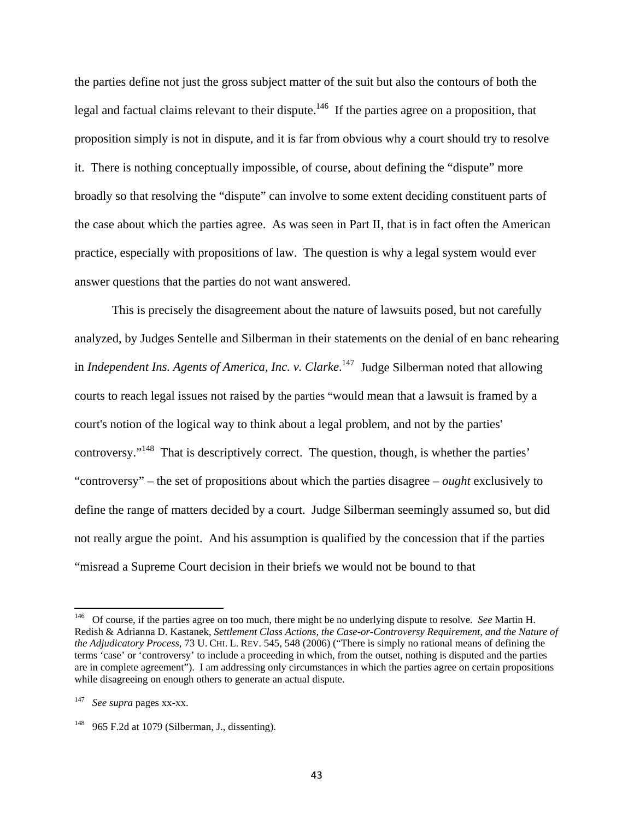the parties define not just the gross subject matter of the suit but also the contours of both the legal and factual claims relevant to their dispute.<sup>146</sup> If the parties agree on a proposition, that proposition simply is not in dispute, and it is far from obvious why a court should try to resolve it. There is nothing conceptually impossible, of course, about defining the "dispute" more broadly so that resolving the "dispute" can involve to some extent deciding constituent parts of the case about which the parties agree. As was seen in Part II, that is in fact often the American practice, especially with propositions of law. The question is why a legal system would ever answer questions that the parties do not want answered.

This is precisely the disagreement about the nature of lawsuits posed, but not carefully analyzed, by Judges Sentelle and Silberman in their statements on the denial of en banc rehearing in *Independent Ins. Agents of America, Inc. v. Clarke*. 147 Judge Silberman noted that allowing courts to reach legal issues not raised by the parties "would mean that a lawsuit is framed by a court's notion of the logical way to think about a legal problem, and not by the parties' controversy."148 That is descriptively correct. The question, though, is whether the parties' "controversy" – the set of propositions about which the parties disagree – *ought* exclusively to define the range of matters decided by a court. Judge Silberman seemingly assumed so, but did not really argue the point. And his assumption is qualified by the concession that if the parties "misread a Supreme Court decision in their briefs we would not be bound to that

<sup>146</sup> Of course, if the parties agree on too much, there might be no underlying dispute to resolve. *See* Martin H. Redish & Adrianna D. Kastanek, *Settlement Class Actions, the Case-or-Controversy Requirement, and the Nature of the Adjudicatory Process*, 73 U. CHI. L. REV. 545, 548 (2006) ("There is simply no rational means of defining the terms 'case' or 'controversy' to include a proceeding in which, from the outset, nothing is disputed and the parties are in complete agreement"). I am addressing only circumstances in which the parties agree on certain propositions while disagreeing on enough others to generate an actual dispute.

<sup>147</sup> *See supra* pages xx-xx.

 $148$  965 F.2d at 1079 (Silberman, J., dissenting).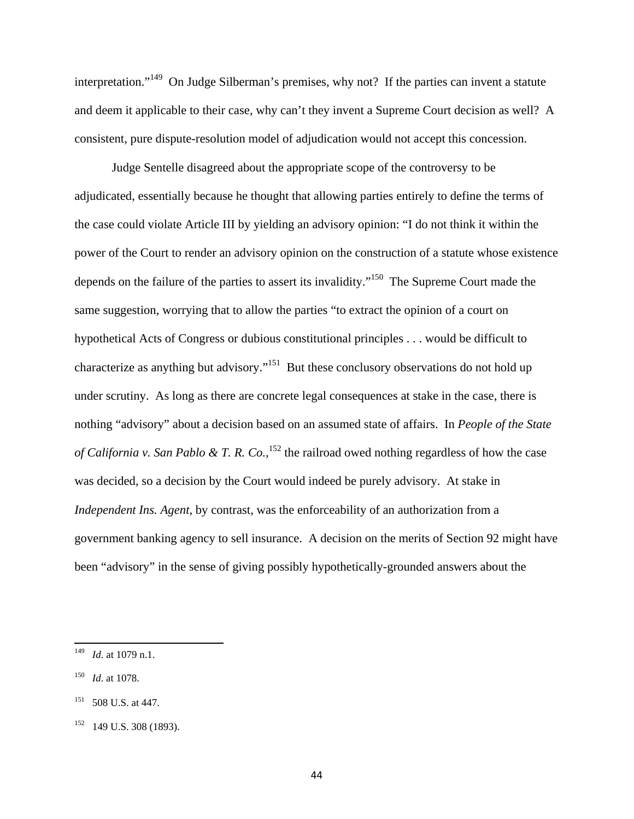interpretation."<sup>149</sup> On Judge Silberman's premises, why not? If the parties can invent a statute and deem it applicable to their case, why can't they invent a Supreme Court decision as well? A consistent, pure dispute-resolution model of adjudication would not accept this concession.

Judge Sentelle disagreed about the appropriate scope of the controversy to be adjudicated, essentially because he thought that allowing parties entirely to define the terms of the case could violate Article III by yielding an advisory opinion: "I do not think it within the power of the Court to render an advisory opinion on the construction of a statute whose existence depends on the failure of the parties to assert its invalidity."<sup>150</sup> The Supreme Court made the same suggestion, worrying that to allow the parties "to extract the opinion of a court on hypothetical Acts of Congress or dubious constitutional principles . . . would be difficult to characterize as anything but advisory."151 But these conclusory observations do not hold up under scrutiny. As long as there are concrete legal consequences at stake in the case, there is nothing "advisory" about a decision based on an assumed state of affairs. In *People of the State of California v. San Pablo & T. R. Co.*, 152 the railroad owed nothing regardless of how the case was decided, so a decision by the Court would indeed be purely advisory. At stake in *Independent Ins. Agent, by contrast, was the enforceability of an authorization from a* government banking agency to sell insurance. A decision on the merits of Section 92 might have been "advisory" in the sense of giving possibly hypothetically-grounded answers about the

150 *Id*. at 1078.

<sup>149</sup> *Id*. at 1079 n.1.

<sup>151 508</sup> U.S. at 447.

 $152$  149 U.S. 308 (1893).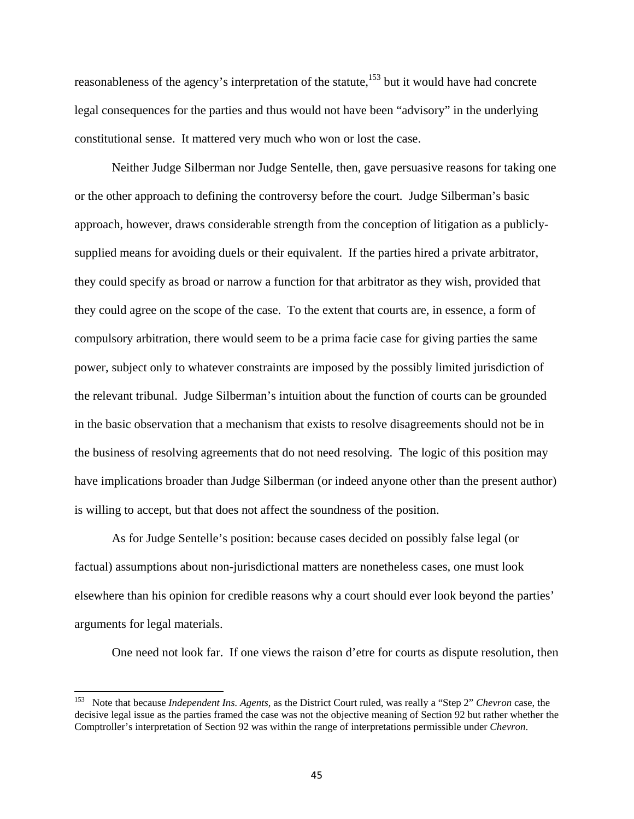reasonableness of the agency's interpretation of the statute,<sup>153</sup> but it would have had concrete legal consequences for the parties and thus would not have been "advisory" in the underlying constitutional sense. It mattered very much who won or lost the case.

Neither Judge Silberman nor Judge Sentelle, then, gave persuasive reasons for taking one or the other approach to defining the controversy before the court. Judge Silberman's basic approach, however, draws considerable strength from the conception of litigation as a publiclysupplied means for avoiding duels or their equivalent. If the parties hired a private arbitrator, they could specify as broad or narrow a function for that arbitrator as they wish, provided that they could agree on the scope of the case. To the extent that courts are, in essence, a form of compulsory arbitration, there would seem to be a prima facie case for giving parties the same power, subject only to whatever constraints are imposed by the possibly limited jurisdiction of the relevant tribunal. Judge Silberman's intuition about the function of courts can be grounded in the basic observation that a mechanism that exists to resolve disagreements should not be in the business of resolving agreements that do not need resolving. The logic of this position may have implications broader than Judge Silberman (or indeed anyone other than the present author) is willing to accept, but that does not affect the soundness of the position.

As for Judge Sentelle's position: because cases decided on possibly false legal (or factual) assumptions about non-jurisdictional matters are nonetheless cases, one must look elsewhere than his opinion for credible reasons why a court should ever look beyond the parties' arguments for legal materials.

One need not look far. If one views the raison d'etre for courts as dispute resolution, then

<sup>153</sup> Note that because *Independent Ins. Agents*, as the District Court ruled, was really a "Step 2" *Chevron* case, the decisive legal issue as the parties framed the case was not the objective meaning of Section 92 but rather whether the Comptroller's interpretation of Section 92 was within the range of interpretations permissible under *Chevron*.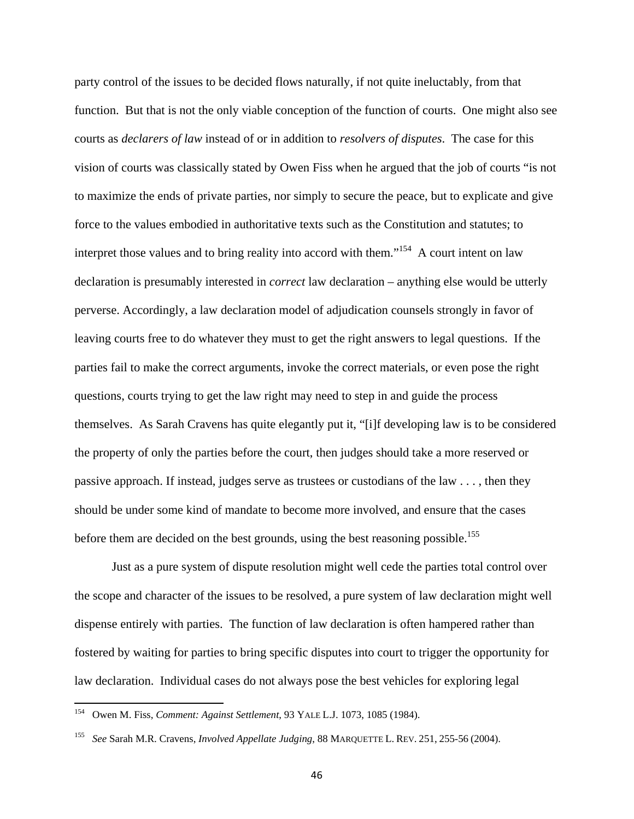party control of the issues to be decided flows naturally, if not quite ineluctably, from that function. But that is not the only viable conception of the function of courts. One might also see courts as *declarers of law* instead of or in addition to *resolvers of disputes*. The case for this vision of courts was classically stated by Owen Fiss when he argued that the job of courts "is not to maximize the ends of private parties, nor simply to secure the peace, but to explicate and give force to the values embodied in authoritative texts such as the Constitution and statutes; to interpret those values and to bring reality into accord with them."<sup>154</sup> A court intent on law declaration is presumably interested in *correct* law declaration – anything else would be utterly perverse. Accordingly, a law declaration model of adjudication counsels strongly in favor of leaving courts free to do whatever they must to get the right answers to legal questions. If the parties fail to make the correct arguments, invoke the correct materials, or even pose the right questions, courts trying to get the law right may need to step in and guide the process themselves. As Sarah Cravens has quite elegantly put it, "[i]f developing law is to be considered the property of only the parties before the court, then judges should take a more reserved or passive approach. If instead, judges serve as trustees or custodians of the law . . . , then they should be under some kind of mandate to become more involved, and ensure that the cases before them are decided on the best grounds, using the best reasoning possible.<sup>155</sup>

Just as a pure system of dispute resolution might well cede the parties total control over the scope and character of the issues to be resolved, a pure system of law declaration might well dispense entirely with parties. The function of law declaration is often hampered rather than fostered by waiting for parties to bring specific disputes into court to trigger the opportunity for law declaration. Individual cases do not always pose the best vehicles for exploring legal

<sup>154</sup> Owen M. Fiss, *Comment: Against Settlement*, 93 YALE L.J. 1073, 1085 (1984).

<sup>155</sup> *See* Sarah M.R. Cravens, *Involved Appellate Judging*, 88 MARQUETTE L. REV. 251, 255-56 (2004).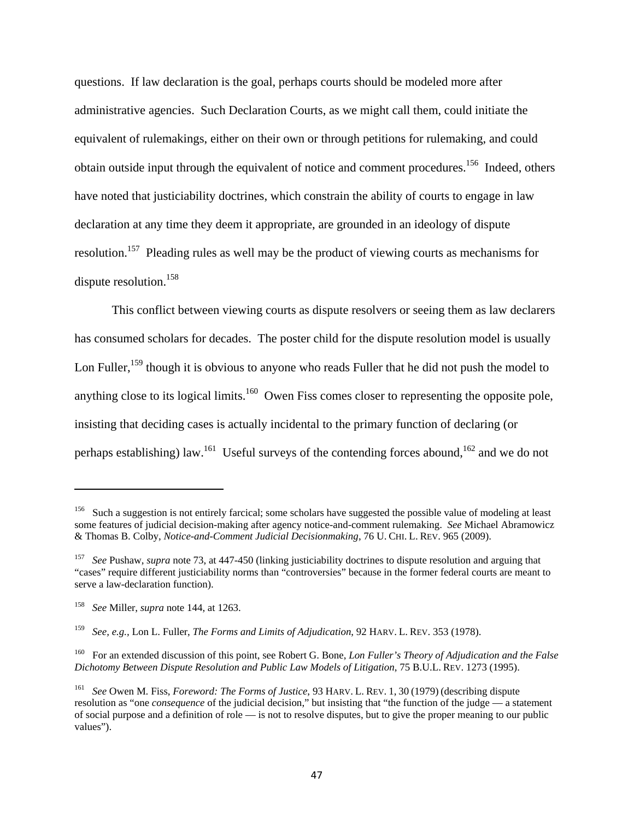questions. If law declaration is the goal, perhaps courts should be modeled more after administrative agencies. Such Declaration Courts, as we might call them, could initiate the equivalent of rulemakings, either on their own or through petitions for rulemaking, and could obtain outside input through the equivalent of notice and comment procedures.<sup>156</sup> Indeed, others have noted that justiciability doctrines, which constrain the ability of courts to engage in law declaration at any time they deem it appropriate, are grounded in an ideology of dispute resolution.157 Pleading rules as well may be the product of viewing courts as mechanisms for dispute resolution.<sup>158</sup>

This conflict between viewing courts as dispute resolvers or seeing them as law declarers has consumed scholars for decades. The poster child for the dispute resolution model is usually Lon Fuller,<sup>159</sup> though it is obvious to anyone who reads Fuller that he did not push the model to anything close to its logical limits.<sup>160</sup> Owen Fiss comes closer to representing the opposite pole, insisting that deciding cases is actually incidental to the primary function of declaring (or perhaps establishing) law.<sup>161</sup> Useful surveys of the contending forces abound,<sup>162</sup> and we do not

<sup>&</sup>lt;sup>156</sup> Such a suggestion is not entirely farcical; some scholars have suggested the possible value of modeling at least some features of judicial decision-making after agency notice-and-comment rulemaking. *See* Michael Abramowicz & Thomas B. Colby, *Notice-and-Comment Judicial Decisionmaking*, 76 U. CHI. L. REV. 965 (2009).

<sup>&</sup>lt;sup>157</sup> *See* Pushaw, *supra* note 73, at 447-450 (linking justiciability doctrines to dispute resolution and arguing that "cases" require different justiciability norms than "controversies" because in the former federal courts are meant to serve a law-declaration function).

<sup>158</sup> *See* Miller, *supra* note 144, at 1263.

<sup>159</sup> *See, e.g.,* Lon L. Fuller, *The Forms and Limits of Adjudication*, 92 HARV. L. REV. 353 (1978).

<sup>160</sup> For an extended discussion of this point, see Robert G. Bone, *Lon Fuller's Theory of Adjudication and the False Dichotomy Between Dispute Resolution and Public Law Models of Litigation*, 75 B.U.L. REV. 1273 (1995).

<sup>161</sup> *See* Owen M. Fiss, *Foreword: The Forms of Justice*, 93 HARV. L. REV. 1, 30 (1979) (describing dispute resolution as "one *consequence* of the judicial decision," but insisting that "the function of the judge — a statement of social purpose and a definition of role — is not to resolve disputes, but to give the proper meaning to our public values").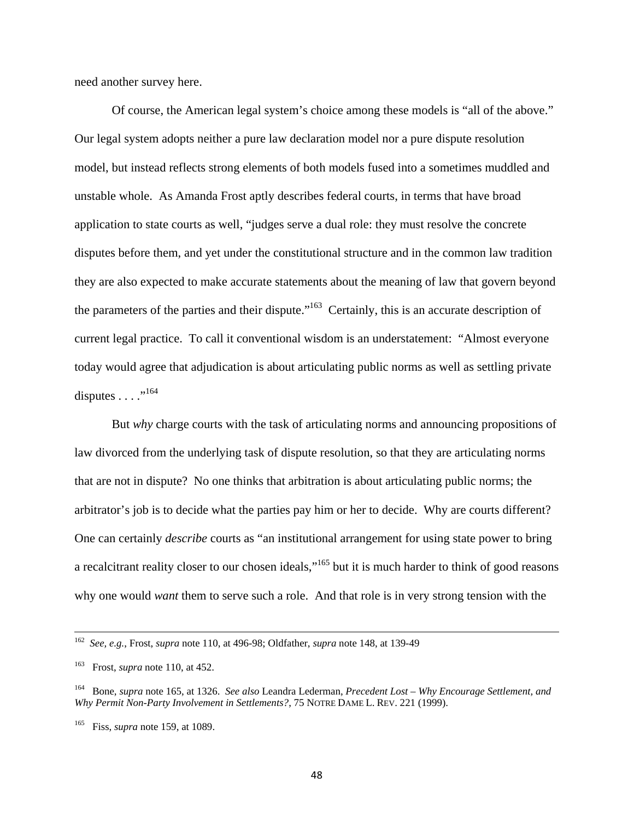need another survey here.

Of course, the American legal system's choice among these models is "all of the above." Our legal system adopts neither a pure law declaration model nor a pure dispute resolution model, but instead reflects strong elements of both models fused into a sometimes muddled and unstable whole. As Amanda Frost aptly describes federal courts, in terms that have broad application to state courts as well, "judges serve a dual role: they must resolve the concrete disputes before them, and yet under the constitutional structure and in the common law tradition they are also expected to make accurate statements about the meaning of law that govern beyond the parameters of the parties and their dispute."<sup>163</sup> Certainly, this is an accurate description of current legal practice. To call it conventional wisdom is an understatement: "Almost everyone today would agree that adjudication is about articulating public norms as well as settling private disputes  $\ldots$ <sup>"164</sup>

But *why* charge courts with the task of articulating norms and announcing propositions of law divorced from the underlying task of dispute resolution, so that they are articulating norms that are not in dispute? No one thinks that arbitration is about articulating public norms; the arbitrator's job is to decide what the parties pay him or her to decide. Why are courts different? One can certainly *describe* courts as "an institutional arrangement for using state power to bring a recalcitrant reality closer to our chosen ideals,"165 but it is much harder to think of good reasons why one would *want* them to serve such a role. And that role is in very strong tension with the

 <sup>162</sup>*See, e.g.*, Frost, *supra* note 110, at 496-98; Oldfather, *supra* note 148, at 139-49

<sup>163</sup> Frost, *supra* note 110, at 452.

<sup>164</sup> Bone, *supra* note 165, at 1326. *See also* Leandra Lederman, *Precedent Lost – Why Encourage Settlement, and Why Permit Non-Party Involvement in Settlements?*, 75 NOTRE DAME L. REV. 221 (1999).

<sup>165</sup> Fiss, *supra* note 159, at 1089.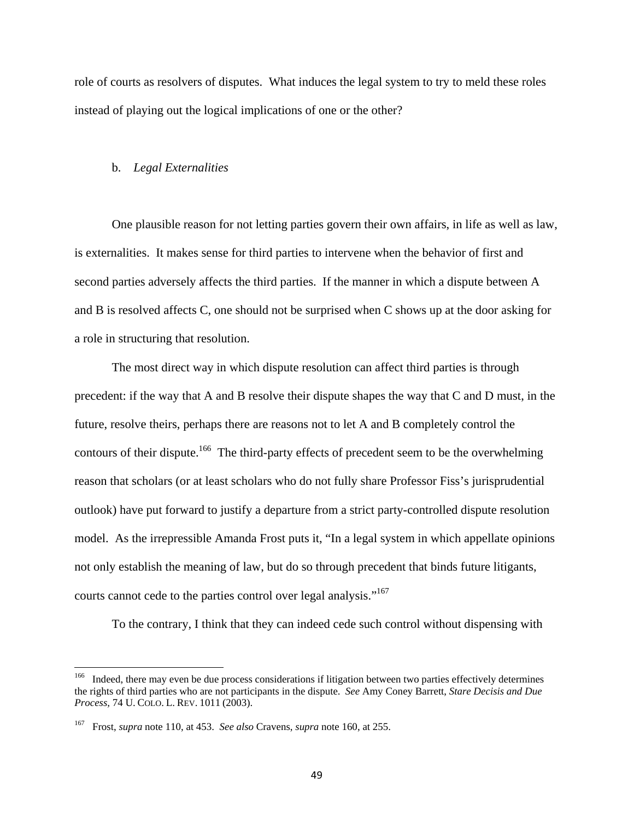role of courts as resolvers of disputes. What induces the legal system to try to meld these roles instead of playing out the logical implications of one or the other?

#### b. *Legal Externalities*

One plausible reason for not letting parties govern their own affairs, in life as well as law, is externalities. It makes sense for third parties to intervene when the behavior of first and second parties adversely affects the third parties. If the manner in which a dispute between A and B is resolved affects C, one should not be surprised when C shows up at the door asking for a role in structuring that resolution.

The most direct way in which dispute resolution can affect third parties is through precedent: if the way that A and B resolve their dispute shapes the way that C and D must, in the future, resolve theirs, perhaps there are reasons not to let A and B completely control the contours of their dispute.<sup>166</sup> The third-party effects of precedent seem to be the overwhelming reason that scholars (or at least scholars who do not fully share Professor Fiss's jurisprudential outlook) have put forward to justify a departure from a strict party-controlled dispute resolution model. As the irrepressible Amanda Frost puts it, "In a legal system in which appellate opinions not only establish the meaning of law, but do so through precedent that binds future litigants, courts cannot cede to the parties control over legal analysis."<sup>167</sup>

To the contrary, I think that they can indeed cede such control without dispensing with

<sup>&</sup>lt;sup>166</sup> Indeed, there may even be due process considerations if litigation between two parties effectively determines the rights of third parties who are not participants in the dispute. *See* Amy Coney Barrett, *Stare Decisis and Due Process,* 74 U. COLO. L. REV. 1011 (2003).

<sup>167</sup> Frost, *supra* note 110, at 453. *See also* Cravens, *supra* note 160, at 255.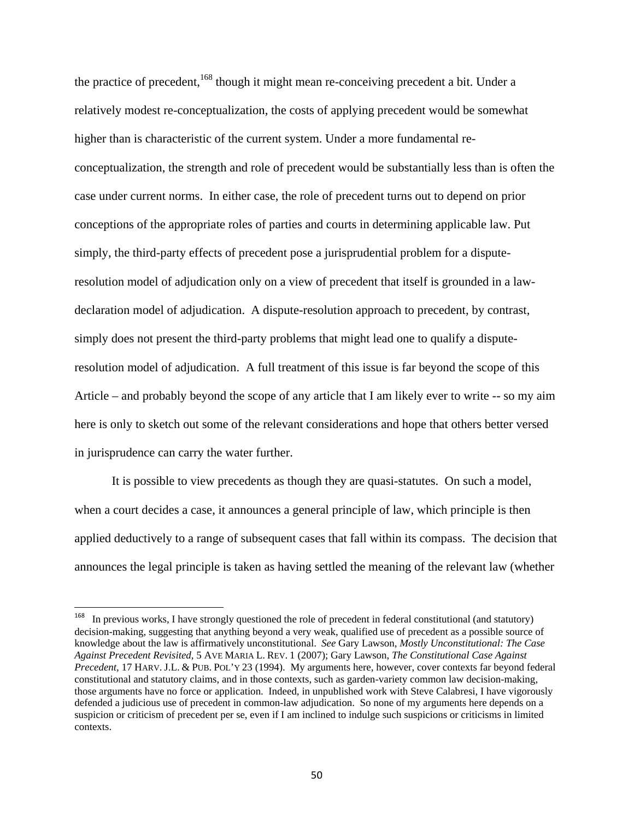the practice of precedent,<sup>168</sup> though it might mean re-conceiving precedent a bit. Under a relatively modest re-conceptualization, the costs of applying precedent would be somewhat higher than is characteristic of the current system. Under a more fundamental reconceptualization, the strength and role of precedent would be substantially less than is often the case under current norms. In either case, the role of precedent turns out to depend on prior conceptions of the appropriate roles of parties and courts in determining applicable law. Put simply, the third-party effects of precedent pose a jurisprudential problem for a disputeresolution model of adjudication only on a view of precedent that itself is grounded in a lawdeclaration model of adjudication. A dispute-resolution approach to precedent, by contrast, simply does not present the third-party problems that might lead one to qualify a disputeresolution model of adjudication. A full treatment of this issue is far beyond the scope of this Article – and probably beyond the scope of any article that I am likely ever to write -- so my aim here is only to sketch out some of the relevant considerations and hope that others better versed in jurisprudence can carry the water further.

It is possible to view precedents as though they are quasi-statutes. On such a model, when a court decides a case, it announces a general principle of law, which principle is then applied deductively to a range of subsequent cases that fall within its compass. The decision that announces the legal principle is taken as having settled the meaning of the relevant law (whether

<sup>168</sup> In previous works, I have strongly questioned the role of precedent in federal constitutional (and statutory) decision-making, suggesting that anything beyond a very weak, qualified use of precedent as a possible source of knowledge about the law is affirmatively unconstitutional. *See* Gary Lawson, *Mostly Unconstitutional: The Case Against Precedent Revisited,* 5 AVE MARIA L. REV. 1 (2007); Gary Lawson, *The Constitutional Case Against Precedent,* 17 HARV. J.L. & PUB. POL'Y 23 (1994). My arguments here, however, cover contexts far beyond federal constitutional and statutory claims, and in those contexts, such as garden-variety common law decision-making, those arguments have no force or application. Indeed, in unpublished work with Steve Calabresi, I have vigorously defended a judicious use of precedent in common-law adjudication. So none of my arguments here depends on a suspicion or criticism of precedent per se, even if I am inclined to indulge such suspicions or criticisms in limited contexts.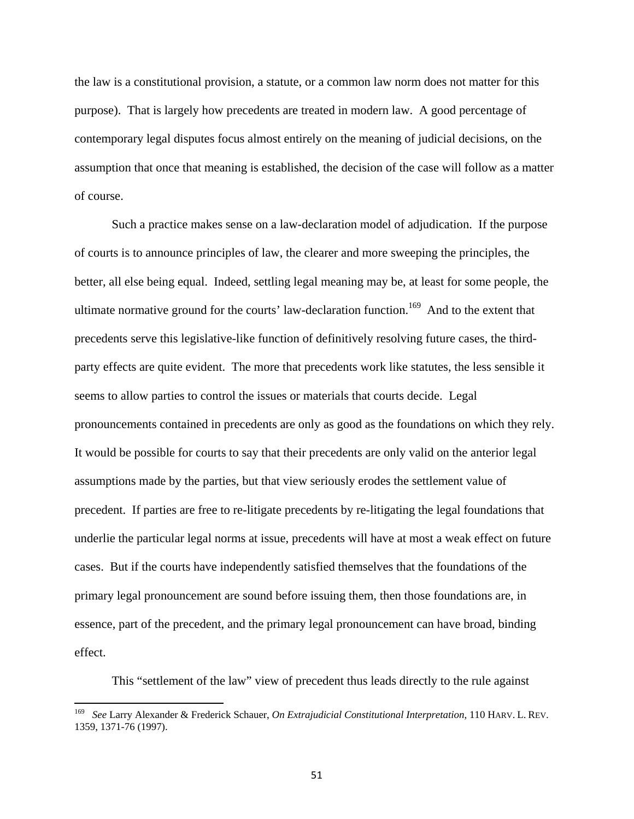the law is a constitutional provision, a statute, or a common law norm does not matter for this purpose). That is largely how precedents are treated in modern law. A good percentage of contemporary legal disputes focus almost entirely on the meaning of judicial decisions, on the assumption that once that meaning is established, the decision of the case will follow as a matter of course.

Such a practice makes sense on a law-declaration model of adjudication. If the purpose of courts is to announce principles of law, the clearer and more sweeping the principles, the better, all else being equal. Indeed, settling legal meaning may be, at least for some people, the ultimate normative ground for the courts' law-declaration function.<sup>169</sup> And to the extent that precedents serve this legislative-like function of definitively resolving future cases, the thirdparty effects are quite evident. The more that precedents work like statutes, the less sensible it seems to allow parties to control the issues or materials that courts decide. Legal pronouncements contained in precedents are only as good as the foundations on which they rely. It would be possible for courts to say that their precedents are only valid on the anterior legal assumptions made by the parties, but that view seriously erodes the settlement value of precedent. If parties are free to re-litigate precedents by re-litigating the legal foundations that underlie the particular legal norms at issue, precedents will have at most a weak effect on future cases. But if the courts have independently satisfied themselves that the foundations of the primary legal pronouncement are sound before issuing them, then those foundations are, in essence, part of the precedent, and the primary legal pronouncement can have broad, binding effect.

This "settlement of the law" view of precedent thus leads directly to the rule against

<sup>169</sup> *See* Larry Alexander & Frederick Schauer, *On Extrajudicial Constitutional Interpretation*, 110 HARV. L. REV. 1359, 1371-76 (1997).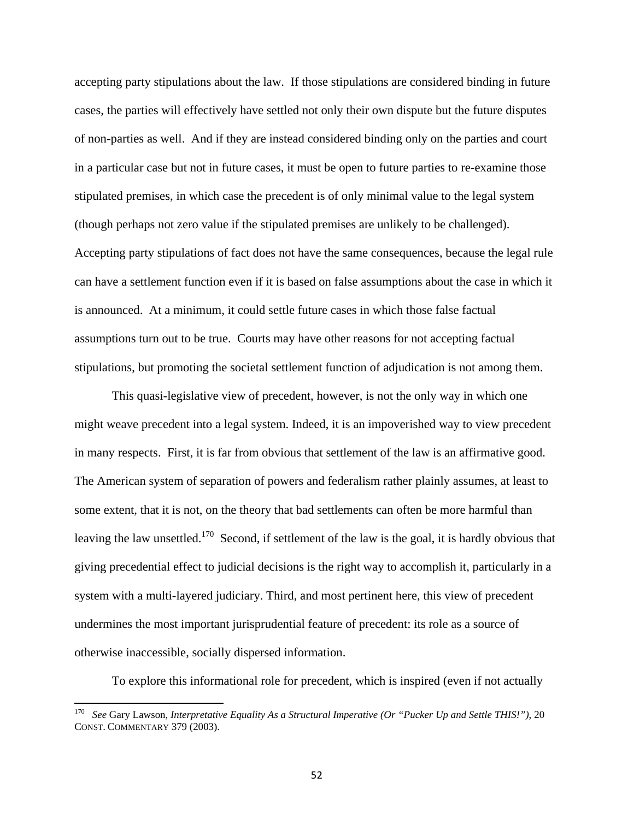accepting party stipulations about the law. If those stipulations are considered binding in future cases, the parties will effectively have settled not only their own dispute but the future disputes of non-parties as well. And if they are instead considered binding only on the parties and court in a particular case but not in future cases, it must be open to future parties to re-examine those stipulated premises, in which case the precedent is of only minimal value to the legal system (though perhaps not zero value if the stipulated premises are unlikely to be challenged). Accepting party stipulations of fact does not have the same consequences, because the legal rule can have a settlement function even if it is based on false assumptions about the case in which it is announced. At a minimum, it could settle future cases in which those false factual assumptions turn out to be true. Courts may have other reasons for not accepting factual stipulations, but promoting the societal settlement function of adjudication is not among them.

This quasi-legislative view of precedent, however, is not the only way in which one might weave precedent into a legal system. Indeed, it is an impoverished way to view precedent in many respects. First, it is far from obvious that settlement of the law is an affirmative good. The American system of separation of powers and federalism rather plainly assumes, at least to some extent, that it is not, on the theory that bad settlements can often be more harmful than leaving the law unsettled.<sup>170</sup> Second, if settlement of the law is the goal, it is hardly obvious that giving precedential effect to judicial decisions is the right way to accomplish it, particularly in a system with a multi-layered judiciary. Third, and most pertinent here, this view of precedent undermines the most important jurisprudential feature of precedent: its role as a source of otherwise inaccessible, socially dispersed information.

To explore this informational role for precedent, which is inspired (even if not actually

<sup>170</sup> *See* Gary Lawson, *Interpretative Equality As a Structural Imperative (Or "Pucker Up and Settle THIS!")*, 20 CONST. COMMENTARY 379 (2003).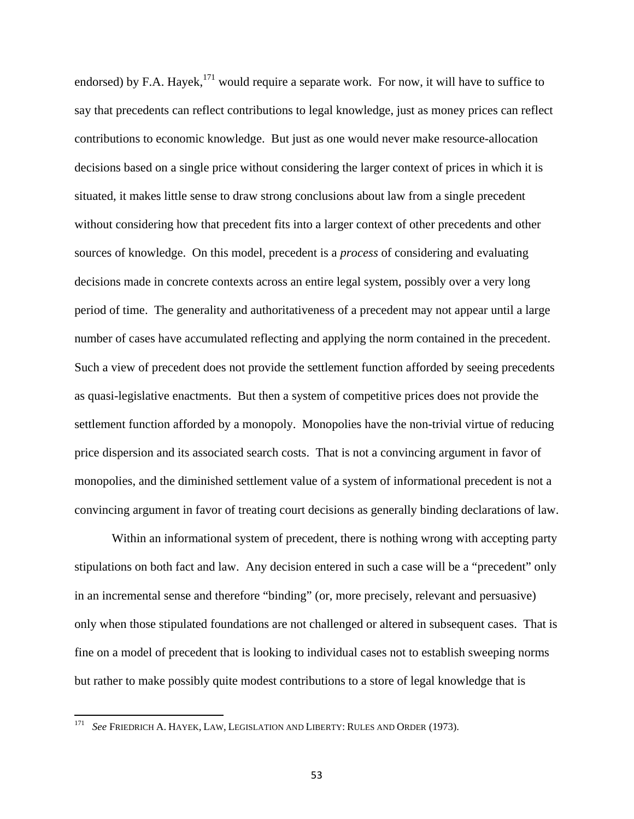endorsed) by F.A. Hayek,<sup>171</sup> would require a separate work. For now, it will have to suffice to say that precedents can reflect contributions to legal knowledge, just as money prices can reflect contributions to economic knowledge. But just as one would never make resource-allocation decisions based on a single price without considering the larger context of prices in which it is situated, it makes little sense to draw strong conclusions about law from a single precedent without considering how that precedent fits into a larger context of other precedents and other sources of knowledge. On this model, precedent is a *process* of considering and evaluating decisions made in concrete contexts across an entire legal system, possibly over a very long period of time. The generality and authoritativeness of a precedent may not appear until a large number of cases have accumulated reflecting and applying the norm contained in the precedent. Such a view of precedent does not provide the settlement function afforded by seeing precedents as quasi-legislative enactments. But then a system of competitive prices does not provide the settlement function afforded by a monopoly. Monopolies have the non-trivial virtue of reducing price dispersion and its associated search costs. That is not a convincing argument in favor of monopolies, and the diminished settlement value of a system of informational precedent is not a convincing argument in favor of treating court decisions as generally binding declarations of law.

Within an informational system of precedent, there is nothing wrong with accepting party stipulations on both fact and law. Any decision entered in such a case will be a "precedent" only in an incremental sense and therefore "binding" (or, more precisely, relevant and persuasive) only when those stipulated foundations are not challenged or altered in subsequent cases. That is fine on a model of precedent that is looking to individual cases not to establish sweeping norms but rather to make possibly quite modest contributions to a store of legal knowledge that is

<sup>171</sup> *See* FRIEDRICH A. HAYEK, LAW, LEGISLATION AND LIBERTY: RULES AND ORDER (1973).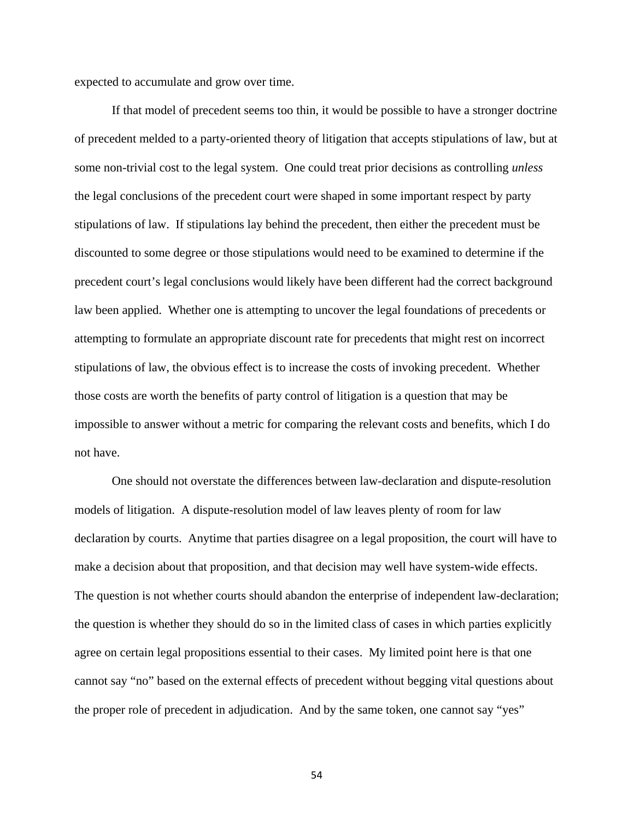expected to accumulate and grow over time.

If that model of precedent seems too thin, it would be possible to have a stronger doctrine of precedent melded to a party-oriented theory of litigation that accepts stipulations of law, but at some non-trivial cost to the legal system. One could treat prior decisions as controlling *unless* the legal conclusions of the precedent court were shaped in some important respect by party stipulations of law. If stipulations lay behind the precedent, then either the precedent must be discounted to some degree or those stipulations would need to be examined to determine if the precedent court's legal conclusions would likely have been different had the correct background law been applied. Whether one is attempting to uncover the legal foundations of precedents or attempting to formulate an appropriate discount rate for precedents that might rest on incorrect stipulations of law, the obvious effect is to increase the costs of invoking precedent. Whether those costs are worth the benefits of party control of litigation is a question that may be impossible to answer without a metric for comparing the relevant costs and benefits, which I do not have.

One should not overstate the differences between law-declaration and dispute-resolution models of litigation. A dispute-resolution model of law leaves plenty of room for law declaration by courts. Anytime that parties disagree on a legal proposition, the court will have to make a decision about that proposition, and that decision may well have system-wide effects. The question is not whether courts should abandon the enterprise of independent law-declaration; the question is whether they should do so in the limited class of cases in which parties explicitly agree on certain legal propositions essential to their cases. My limited point here is that one cannot say "no" based on the external effects of precedent without begging vital questions about the proper role of precedent in adjudication. And by the same token, one cannot say "yes"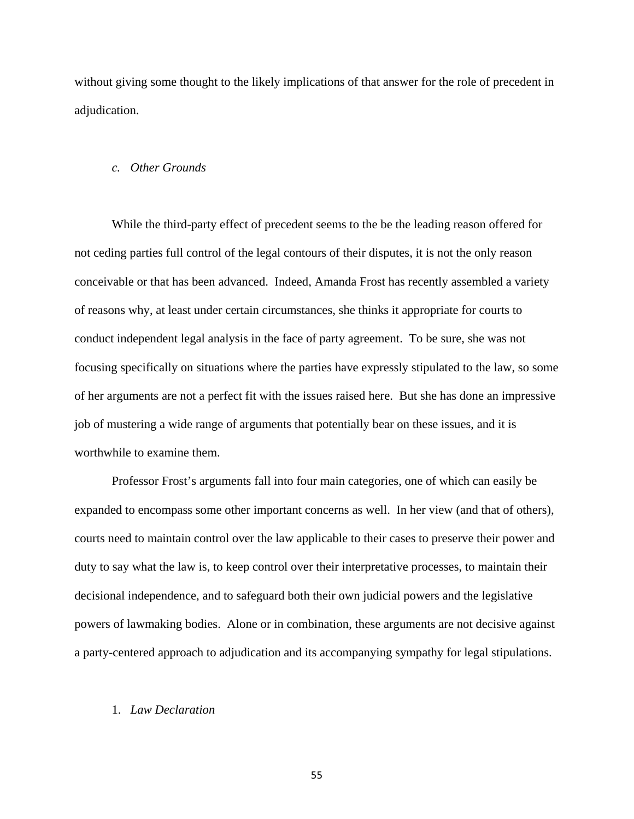without giving some thought to the likely implications of that answer for the role of precedent in adjudication.

#### *c. Other Grounds*

While the third-party effect of precedent seems to the be the leading reason offered for not ceding parties full control of the legal contours of their disputes, it is not the only reason conceivable or that has been advanced. Indeed, Amanda Frost has recently assembled a variety of reasons why, at least under certain circumstances, she thinks it appropriate for courts to conduct independent legal analysis in the face of party agreement. To be sure, she was not focusing specifically on situations where the parties have expressly stipulated to the law, so some of her arguments are not a perfect fit with the issues raised here. But she has done an impressive job of mustering a wide range of arguments that potentially bear on these issues, and it is worthwhile to examine them.

Professor Frost's arguments fall into four main categories, one of which can easily be expanded to encompass some other important concerns as well. In her view (and that of others), courts need to maintain control over the law applicable to their cases to preserve their power and duty to say what the law is, to keep control over their interpretative processes, to maintain their decisional independence, and to safeguard both their own judicial powers and the legislative powers of lawmaking bodies. Alone or in combination, these arguments are not decisive against a party-centered approach to adjudication and its accompanying sympathy for legal stipulations.

#### 1. *Law Declaration*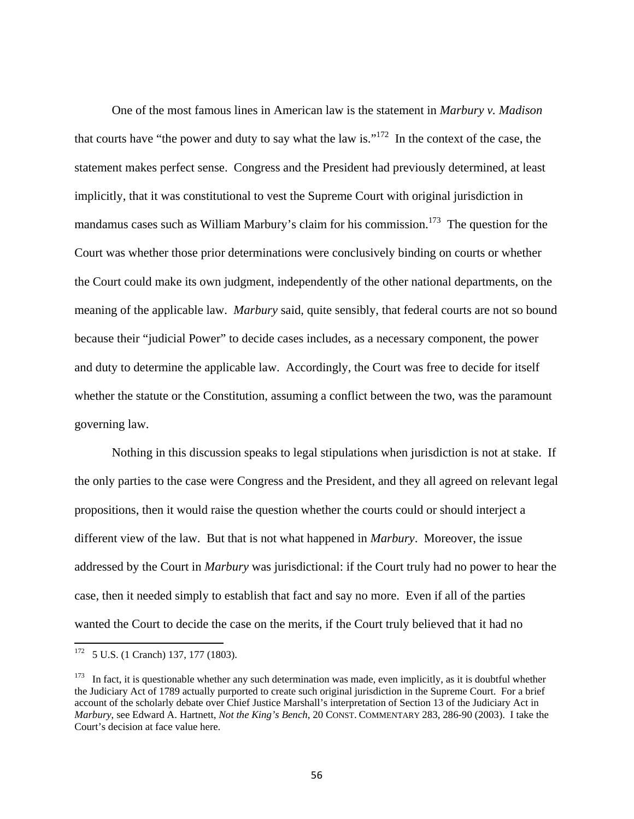One of the most famous lines in American law is the statement in *Marbury v. Madison* that courts have "the power and duty to say what the law is."<sup>172</sup> In the context of the case, the statement makes perfect sense. Congress and the President had previously determined, at least implicitly, that it was constitutional to vest the Supreme Court with original jurisdiction in mandamus cases such as William Marbury's claim for his commission.<sup>173</sup> The question for the Court was whether those prior determinations were conclusively binding on courts or whether the Court could make its own judgment, independently of the other national departments, on the meaning of the applicable law. *Marbury* said, quite sensibly, that federal courts are not so bound because their "judicial Power" to decide cases includes, as a necessary component, the power and duty to determine the applicable law. Accordingly, the Court was free to decide for itself whether the statute or the Constitution, assuming a conflict between the two, was the paramount governing law.

Nothing in this discussion speaks to legal stipulations when jurisdiction is not at stake. If the only parties to the case were Congress and the President, and they all agreed on relevant legal propositions, then it would raise the question whether the courts could or should interject a different view of the law. But that is not what happened in *Marbury*. Moreover, the issue addressed by the Court in *Marbury* was jurisdictional: if the Court truly had no power to hear the case, then it needed simply to establish that fact and say no more. Even if all of the parties wanted the Court to decide the case on the merits, if the Court truly believed that it had no

  $172$  5 U.S. (1 Cranch) 137, 177 (1803).

 $173$  In fact, it is questionable whether any such determination was made, even implicitly, as it is doubtful whether the Judiciary Act of 1789 actually purported to create such original jurisdiction in the Supreme Court. For a brief account of the scholarly debate over Chief Justice Marshall's interpretation of Section 13 of the Judiciary Act in *Marbury*, see Edward A. Hartnett, *Not the King's Bench*, 20 CONST. COMMENTARY 283, 286-90 (2003). I take the Court's decision at face value here.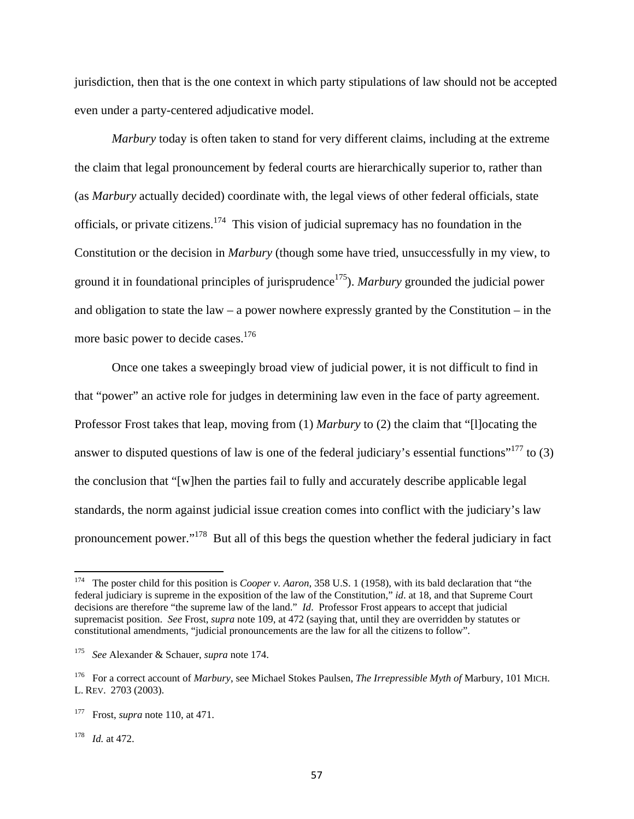jurisdiction, then that is the one context in which party stipulations of law should not be accepted even under a party-centered adjudicative model.

*Marbury* today is often taken to stand for very different claims, including at the extreme the claim that legal pronouncement by federal courts are hierarchically superior to, rather than (as *Marbury* actually decided) coordinate with, the legal views of other federal officials, state officials, or private citizens.<sup>174</sup> This vision of judicial supremacy has no foundation in the Constitution or the decision in *Marbury* (though some have tried, unsuccessfully in my view, to ground it in foundational principles of jurisprudence<sup>175</sup>). *Marbury* grounded the judicial power and obligation to state the law – a power nowhere expressly granted by the Constitution – in the more basic power to decide cases.<sup>176</sup>

Once one takes a sweepingly broad view of judicial power, it is not difficult to find in that "power" an active role for judges in determining law even in the face of party agreement. Professor Frost takes that leap, moving from (1) *Marbury* to (2) the claim that "[l]ocating the answer to disputed questions of law is one of the federal judiciary's essential functions"<sup>177</sup> to (3) the conclusion that "[w]hen the parties fail to fully and accurately describe applicable legal standards, the norm against judicial issue creation comes into conflict with the judiciary's law pronouncement power."178 But all of this begs the question whether the federal judiciary in fact

178 *Id.* at 472.

<sup>174</sup> The poster child for this position is *Cooper v. Aaron*, 358 U.S. 1 (1958), with its bald declaration that "the federal judiciary is supreme in the exposition of the law of the Constitution," *id*. at 18, and that Supreme Court decisions are therefore "the supreme law of the land." *Id*. Professor Frost appears to accept that judicial supremacist position. *See* Frost, *supra* note 109, at 472 (saying that, until they are overridden by statutes or constitutional amendments, "judicial pronouncements are the law for all the citizens to follow".

<sup>175</sup> *See* Alexander & Schauer, *supra* note 174.

<sup>176</sup> For a correct account of *Marbury*, see Michael Stokes Paulsen, *The Irrepressible Myth of* Marbury, 101 MICH. L. REV. 2703 (2003).

<sup>177</sup> Frost, *supra* note 110, at 471.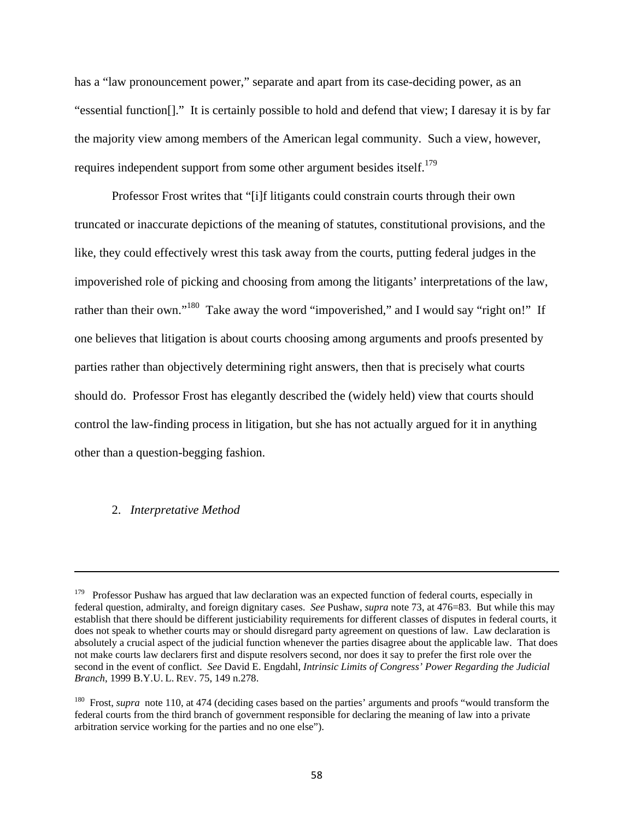has a "law pronouncement power," separate and apart from its case-deciding power, as an "essential function[]." It is certainly possible to hold and defend that view; I daresay it is by far the majority view among members of the American legal community. Such a view, however, requires independent support from some other argument besides itself.<sup>179</sup>

Professor Frost writes that "[i]f litigants could constrain courts through their own truncated or inaccurate depictions of the meaning of statutes, constitutional provisions, and the like, they could effectively wrest this task away from the courts, putting federal judges in the impoverished role of picking and choosing from among the litigants' interpretations of the law, rather than their own."<sup>180</sup> Take away the word "impoverished," and I would say "right on!" If one believes that litigation is about courts choosing among arguments and proofs presented by parties rather than objectively determining right answers, then that is precisely what courts should do. Professor Frost has elegantly described the (widely held) view that courts should control the law-finding process in litigation, but she has not actually argued for it in anything other than a question-begging fashion.

#### 2. *Interpretative Method*

<u> 1989 - Johann Stoff, amerikansk politiker (d. 1989)</u>

<sup>&</sup>lt;sup>179</sup> Professor Pushaw has argued that law declaration was an expected function of federal courts, especially in federal question, admiralty, and foreign dignitary cases. *See* Pushaw, *supra* note 73, at 476=83. But while this may establish that there should be different justiciability requirements for different classes of disputes in federal courts, it does not speak to whether courts may or should disregard party agreement on questions of law. Law declaration is absolutely a crucial aspect of the judicial function whenever the parties disagree about the applicable law. That does not make courts law declarers first and dispute resolvers second, nor does it say to prefer the first role over the second in the event of conflict. *See* David E. Engdahl, *Intrinsic Limits of Congress' Power Regarding the Judicial Branch*, 1999 B.Y.U. L. REV. 75, 149 n.278.

<sup>&</sup>lt;sup>180</sup> Frost, *supra* note 110, at 474 (deciding cases based on the parties' arguments and proofs "would transform the federal courts from the third branch of government responsible for declaring the meaning of law into a private arbitration service working for the parties and no one else").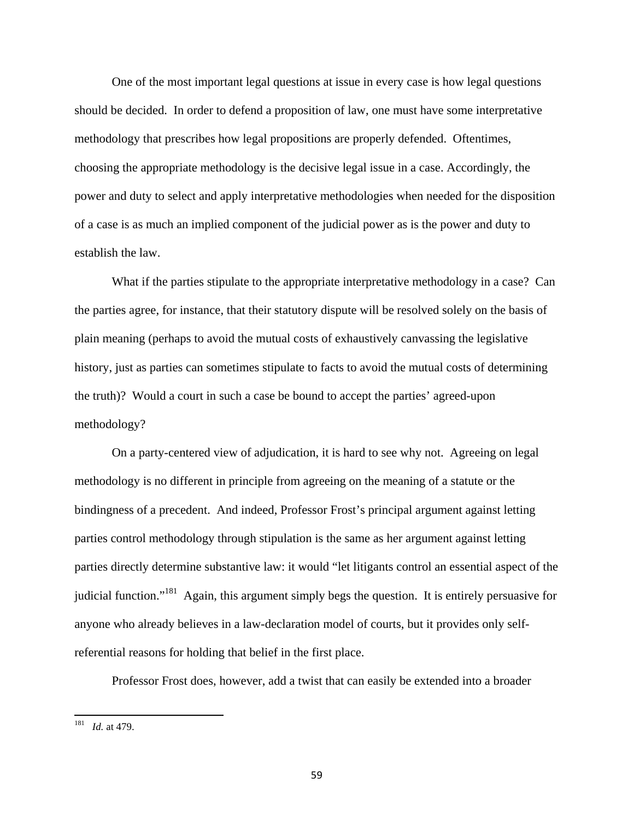One of the most important legal questions at issue in every case is how legal questions should be decided. In order to defend a proposition of law, one must have some interpretative methodology that prescribes how legal propositions are properly defended. Oftentimes, choosing the appropriate methodology is the decisive legal issue in a case. Accordingly, the power and duty to select and apply interpretative methodologies when needed for the disposition of a case is as much an implied component of the judicial power as is the power and duty to establish the law.

What if the parties stipulate to the appropriate interpretative methodology in a case? Can the parties agree, for instance, that their statutory dispute will be resolved solely on the basis of plain meaning (perhaps to avoid the mutual costs of exhaustively canvassing the legislative history, just as parties can sometimes stipulate to facts to avoid the mutual costs of determining the truth)? Would a court in such a case be bound to accept the parties' agreed-upon methodology?

On a party-centered view of adjudication, it is hard to see why not. Agreeing on legal methodology is no different in principle from agreeing on the meaning of a statute or the bindingness of a precedent. And indeed, Professor Frost's principal argument against letting parties control methodology through stipulation is the same as her argument against letting parties directly determine substantive law: it would "let litigants control an essential aspect of the judicial function."<sup>181</sup> Again, this argument simply begs the question. It is entirely persuasive for anyone who already believes in a law-declaration model of courts, but it provides only selfreferential reasons for holding that belief in the first place.

Professor Frost does, however, add a twist that can easily be extended into a broader

<sup>181</sup> *Id.* at 479.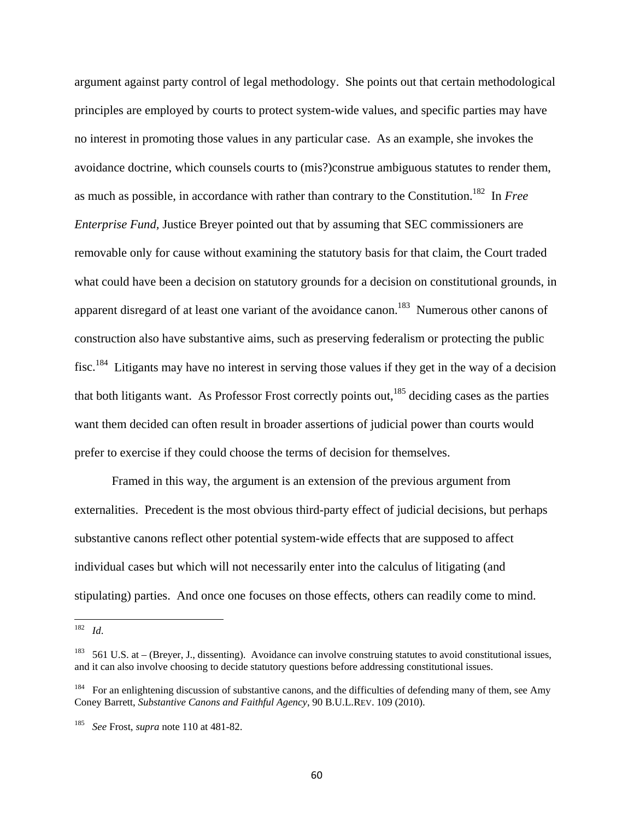argument against party control of legal methodology. She points out that certain methodological principles are employed by courts to protect system-wide values, and specific parties may have no interest in promoting those values in any particular case. As an example, she invokes the avoidance doctrine, which counsels courts to (mis?)construe ambiguous statutes to render them, as much as possible, in accordance with rather than contrary to the Constitution.182 In *Free Enterprise Fund,* Justice Breyer pointed out that by assuming that SEC commissioners are removable only for cause without examining the statutory basis for that claim, the Court traded what could have been a decision on statutory grounds for a decision on constitutional grounds, in apparent disregard of at least one variant of the avoidance canon.<sup>183</sup> Numerous other canons of construction also have substantive aims, such as preserving federalism or protecting the public fisc.<sup>184</sup> Litigants may have no interest in serving those values if they get in the way of a decision that both litigants want. As Professor Frost correctly points out,  $185$  deciding cases as the parties want them decided can often result in broader assertions of judicial power than courts would prefer to exercise if they could choose the terms of decision for themselves.

Framed in this way, the argument is an extension of the previous argument from externalities. Precedent is the most obvious third-party effect of judicial decisions, but perhaps substantive canons reflect other potential system-wide effects that are supposed to affect individual cases but which will not necessarily enter into the calculus of litigating (and stipulating) parties. And once one focuses on those effects, others can readily come to mind.

<sup>182</sup> *Id*.

<sup>183 561</sup> U.S. at – (Breyer, J., dissenting). Avoidance can involve construing statutes to avoid constitutional issues, and it can also involve choosing to decide statutory questions before addressing constitutional issues.

<sup>184</sup> For an enlightening discussion of substantive canons, and the difficulties of defending many of them, see Amy Coney Barrett, *Substantive Canons and Faithful Agency*, 90 B.U.L.REV. 109 (2010).

<sup>185</sup> *See* Frost, *supra* note 110 at 481-82.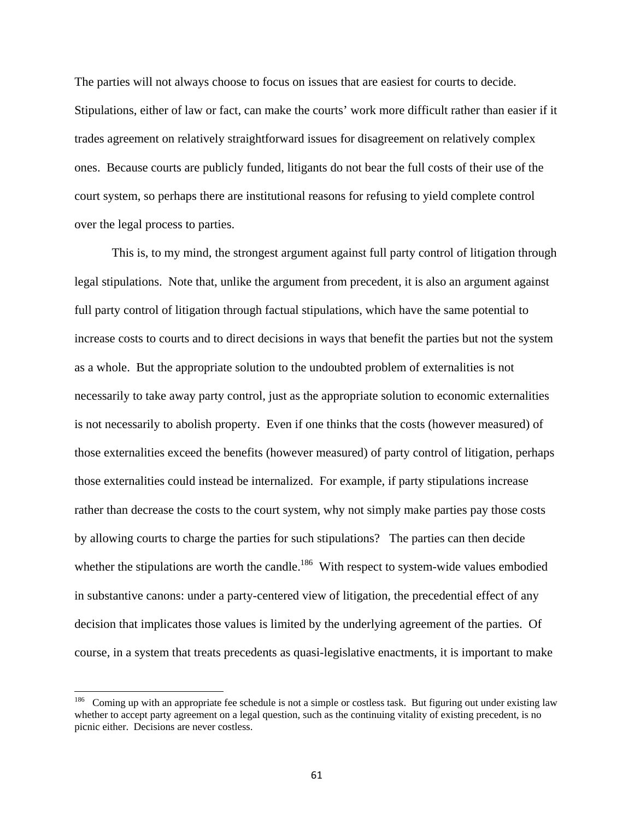The parties will not always choose to focus on issues that are easiest for courts to decide. Stipulations, either of law or fact, can make the courts' work more difficult rather than easier if it trades agreement on relatively straightforward issues for disagreement on relatively complex ones. Because courts are publicly funded, litigants do not bear the full costs of their use of the court system, so perhaps there are institutional reasons for refusing to yield complete control over the legal process to parties.

This is, to my mind, the strongest argument against full party control of litigation through legal stipulations. Note that, unlike the argument from precedent, it is also an argument against full party control of litigation through factual stipulations, which have the same potential to increase costs to courts and to direct decisions in ways that benefit the parties but not the system as a whole. But the appropriate solution to the undoubted problem of externalities is not necessarily to take away party control, just as the appropriate solution to economic externalities is not necessarily to abolish property. Even if one thinks that the costs (however measured) of those externalities exceed the benefits (however measured) of party control of litigation, perhaps those externalities could instead be internalized. For example, if party stipulations increase rather than decrease the costs to the court system, why not simply make parties pay those costs by allowing courts to charge the parties for such stipulations? The parties can then decide whether the stipulations are worth the candle.<sup>186</sup> With respect to system-wide values embodied in substantive canons: under a party-centered view of litigation, the precedential effect of any decision that implicates those values is limited by the underlying agreement of the parties. Of course, in a system that treats precedents as quasi-legislative enactments, it is important to make

<sup>&</sup>lt;sup>186</sup> Coming up with an appropriate fee schedule is not a simple or costless task. But figuring out under existing law whether to accept party agreement on a legal question, such as the continuing vitality of existing precedent, is no picnic either. Decisions are never costless.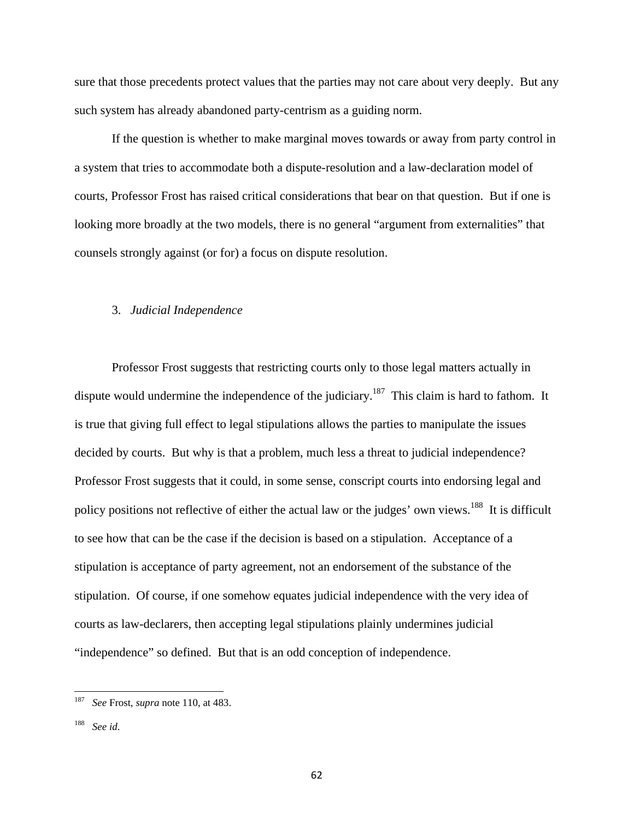sure that those precedents protect values that the parties may not care about very deeply. But any such system has already abandoned party-centrism as a guiding norm.

If the question is whether to make marginal moves towards or away from party control in a system that tries to accommodate both a dispute-resolution and a law-declaration model of courts, Professor Frost has raised critical considerations that bear on that question. But if one is looking more broadly at the two models, there is no general "argument from externalities" that counsels strongly against (or for) a focus on dispute resolution.

# 3. *Judicial Independence*

Professor Frost suggests that restricting courts only to those legal matters actually in dispute would undermine the independence of the judiciary.<sup>187</sup> This claim is hard to fathom. It is true that giving full effect to legal stipulations allows the parties to manipulate the issues decided by courts. But why is that a problem, much less a threat to judicial independence? Professor Frost suggests that it could, in some sense, conscript courts into endorsing legal and policy positions not reflective of either the actual law or the judges' own views.<sup>188</sup> It is difficult to see how that can be the case if the decision is based on a stipulation. Acceptance of a stipulation is acceptance of party agreement, not an endorsement of the substance of the stipulation. Of course, if one somehow equates judicial independence with the very idea of courts as law-declarers, then accepting legal stipulations plainly undermines judicial "independence" so defined. But that is an odd conception of independence.

 187 *See* Frost, *supra* note 110, at 483.

<sup>188</sup> *See id*.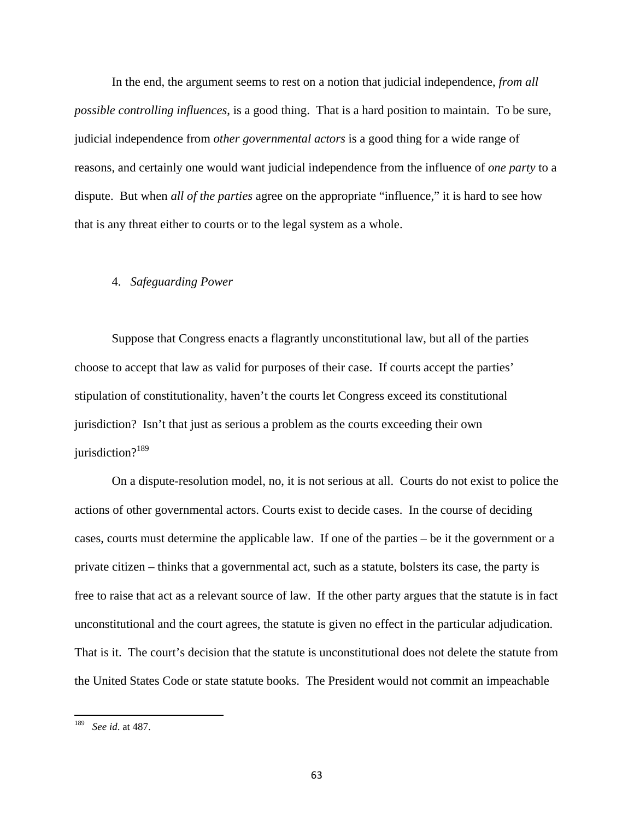In the end, the argument seems to rest on a notion that judicial independence, *from all possible controlling influences*, is a good thing. That is a hard position to maintain. To be sure, judicial independence from *other governmental actors* is a good thing for a wide range of reasons, and certainly one would want judicial independence from the influence of *one party* to a dispute. But when *all of the parties* agree on the appropriate "influence," it is hard to see how that is any threat either to courts or to the legal system as a whole.

# 4. *Safeguarding Power*

Suppose that Congress enacts a flagrantly unconstitutional law, but all of the parties choose to accept that law as valid for purposes of their case. If courts accept the parties' stipulation of constitutionality, haven't the courts let Congress exceed its constitutional jurisdiction? Isn't that just as serious a problem as the courts exceeding their own jurisdiction? $189$ 

On a dispute-resolution model, no, it is not serious at all. Courts do not exist to police the actions of other governmental actors. Courts exist to decide cases. In the course of deciding cases, courts must determine the applicable law. If one of the parties – be it the government or a private citizen – thinks that a governmental act, such as a statute, bolsters its case, the party is free to raise that act as a relevant source of law. If the other party argues that the statute is in fact unconstitutional and the court agrees, the statute is given no effect in the particular adjudication. That is it. The court's decision that the statute is unconstitutional does not delete the statute from the United States Code or state statute books. The President would not commit an impeachable

<sup>189</sup> *See id*. at 487.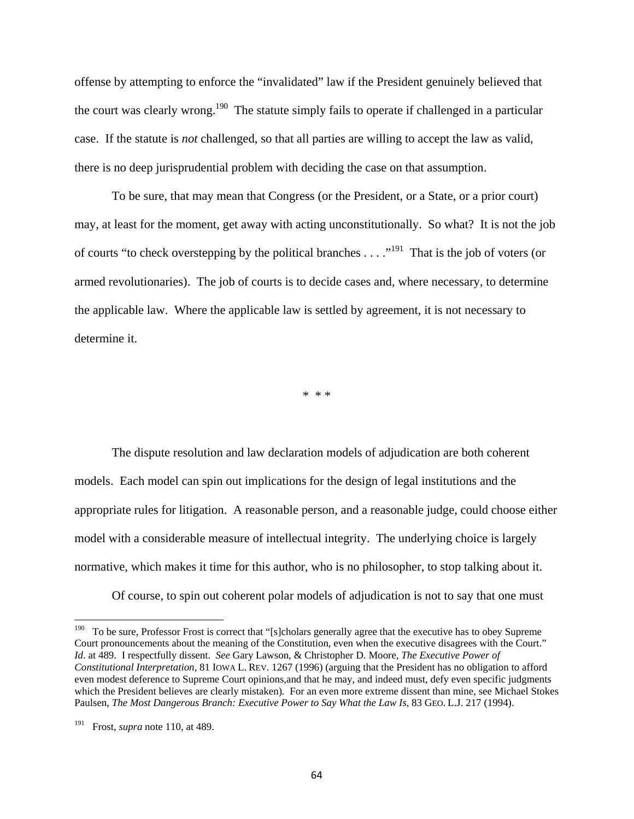offense by attempting to enforce the "invalidated" law if the President genuinely believed that the court was clearly wrong.<sup>190</sup> The statute simply fails to operate if challenged in a particular case. If the statute is *not* challenged, so that all parties are willing to accept the law as valid, there is no deep jurisprudential problem with deciding the case on that assumption.

To be sure, that may mean that Congress (or the President, or a State, or a prior court) may, at least for the moment, get away with acting unconstitutionally. So what? It is not the job of courts "to check overstepping by the political branches  $\dots$ ."<sup>191</sup> That is the job of voters (or armed revolutionaries). The job of courts is to decide cases and, where necessary, to determine the applicable law. Where the applicable law is settled by agreement, it is not necessary to determine it.

\* \* \*

The dispute resolution and law declaration models of adjudication are both coherent models. Each model can spin out implications for the design of legal institutions and the appropriate rules for litigation. A reasonable person, and a reasonable judge, could choose either model with a considerable measure of intellectual integrity. The underlying choice is largely normative, which makes it time for this author, who is no philosopher, to stop talking about it.

Of course, to spin out coherent polar models of adjudication is not to say that one must

<sup>&</sup>lt;sup>190</sup> To be sure, Professor Frost is correct that "[s]cholars generally agree that the executive has to obey Supreme Court pronouncements about the meaning of the Constitution, even when the executive disagrees with the Court." *Id*. at 489. I respectfully dissent. *See* Gary Lawson, & Christopher D. Moore, *The Executive Power of Constitutional Interpretation,* 81 IOWA L. REV. 1267 (1996) (arguing that the President has no obligation to afford even modest deference to Supreme Court opinions,and that he may, and indeed must, defy even specific judgments which the President believes are clearly mistaken)*.* For an even more extreme dissent than mine, see Michael Stokes Paulsen, *The Most Dangerous Branch: Executive Power to Say What the Law Is*, 83 GEO. L.J. 217 (1994).

<sup>191</sup> Frost, *supra* note 110, at 489.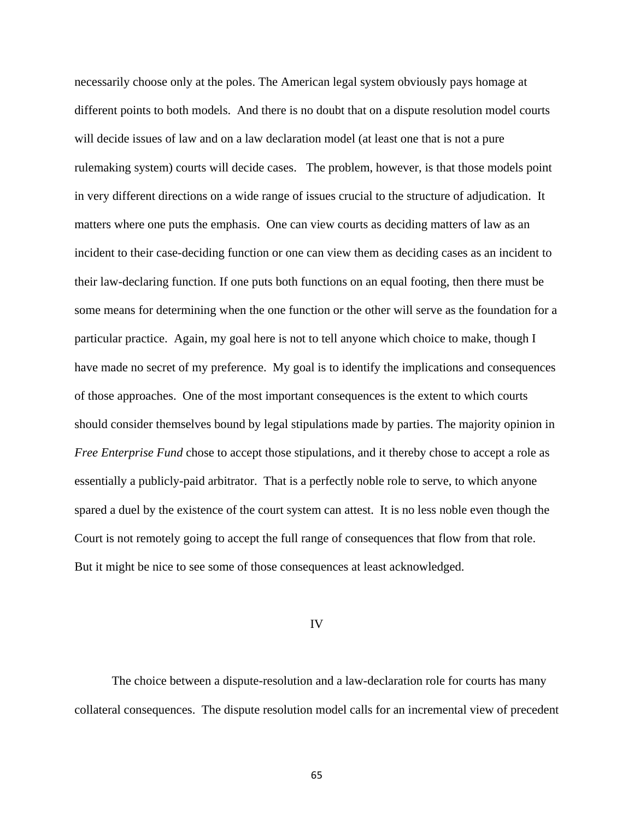necessarily choose only at the poles. The American legal system obviously pays homage at different points to both models. And there is no doubt that on a dispute resolution model courts will decide issues of law and on a law declaration model (at least one that is not a pure rulemaking system) courts will decide cases. The problem, however, is that those models point in very different directions on a wide range of issues crucial to the structure of adjudication. It matters where one puts the emphasis. One can view courts as deciding matters of law as an incident to their case-deciding function or one can view them as deciding cases as an incident to their law-declaring function. If one puts both functions on an equal footing, then there must be some means for determining when the one function or the other will serve as the foundation for a particular practice. Again, my goal here is not to tell anyone which choice to make, though I have made no secret of my preference. My goal is to identify the implications and consequences of those approaches. One of the most important consequences is the extent to which courts should consider themselves bound by legal stipulations made by parties. The majority opinion in *Free Enterprise Fund* chose to accept those stipulations, and it thereby chose to accept a role as essentially a publicly-paid arbitrator. That is a perfectly noble role to serve, to which anyone spared a duel by the existence of the court system can attest. It is no less noble even though the Court is not remotely going to accept the full range of consequences that flow from that role. But it might be nice to see some of those consequences at least acknowledged.

#### IV

The choice between a dispute-resolution and a law-declaration role for courts has many collateral consequences. The dispute resolution model calls for an incremental view of precedent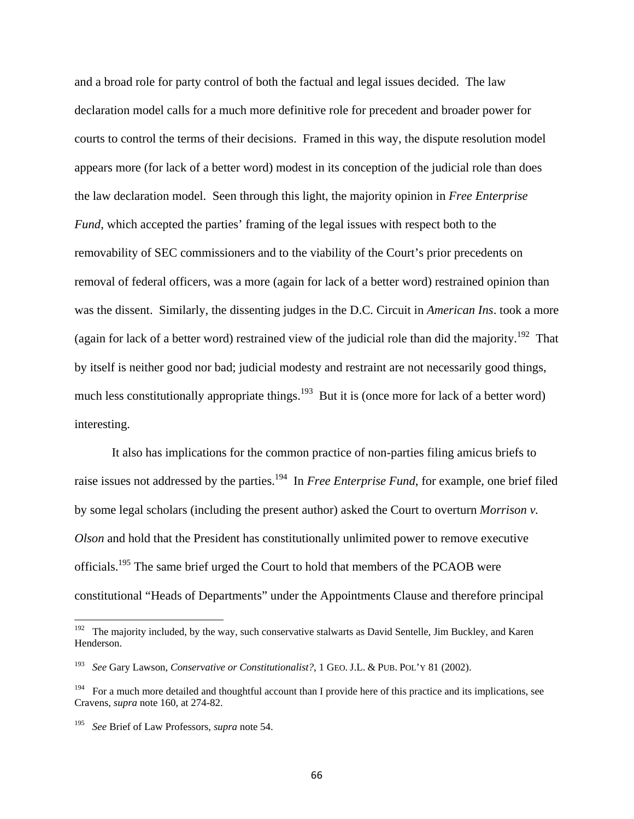and a broad role for party control of both the factual and legal issues decided. The law declaration model calls for a much more definitive role for precedent and broader power for courts to control the terms of their decisions. Framed in this way, the dispute resolution model appears more (for lack of a better word) modest in its conception of the judicial role than does the law declaration model. Seen through this light, the majority opinion in *Free Enterprise Fund*, which accepted the parties' framing of the legal issues with respect both to the removability of SEC commissioners and to the viability of the Court's prior precedents on removal of federal officers, was a more (again for lack of a better word) restrained opinion than was the dissent. Similarly, the dissenting judges in the D.C. Circuit in *American Ins*. took a more (again for lack of a better word) restrained view of the judicial role than did the majority.<sup>192</sup> That by itself is neither good nor bad; judicial modesty and restraint are not necessarily good things, much less constitutionally appropriate things.<sup>193</sup> But it is (once more for lack of a better word) interesting.

It also has implications for the common practice of non-parties filing amicus briefs to raise issues not addressed by the parties.<sup>194</sup> In *Free Enterprise Fund*, for example, one brief filed by some legal scholars (including the present author) asked the Court to overturn *Morrison v. Olson* and hold that the President has constitutionally unlimited power to remove executive officials.195 The same brief urged the Court to hold that members of the PCAOB were constitutional "Heads of Departments" under the Appointments Clause and therefore principal

<sup>&</sup>lt;sup>192</sup> The majority included, by the way, such conservative stalwarts as David Sentelle, Jim Buckley, and Karen Henderson.

<sup>193</sup> 193 *See* Gary Lawson, *Conservative or Constitutionalist?*, 1 GEO. J.L. & PUB. POL'Y 81 (2002).

<sup>&</sup>lt;sup>194</sup> For a much more detailed and thoughtful account than I provide here of this practice and its implications, see Cravens, *supra* note 160, at 274-82.

<sup>195</sup> *See* Brief of Law Professors, *supra* note 54.